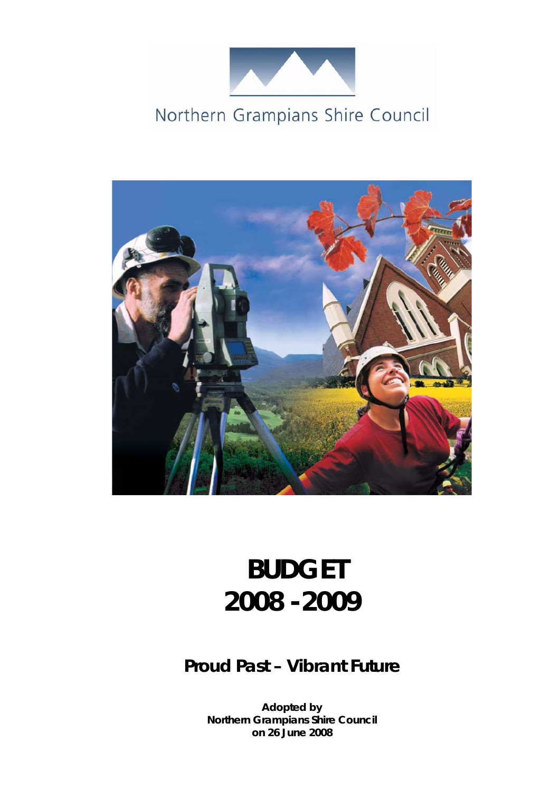

# Northern Grampians Shire Council



# **BUDGET 2008 -2009**

*Proud Past – Vibrant Future* 

*Adopted by*  **Northern Grampians Shire Council on 26 June 2008**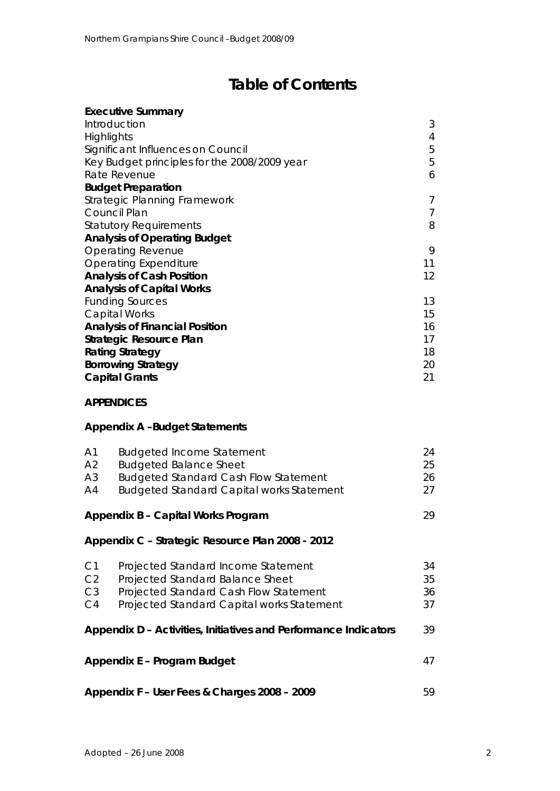# **Table of Contents**

| <b>Executive Summary</b>                     |                |
|----------------------------------------------|----------------|
| Introduction                                 | 3              |
| Highlights                                   | 4              |
| Significant Influences on Council            | 5              |
| Key Budget principles for the 2008/2009 year | 5              |
| Rate Revenue                                 | 6              |
| <b>Budget Preparation</b>                    |                |
| <b>Strategic Planning Framework</b>          | 7              |
| Council Plan                                 | $\overline{7}$ |
| <b>Statutory Requirements</b>                | 8              |
| <b>Analysis of Operating Budget</b>          |                |
| <b>Operating Revenue</b>                     | 9              |
| <b>Operating Expenditure</b>                 | 11             |
| <b>Analysis of Cash Position</b>             | 12             |
| <b>Analysis of Capital Works</b>             |                |
| <b>Funding Sources</b>                       | 13             |
| <b>Capital Works</b>                         | 15             |
| <b>Analysis of Financial Position</b>        | 16             |
| Strategic Resource Plan                      | 17             |
| <b>Rating Strategy</b>                       | 18             |
| <b>Borrowing Strategy</b>                    | 20             |
| <b>Capital Grants</b>                        | 21             |
|                                              |                |

#### **APPENDICES**

#### **Appendix A –Budget Statements**

| A <sub>1</sub> | <b>Budgeted Income Statement</b>                                | 24 |
|----------------|-----------------------------------------------------------------|----|
| A <sub>2</sub> | <b>Budgeted Balance Sheet</b>                                   | 25 |
| A <sub>3</sub> | <b>Budgeted Standard Cash Flow Statement</b>                    | 26 |
| A4             | <b>Budgeted Standard Capital works Statement</b>                | 27 |
|                | Appendix B - Capital Works Program                              | 29 |
|                | Appendix C - Strategic Resource Plan 2008 - 2012                |    |
| C <sub>1</sub> | Projected Standard Income Statement                             | 34 |
| C <sub>2</sub> | Projected Standard Balance Sheet                                | 35 |
| C <sub>3</sub> | Projected Standard Cash Flow Statement                          | 36 |
| C4             | Projected Standard Capital works Statement                      | 37 |
|                | Appendix D - Activities, Initiatives and Performance Indicators | 39 |
|                | Appendix E - Program Budget                                     | 47 |
|                | Appendix F - User Fees & Charges 2008 - 2009                    | 59 |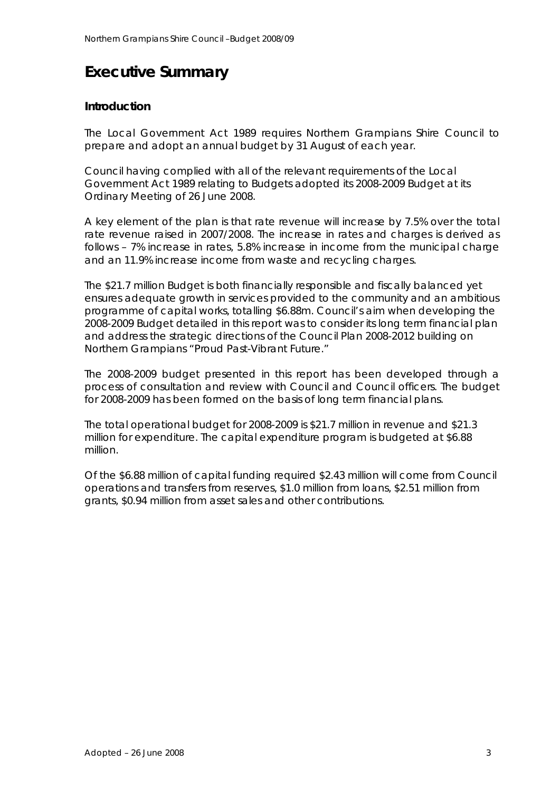# **Executive Summary**

#### **Introduction**

The Local Government Act 1989 requires Northern Grampians Shire Council to prepare and adopt an annual budget by 31 August of each year.

Council having complied with all of the relevant requirements of the Local Government Act 1989 relating to Budgets adopted its 2008-2009 Budget at its Ordinary Meeting of 26 June 2008.

A key element of the plan is that rate revenue will increase by 7.5% over the total rate revenue raised in 2007/2008. The increase in rates and charges is derived as follows – 7% increase in rates, 5.8% increase in income from the municipal charge and an 11.9% increase income from waste and recycling charges.

The \$21.7 million Budget is both financially responsible and fiscally balanced yet ensures adequate growth in services provided to the community and an ambitious programme of capital works, totalling \$6.88m. Council's aim when developing the 2008-2009 Budget detailed in this report was to consider its long term financial plan and address the strategic directions of the *Council Plan 2008-2012* building on Northern Grampians "Proud Past-Vibrant Future."

The 2008-2009 budget presented in this report has been developed through a process of consultation and review with Council and Council officers. The budget for 2008-2009 has been formed on the basis of long term financial plans.

The total operational budget for 2008-2009 is \$21.7 million in revenue and \$21.3 million for expenditure. The capital expenditure program is budgeted at \$6.88 million.

Of the \$6.88 million of capital funding required \$2.43 million will come from Council operations and transfers from reserves, \$1.0 million from loans, \$2.51 million from grants, \$0.94 million from asset sales and other contributions.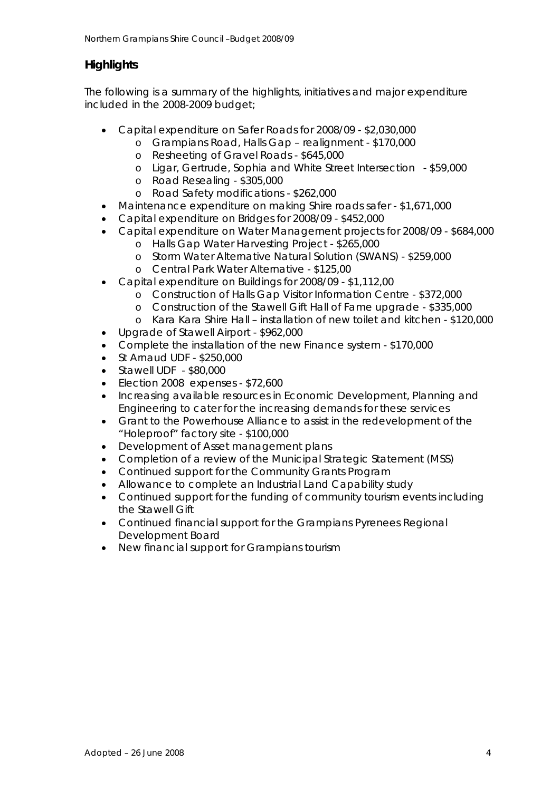### **Highlights**

The following is a summary of the highlights, initiatives and major expenditure included in the 2008-2009 budget;

- Capital expenditure on Safer Roads for 2008/09 \$2,030,000
	- o Grampians Road, Halls Gap realignment \$170,000
		- o Resheeting of Gravel Roads \$645,000
		- o Ligar, Gertrude, Sophia and White Street Intersection \$59,000
		- o Road Resealing \$305,000
		- o Road Safety modifications \$262,000
- Maintenance expenditure on making Shire roads safer \$1,671,000
- Capital expenditure on Bridges for 2008/09 \$452,000
- Capital expenditure on Water Management projects for 2008/09 \$684,000
	- o Halls Gap Water Harvesting Project \$265,000
	- o Storm Water Alternative Natural Solution (SWANS) \$259,000
	- o Central Park Water Alternative \$125,00
- Capital expenditure on Buildings for 2008/09 \$1,112,00
	- o Construction of Halls Gap Visitor Information Centre \$372,000
	- o Construction of the Stawell Gift Hall of Fame upgrade \$335,000
	- o Kara Kara Shire Hall installation of new toilet and kitchen \$120,000
- Upgrade of Stawell Airport \$962,000
- Complete the installation of the new Finance system \$170,000
- St Arnaud UDF \$250,000
- Stawell UDF \$80,000
- Election 2008 expenses \$72,600
- Increasing available resources in Economic Development, Planning and Engineering to cater for the increasing demands for these services
- Grant to the Powerhouse Alliance to assist in the redevelopment of the "Holeproof" factory site - \$100,000
- Development of Asset management plans
- Completion of a review of the Municipal Strategic Statement (MSS)
- Continued support for the Community Grants Program
- Allowance to complete an Industrial Land Capability study
- Continued support for the funding of community tourism events including the Stawell Gift
- Continued financial support for the Grampians Pyrenees Regional Development Board
- New financial support for Grampians tourism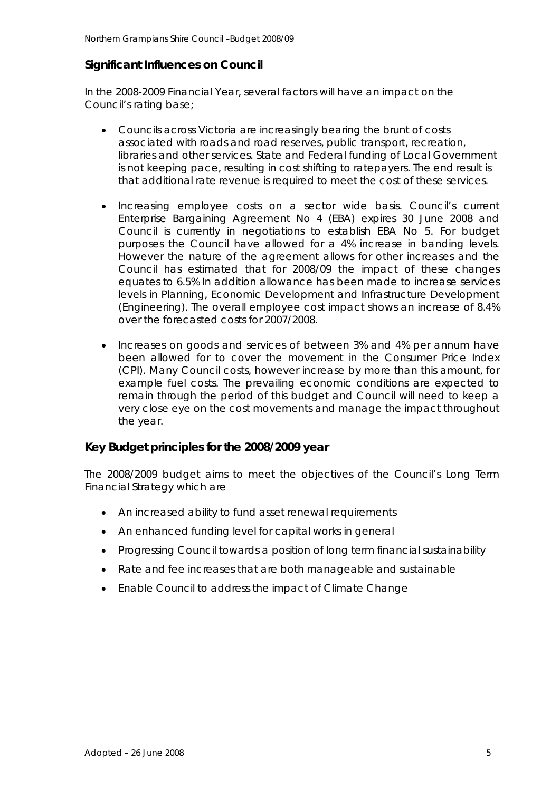#### **Significant Influences on Council**

In the 2008-2009 Financial Year, several factors will have an impact on the Council's rating base;

- Councils across Victoria are increasingly bearing the brunt of costs associated with roads and road reserves, public transport, recreation, libraries and other services. State and Federal funding of Local Government is not keeping pace, resulting in cost shifting to ratepayers. The end result is that additional rate revenue is required to meet the cost of these services.
- Increasing employee costs on a sector wide basis. Council's current Enterprise Bargaining Agreement No 4 (EBA) expires 30 June 2008 and Council is currently in negotiations to establish EBA No 5. For budget purposes the Council have allowed for a 4% increase in banding levels. However the nature of the agreement allows for other increases and the Council has estimated that for 2008/09 the impact of these changes equates to 6.5% In addition allowance has been made to increase services levels in Planning, Economic Development and Infrastructure Development (Engineering). The overall employee cost impact shows an increase of 8.4% over the forecasted costs for 2007/2008.
- Increases on goods and services of between 3% and 4% per annum have been allowed for to cover the movement in the Consumer Price Index (CPI). Many Council costs, however increase by more than this amount, for example fuel costs. The prevailing economic conditions are expected to remain through the period of this budget and Council will need to keep a very close eye on the cost movements and manage the impact throughout the year.

#### **Key Budget principles for the 2008/2009 year**

The 2008/2009 budget aims to meet the objectives of the Council's Long Term Financial Strategy which are

- An increased ability to fund asset renewal requirements
- An enhanced funding level for capital works in general
- Progressing Council towards a position of long term financial sustainability
- Rate and fee increases that are both manageable and sustainable
- Enable Council to address the impact of Climate Change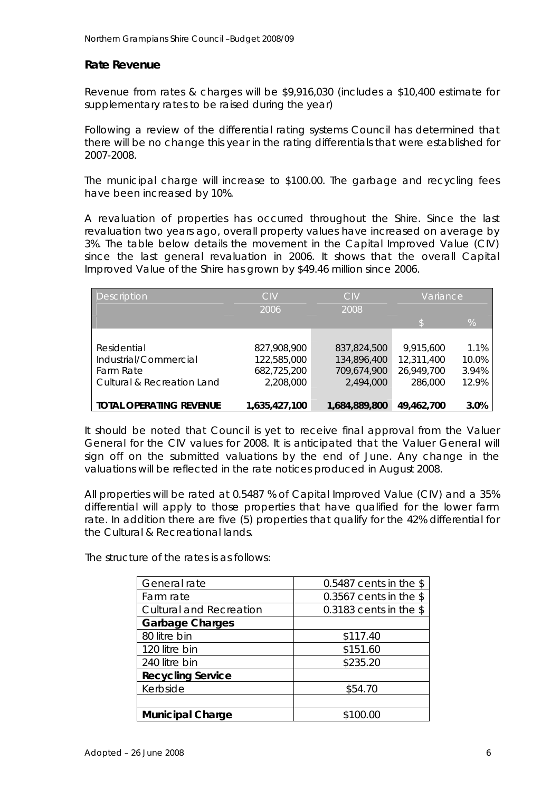#### **Rate Revenue**

Revenue from rates & charges will be \$9,916,030 (includes a \$10,400 estimate for supplementary rates to be raised during the year)

Following a review of the differential rating systems Council has determined that there will be no change this year in the rating differentials that were established for 2007-2008.

The municipal charge will increase to \$100.00. The garbage and recycling fees have been increased by 10%.

A revaluation of properties has occurred throughout the Shire. Since the last revaluation two years ago, overall property values have increased on average by 3%. The table below details the movement in the Capital Improved Value (CIV) since the last general revaluation in 2006. It shows that the overall Capital Improved Value of the Shire has grown by \$49.46 million since 2006.

| <b>Description</b>                    | <b>CIV</b>    | CIV           | Variance   |       |
|---------------------------------------|---------------|---------------|------------|-------|
|                                       | 2006          | 2008          |            |       |
|                                       |               |               |            | $\%$  |
|                                       |               |               |            |       |
| Residential                           | 827,908,900   | 837,824,500   | 9,915,600  | 1.1%  |
| Industrial/Commercial                 | 122,585,000   | 134,896,400   | 12,311,400 | 10.0% |
| Farm Rate                             | 682,725,200   | 709,674,900   | 26,949,700 | 3.94% |
| <b>Cultural &amp; Recreation Land</b> | 2,208,000     | 2,494,000     | 286,000    | 12.9% |
|                                       |               |               |            |       |
| <b>TOTAL OPERATING REVENUE</b>        | 1,635,427,100 | 1,684,889,800 | 49,462,700 | 3.0%  |

It should be noted that Council is yet to receive final approval from the Valuer General for the CIV values for 2008. It is anticipated that the Valuer General will sign off on the submitted valuations by the end of June. Any change in the valuations will be reflected in the rate notices produced in August 2008.

All properties will be rated at 0.5487 % of Capital Improved Value (CIV) and a 35% differential will apply to those properties that have qualified for the lower farm rate. In addition there are five (5) properties that qualify for the 42% differential for the Cultural & Recreational lands.

The structure of the rates is as follows:

| General rate                   | $0.5487$ cents in the \$ |  |  |
|--------------------------------|--------------------------|--|--|
| Farm rate                      | $0.3567$ cents in the \$ |  |  |
| <b>Cultural and Recreation</b> | 0.3183 cents in the $$$  |  |  |
| <b>Garbage Charges</b>         |                          |  |  |
| 80 litre bin                   | \$117.40                 |  |  |
| 120 litre bin                  | \$151.60                 |  |  |
| 240 litre bin                  | \$235.20                 |  |  |
| <b>Recycling Service</b>       |                          |  |  |
| Kerbside                       | \$54.70                  |  |  |
|                                |                          |  |  |
| <b>Municipal Charge</b>        | \$100.00                 |  |  |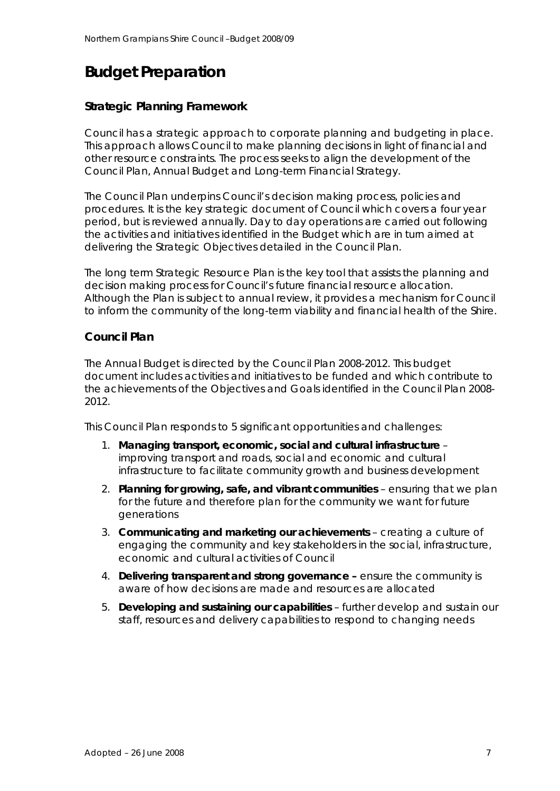# **Budget Preparation**

#### **Strategic Planning Framework**

Council has a strategic approach to corporate planning and budgeting in place. This approach allows Council to make planning decisions in light of financial and other resource constraints. The process seeks to align the development of the Council Plan, Annual Budget and Long-term Financial Strategy.

The Council Plan underpins Council's decision making process, policies and procedures. It is the key strategic document of Council which covers a four year period, but is reviewed annually. Day to day operations are carried out following the activities and initiatives identified in the Budget which are in turn aimed at delivering the Strategic Objectives detailed in the Council Plan.

The long term Strategic Resource Plan is the key tool that assists the planning and decision making process for Council's future financial resource allocation. Although the Plan is subject to annual review, it provides a mechanism for Council to inform the community of the long-term viability and financial health of the Shire.

#### **Council Plan**

The Annual Budget is directed by the Council Plan 2008-2012. This budget document includes activities and initiatives to be funded and which contribute to the achievements of the Objectives and Goals identified in the Council Plan 2008- 2012.

This Council Plan responds to 5 significant opportunities and challenges:

- 1. **Managing transport, economic, social and cultural infrastructure**  improving transport and roads, social and economic and cultural infrastructure to facilitate community growth and business development
- 2. **Planning for growing, safe, and vibrant communities** ensuring that we plan for the future and therefore plan for the community we want for future generations
- 3. **Communicating and marketing our achievements**  creating a culture of engaging the community and key stakeholders in the social, infrastructure, economic and cultural activities of Council
- 4. **Delivering transparent and strong governance** ensure the community is aware of how decisions are made and resources are allocated
- 5. **Developing and sustaining our capabilities** further develop and sustain our staff, resources and delivery capabilities to respond to changing needs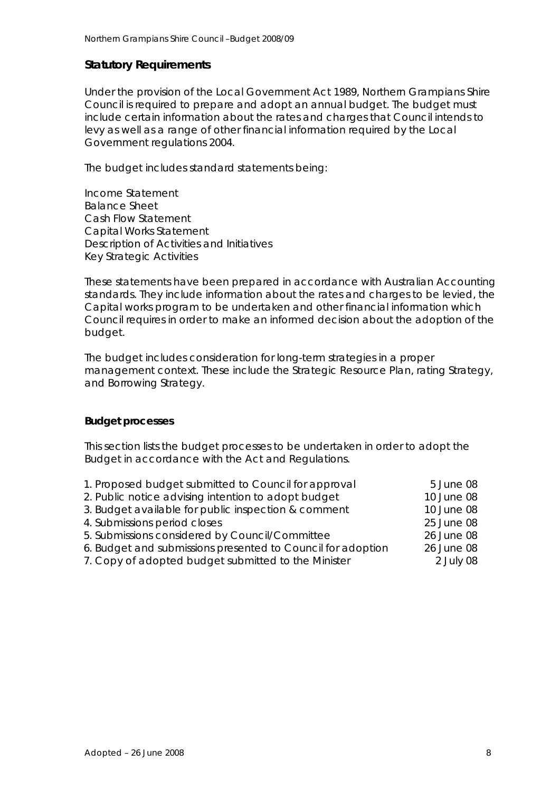#### **Statutory Requirements**

Under the provision of the Local Government Act 1989, Northern Grampians Shire Council is required to prepare and adopt an annual budget. The budget must include certain information about the rates and charges that Council intends to levy as well as a range of other financial information required by the Local Government regulations 2004.

The budget includes standard statements being:

Income Statement Balance Sheet Cash Flow Statement Capital Works Statement Description of Activities and Initiatives Key Strategic Activities

These statements have been prepared in accordance with Australian Accounting standards. They include information about the rates and charges to be levied, the Capital works program to be undertaken and other financial information which Council requires in order to make an informed decision about the adoption of the budget.

The budget includes consideration for long-term strategies in a proper management context. These include the Strategic Resource Plan, rating Strategy, and Borrowing Strategy.

#### **Budget processes**

This section lists the budget processes to be undertaken in order to adopt the Budget in accordance with the Act and Regulations.

| 1. Proposed budget submitted to Council for approval        | 5 June 08   |
|-------------------------------------------------------------|-------------|
| 2. Public notice advising intention to adopt budget         | 10 June 08  |
| 3. Budget available for public inspection & comment         | 10 June 08  |
| 4. Submissions period closes                                | 25 June 08  |
| 5. Submissions considered by Council/Committee              | 26 June 08  |
| 6. Budget and submissions presented to Council for adoption | 26 June 08  |
| 7. Copy of adopted budget submitted to the Minister         | $2$ July 08 |
|                                                             |             |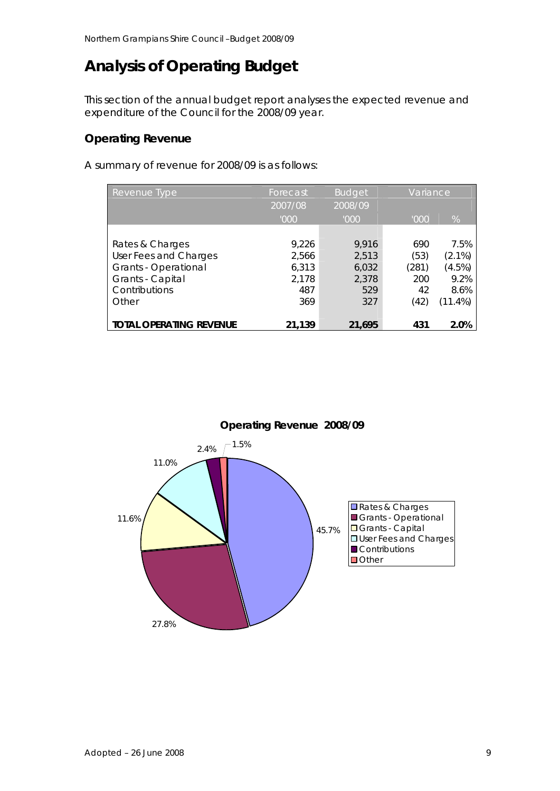# **Analysis of Operating Budget**

This section of the annual budget report analyses the expected revenue and expenditure of the Council for the 2008/09 year.

### **Operating Revenue**

A summary of revenue for 2008/09 is as follows:

| Revenue Type                   | Forecast<br>2007/08 | <b>Budget</b><br>2008/09 | Variance |            |
|--------------------------------|---------------------|--------------------------|----------|------------|
|                                | '000'               | '000                     | '000     | %          |
|                                |                     |                          |          |            |
| Rates & Charges                | 9,226               | 9,916                    | 690      | 7.5%       |
| User Fees and Charges          | 2,566               | 2,513                    | (53)     | $(2.1\%)$  |
| Grants - Operational           | 6,313               | 6,032                    | (281)    | (4.5%)     |
| Grants - Capital               | 2,178               | 2,378                    | 200      | 9.2%       |
| Contributions                  | 487                 | 529                      | 42       | 8.6%       |
| Other                          | 369                 | 327                      | (42)     | $(11.4\%)$ |
|                                |                     |                          |          |            |
| <b>TOTAL OPERATING REVENUE</b> | 21,139              | 21,695                   | 431      | 2.0%       |



#### **Operating Revenue 2008/09**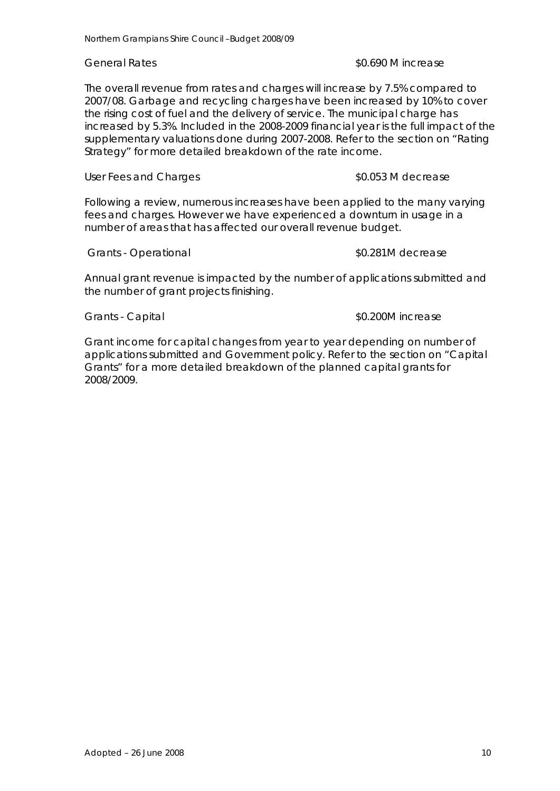### *General Rates \$0.690 M increase*

The overall revenue from rates and charges will increase by 7.5% compared to 2007/08. Garbage and recycling charges have been increased by 10% to cover the rising cost of fuel and the delivery of service. The municipal charge has increased by 5.3%. Included in the 2008-2009 financial year is the full impact of the supplementary valuations done during 2007-2008. Refer to the section on "Rating Strategy" for more detailed breakdown of the rate income.

### User Fees and Charges **business** \$0.053 M decrease

Following a review, numerous increases have been applied to the many varying fees and charges. However we have experienced a downturn in usage in a number of areas that has affected our overall revenue budget.

 *Grants - Operational \$0.281M decrease* 

Annual grant revenue is impacted by the number of applications submitted and the number of grant projects finishing.

#### *Grants - Capital \$0.200M increase*

Grant income for capital changes from year to year depending on number of applications submitted and Government policy. Refer to the section on "Capital Grants" for a more detailed breakdown of the planned capital grants for 2008/2009.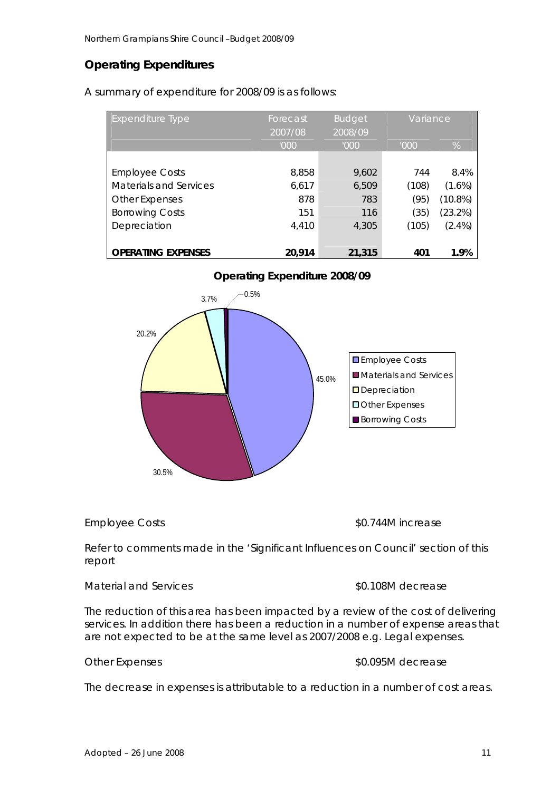### **Operating Expenditures**

| <b>Expenditure Type</b>       | Forecast<br>2007/08 | <b>Budget</b><br>2008/09 | Variance |           |
|-------------------------------|---------------------|--------------------------|----------|-----------|
|                               | '000'               | '000'                    | '000'    | %         |
|                               |                     |                          |          |           |
| <b>Employee Costs</b>         | 8,858               | 9,602                    | 744      | 8.4%      |
| <b>Materials and Services</b> | 6,617               | 6,509                    | (108)    | $(1.6\%)$ |
| <b>Other Expenses</b>         | 878                 | 783                      | (95)     | (10.8%)   |
| <b>Borrowing Costs</b>        | 151                 | 116                      | (35)     | (23.2%)   |
| Depreciation                  | 4.410               | 4,305                    | (105)    | $(2.4\%)$ |
|                               |                     |                          |          |           |
| <b>OPERATING EXPENSES</b>     | 20,914              | 21,315                   | 401      | 1.9%      |

A summary of expenditure for 2008/09 is as follows:

**Operating Expenditure 2008/09**



*Employee Costs \$0.744M increase* 

Refer to comments made in the 'Significant Influences on Council' section of this report

#### *Material and Services \$0.108M decrease*

The reduction of this area has been impacted by a review of the cost of delivering services. In addition there has been a reduction in a number of expense areas that are not expected to be at the same level as 2007/2008 e.g. Legal expenses.

*Other Expenses \$0.095M decrease* 

The decrease in expenses is attributable to a reduction in a number of cost areas.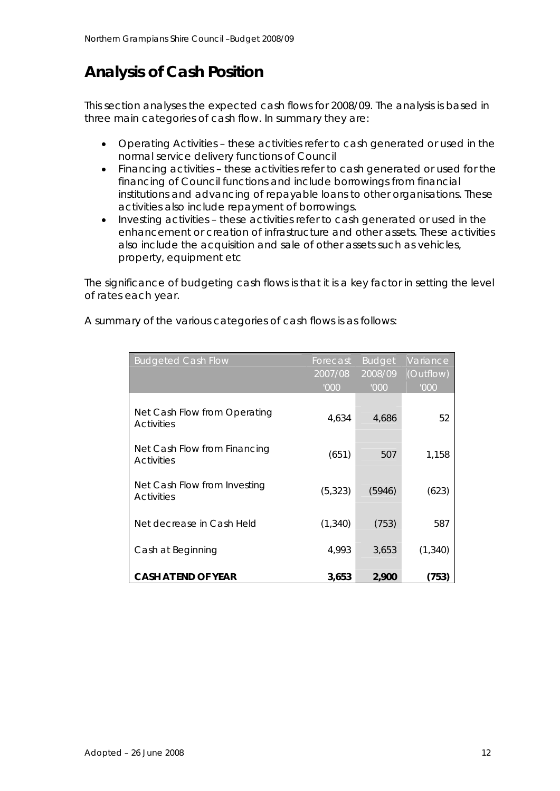# **Analysis of Cash Position**

This section analyses the expected cash flows for 2008/09. The analysis is based in three main categories of cash flow. In summary they are:

- Operating Activities these activities refer to cash generated or used in the normal service delivery functions of Council
- Financing activities these activities refer to cash generated or used for the financing of Council functions and include borrowings from financial institutions and advancing of repayable loans to other organisations. These activities also include repayment of borrowings.
- Investing activities these activities refer to cash generated or used in the enhancement or creation of infrastructure and other assets. These activities also include the acquisition and sale of other assets such as vehicles, property, equipment etc

The significance of budgeting cash flows is that it is a key factor in setting the level of rates each year.

| <b>Budgeted Cash Flow</b>                         | Forecast<br>2007/08<br>'000 | <b>Budget</b><br>2008/09<br>'000 | Variance<br>(Outflow)<br>'000 |
|---------------------------------------------------|-----------------------------|----------------------------------|-------------------------------|
|                                                   |                             |                                  |                               |
| Net Cash Flow from Operating<br>Activities        | 4,634                       | 4,686                            | 52                            |
| Net Cash Flow from Financing<br><b>Activities</b> | (651)                       | 507                              | 1,158                         |
| Net Cash Flow from Investing<br><b>Activities</b> | (5, 323)                    | (5946)                           | (623)                         |
| Net decrease in Cash Held                         | (1, 340)                    | (753)                            | 587                           |
| Cash at Beginning                                 | 4,993                       | 3,653                            | (1, 340)                      |
| <b>CASH AT END OF YEAR</b>                        | 3,653                       | 2,900                            | (753)                         |

A summary of the various categories of cash flows is as follows: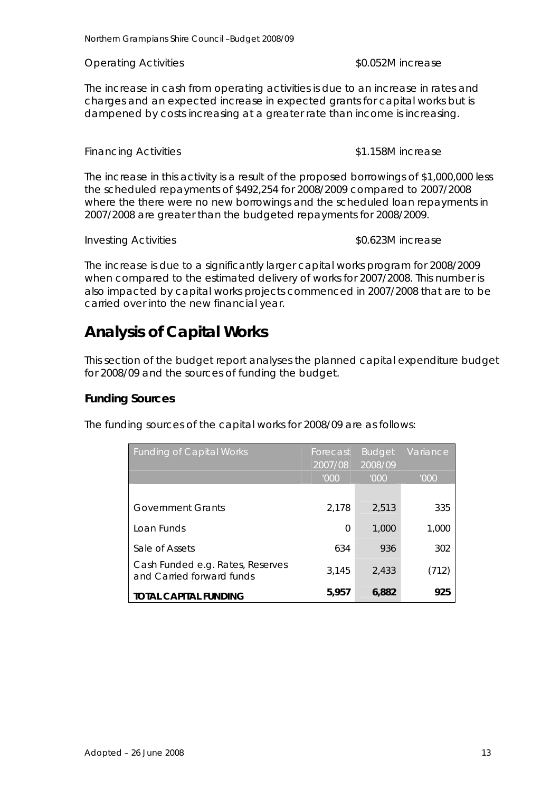#### *Operating Activities \$0.052M increase*

The increase in cash from operating activities is due to an increase in rates and charges and an expected increase in expected grants for capital works but is dampened by costs increasing at a greater rate than income is increasing.

#### *Financing Activities \$1.158M increase*

The increase in this activity is a result of the proposed borrowings of \$1,000,000 less the scheduled repayments of \$492,254 for 2008/2009 compared to 2007/2008 where the there were no new borrowings and the scheduled loan repayments in 2007/2008 are greater than the budgeted repayments for 2008/2009.

#### *Investing Activities \$0.623M increase*

The increase is due to a significantly larger capital works program for 2008/2009 when compared to the estimated delivery of works for 2007/2008. This number is also impacted by capital works projects commenced in 2007/2008 that are to be carried over into the new financial year.

# **Analysis of Capital Works**

This section of the budget report analyses the planned capital expenditure budget for 2008/09 and the sources of funding the budget.

#### **Funding Sources**

| <b>Funding of Capital Works</b>                               | Forecast<br>2007/08<br>'000 | <b>Budget</b><br>2008/09<br>'000 | Variance<br>'000 |
|---------------------------------------------------------------|-----------------------------|----------------------------------|------------------|
|                                                               |                             |                                  |                  |
| <b>Government Grants</b>                                      | 2.178                       | 2,513                            | 335              |
| Loan Funds                                                    | 0                           | 1,000                            | 1,000            |
| Sale of Assets                                                | 634                         | 936                              | 302              |
| Cash Funded e.g. Rates, Reserves<br>and Carried forward funds | 3.145                       | 2,433                            | (712)            |
| <b>TOTAL CAPITAL FUNDING</b>                                  | 5,957                       | 6,882                            | 925              |

The funding sources of the capital works for 2008/09 are as follows: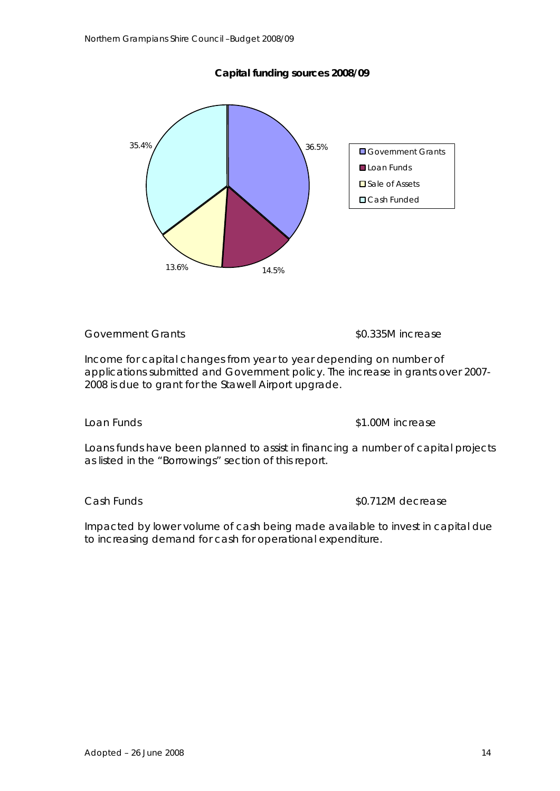#### **Capital funding sources 2008/09**



#### *Government Grants \$0.335M increase*

#### Income for capital changes from year to year depending on number of applications submitted and Government policy. The increase in grants over 2007- 2008 is due to grant for the Stawell Airport upgrade.

#### *Loan Funds \$1.00M increase*

Loans funds have been planned to assist in financing a number of capital projects as listed in the "Borrowings" section of this report.

Impacted by lower volume of cash being made available to invest in capital due to increasing demand for cash for operational expenditure.

#### *Cash Funds \$0.712M decrease*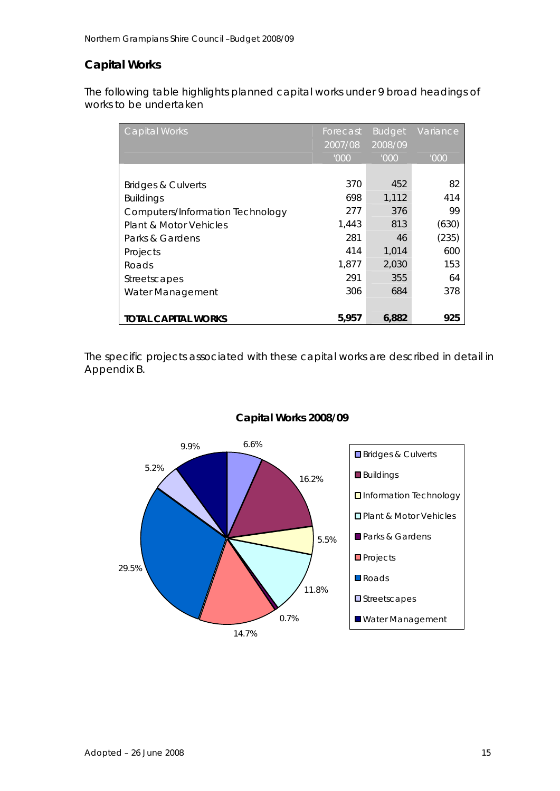#### **Capital Works**

The following table highlights planned capital works under 9 broad headings of works to be undertaken

| <b>Capital Works</b>             | Forecast<br>2007/08 | <b>Budget</b><br>2008/09 | Variance |
|----------------------------------|---------------------|--------------------------|----------|
|                                  | '000                | '000                     | '000'    |
|                                  |                     |                          |          |
| <b>Bridges &amp; Culverts</b>    | 370                 | 452                      | 82       |
| <b>Buildings</b>                 | 698                 | 1,112                    | 414      |
| Computers/Information Technology | 277                 | 376                      | 99       |
| Plant & Motor Vehicles           | 1,443               | 813                      | (630)    |
| Parks & Gardens                  | 281                 | 46                       | (235)    |
| Projects                         | 414                 | 1,014                    | 600      |
| Roads                            | 1.877               | 2,030                    | 153      |
| <b>Streetscapes</b>              | 291                 | 355                      | 64       |
| Water Management                 | 306                 | 684                      | 378      |
|                                  |                     |                          |          |
| <b>TOTAL CAPITAL WORKS</b>       | 5,957               | 6,882                    | 925      |

The specific projects associated with these capital works are described in detail in Appendix B.



#### **Capital Works 2008/09**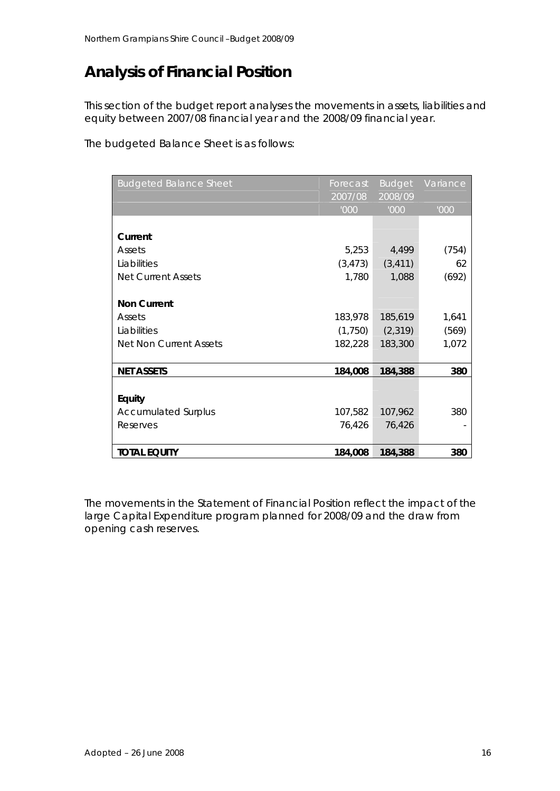# **Analysis of Financial Position**

This section of the budget report analyses the movements in assets, liabilities and equity between 2007/08 financial year and the 2008/09 financial year.

The budgeted Balance Sheet is as follows:

| <b>Budgeted Balance Sheet</b> | Forecast<br>2007/08 | <b>Budget</b><br>2008/09 | Variance |
|-------------------------------|---------------------|--------------------------|----------|
|                               | '000                | '000                     | '000     |
|                               |                     |                          |          |
| Current                       |                     |                          |          |
| Assets                        | 5,253               | 4,499                    | (754)    |
| Liabilities                   | (3, 473)            | (3, 411)                 | 62       |
| <b>Net Current Assets</b>     | 1,780               | 1,088                    | (692)    |
|                               |                     |                          |          |
| <b>Non Current</b>            |                     |                          |          |
| Assets                        | 183,978             | 185,619                  | 1,641    |
| Liabilities                   | (1,750)             | (2,319)                  | (569)    |
| <b>Net Non Current Assets</b> | 182,228             | 183,300                  | 1,072    |
|                               |                     |                          |          |
| <b>NET ASSETS</b>             | 184,008             | 184,388                  | 380      |
|                               |                     |                          |          |
| Equity                        |                     |                          |          |
| <b>Accumulated Surplus</b>    | 107,582             | 107,962                  | 380      |
| Reserves                      | 76,426              | 76,426                   |          |
|                               |                     |                          |          |
| <b>TOTAL EQUITY</b>           | 184,008             | 184,388                  | 380      |

The movements in the Statement of Financial Position reflect the impact of the large Capital Expenditure program planned for 2008/09 and the draw from opening cash reserves.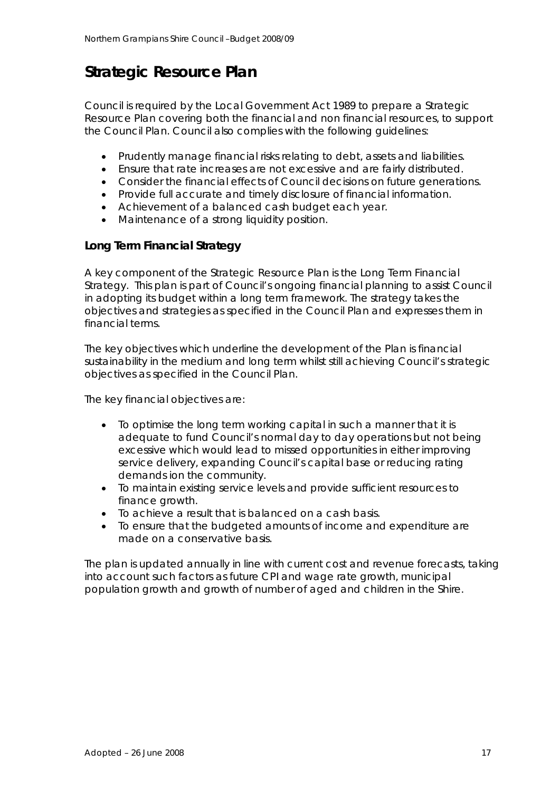# **Strategic Resource Plan**

Council is required by the Local Government Act 1989 to prepare a Strategic Resource Plan covering both the financial and non financial resources, to support the Council Plan. Council also complies with the following guidelines:

- Prudently manage financial risks relating to debt, assets and liabilities.
- Ensure that rate increases are not excessive and are fairly distributed.
- Consider the financial effects of Council decisions on future generations.
- Provide full accurate and timely disclosure of financial information.
- Achievement of a balanced cash budget each year.
- Maintenance of a strong liquidity position.

#### **Long Term Financial Strategy**

A key component of the Strategic Resource Plan is the Long Term Financial Strategy. This plan is part of Council's ongoing financial planning to assist Council in adopting its budget within a long term framework. The strategy takes the objectives and strategies as specified in the Council Plan and expresses them in financial terms.

The key objectives which underline the development of the Plan is financial sustainability in the medium and long term whilst still achieving Council's strategic objectives as specified in the Council Plan.

The key financial objectives are:

- To optimise the long term working capital in such a manner that it is adequate to fund Council's normal day to day operations but not being excessive which would lead to missed opportunities in either improving service delivery, expanding Council's capital base or reducing rating demands ion the community.
- To maintain existing service levels and provide sufficient resources to finance growth.
- To achieve a result that is balanced on a cash basis.
- To ensure that the budgeted amounts of income and expenditure are made on a conservative basis.

The plan is updated annually in line with current cost and revenue forecasts, taking into account such factors as future CPI and wage rate growth, municipal population growth and growth of number of aged and children in the Shire.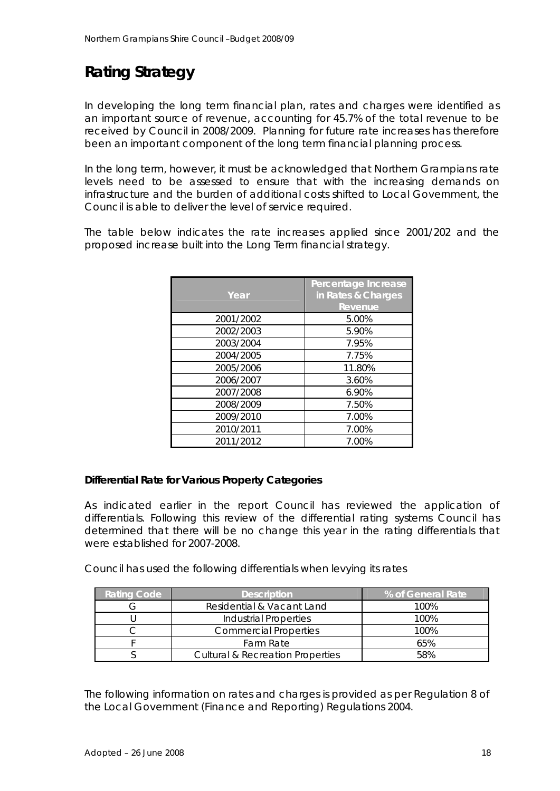# **Rating Strategy**

In developing the long term financial plan, rates and charges were identified as an important source of revenue, accounting for 45.7% of the total revenue to be received by Council in 2008/2009. Planning for future rate increases has therefore been an important component of the long term financial planning process.

In the long term, however, it must be acknowledged that Northern Grampians rate levels need to be assessed to ensure that with the increasing demands on infrastructure and the burden of additional costs shifted to Local Government, the Council is able to deliver the level of service required.

The table below indicates the rate increases applied since 2001/202 and the proposed increase built into the Long Term financial strategy.

| Year      | Percentage Increase<br>in Rates & Charges<br>Revenue |
|-----------|------------------------------------------------------|
| 2001/2002 | 5.00%                                                |
| 2002/2003 | 5.90%                                                |
| 2003/2004 | 7.95%                                                |
| 2004/2005 | 7.75%                                                |
| 2005/2006 | 11.80%                                               |
| 2006/2007 | 3.60%                                                |
| 2007/2008 | 6.90%                                                |
| 2008/2009 | 7.50%                                                |
| 2009/2010 | 7.00%                                                |
| 2010/2011 | 7.00%                                                |
| 2011/2012 | 7.00%                                                |

#### **Differential Rate for Various Property Categories**

As indicated earlier in the report Council has reviewed the application of differentials. Following this review of the differential rating systems Council has determined that there will be no change this year in the rating differentials that were established for 2007-2008.

Council has used the following differentials when levying its rates

| <b>Rating Code</b> | <b>Description</b>                          | % of General Rate |
|--------------------|---------------------------------------------|-------------------|
|                    | Residential & Vacant Land                   | 100%              |
|                    | <b>Industrial Properties</b>                | 100%              |
|                    | <b>Commercial Properties</b>                | 100%              |
|                    | Farm Rate                                   | 65%               |
|                    | <b>Cultural &amp; Recreation Properties</b> | 58%               |

The following information on rates and charges is provided as per Regulation 8 of the Local Government (Finance and Reporting) Regulations 2004.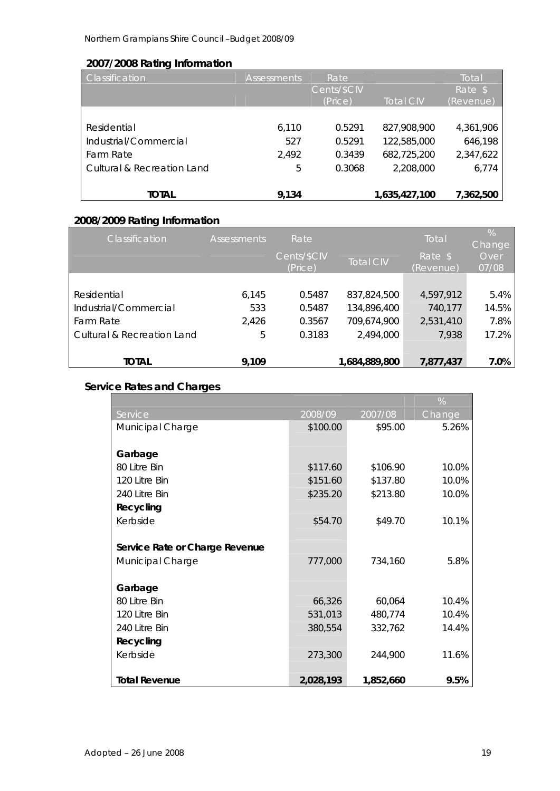#### **2007/2008 Rating Information**

| <b>Classification</b>      | <b>Assessments</b> | Rate        |                  | Total     |
|----------------------------|--------------------|-------------|------------------|-----------|
|                            |                    | Cents/\$CIV |                  | Rate \$   |
|                            |                    | (Price)     | <b>Total CIV</b> | (Revenue) |
|                            |                    |             |                  |           |
| Residential                | 6.110              | 0.5291      | 827,908,900      | 4,361,906 |
| Industrial/Commercial      | 527                | 0.5291      | 122,585,000      | 646,198   |
| Farm Rate                  | 2,492              | 0.3439      | 682,725,200      | 2,347,622 |
| Cultural & Recreation Land | 5                  | 0.3068      | 2,208,000        | 6,774     |
|                            |                    |             |                  |           |
| <b>TOTAL</b>               | 9,134              |             | 1,635,427,100    | 7,362,500 |

#### **2008/2009 Rating Information**

| Classification             | <b>Assessments</b> | Rate                   |                  | Total                | $\frac{1}{2}$<br>Change |
|----------------------------|--------------------|------------------------|------------------|----------------------|-------------------------|
|                            |                    | Cents/\$CIV<br>(Price) | <b>Total CIV</b> | Rate \$<br>(Revenue) | Over<br>07/08           |
|                            |                    |                        |                  |                      |                         |
| Residential                | 6.145              | 0.5487                 | 837,824,500      | 4,597,912            | 5.4%                    |
| Industrial/Commercial      | 533                | 0.5487                 | 134,896,400      | 740,177              | 14.5%                   |
| Farm Rate                  | 2,426              | 0.3567                 | 709,674,900      | 2,531,410            | 7.8%                    |
| Cultural & Recreation Land | 5                  | 0.3183                 | 2,494,000        | 7,938                | 17.2%                   |
|                            |                    |                        |                  |                      |                         |
| <b>TOTAL</b>               | 9,109              |                        | 1,684,889,800    | 7,877,437            | 7.0%                    |

#### **Service Rates and Charges**

|                                |           |           | %      |
|--------------------------------|-----------|-----------|--------|
| Service                        | 2008/09   | 2007/08   | Change |
| <b>Municipal Charge</b>        | \$100.00  | \$95.00   | 5.26%  |
|                                |           |           |        |
| Garbage                        |           |           |        |
| 80 Litre Bin                   | \$117.60  | \$106.90  | 10.0%  |
| 120 Litre Bin                  | \$151.60  | \$137.80  | 10.0%  |
| 240 Litre Bin                  | \$235.20  | \$213.80  | 10.0%  |
| Recycling                      |           |           |        |
| Kerbside                       | \$54.70   | \$49.70   | 10.1%  |
|                                |           |           |        |
| Service Rate or Charge Revenue |           |           |        |
| Municipal Charge               | 777,000   | 734,160   | 5.8%   |
|                                |           |           |        |
| Garbage                        |           |           |        |
| 80 Litre Bin                   | 66,326    | 60,064    | 10.4%  |
| 120 Litre Bin                  | 531,013   | 480,774   | 10.4%  |
| 240 Litre Bin                  | 380,554   | 332,762   | 14.4%  |
| Recycling                      |           |           |        |
| Kerbside                       | 273,300   | 244,900   | 11.6%  |
|                                |           |           |        |
| <b>Total Revenue</b>           | 2,028,193 | 1,852,660 | 9.5%   |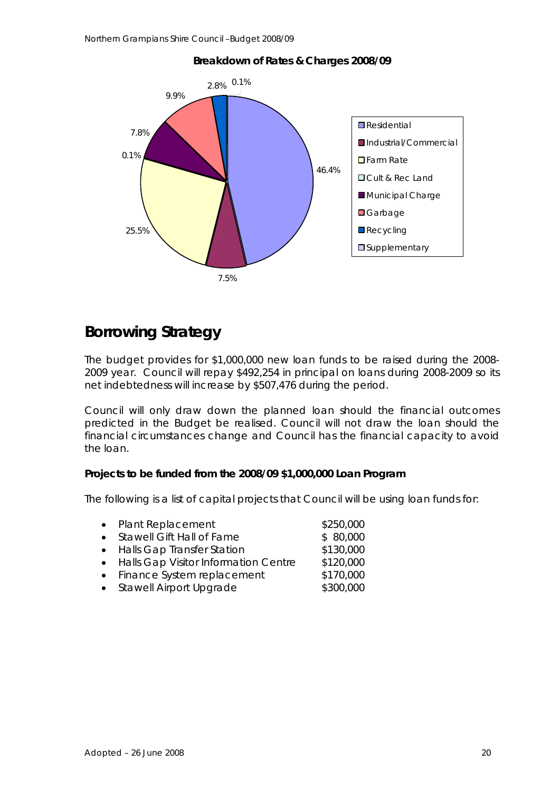

#### **Breakdown of Rates & Charges 2008/09**

# **Borrowing Strategy**

The budget provides for \$1,000,000 new loan funds to be raised during the 2008- 2009 year. Council will repay \$492,254 in principal on loans during 2008-2009 so its net indebtedness will increase by \$507,476 during the period.

Council will only draw down the planned loan should the financial outcomes predicted in the Budget be realised. Council will not draw the loan should the financial circumstances change and Council has the financial capacity to avoid the loan.

#### **Projects to be funded from the 2008/09 \$1,000,000 Loan Program**

The following is a list of capital projects that Council will be using loan funds for:

| \$250,000 |
|-----------|
| \$ 80,000 |
| \$130,000 |
| \$120,000 |
| \$170,000 |
| \$300,000 |
|           |
|           |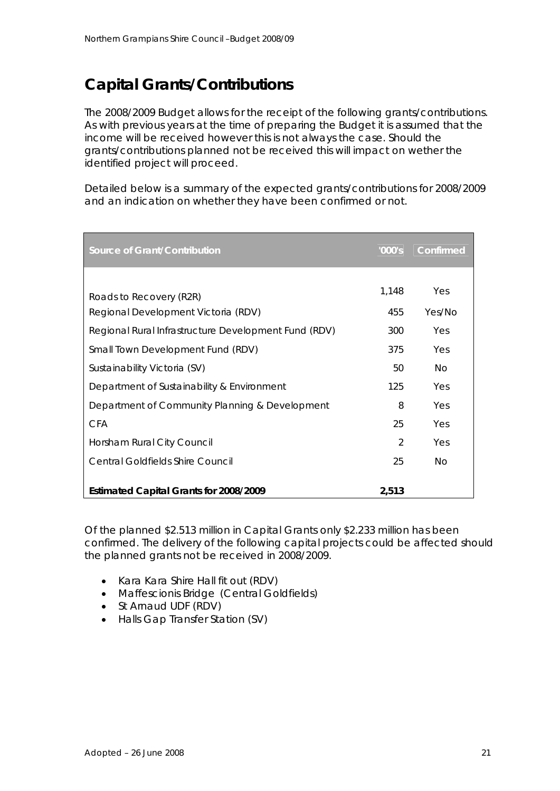# **Capital Grants/Contributions**

The 2008/2009 Budget allows for the receipt of the following grants/contributions. As with previous years at the time of preparing the Budget it is assumed that the income will be received however this is not always the case. Should the grants/contributions planned not be received this will impact on wether the identified project will proceed.

Detailed below is a summary of the expected grants/contributions for 2008/2009 and an indication on whether they have been confirmed or not.

| <b>Source of Grant/Contribution</b>                  | '000's        | Confirmed |
|------------------------------------------------------|---------------|-----------|
|                                                      |               |           |
| Roads to Recovery (R2R)                              | 1,148         | Yes       |
| Regional Development Victoria (RDV)                  | 455           | Yes/No    |
| Regional Rural Infrastructure Development Fund (RDV) | 300           | Yes       |
| Small Town Development Fund (RDV)                    | 375           | Yes       |
| Sustainability Victoria (SV)                         | 50            | No.       |
| Department of Sustainability & Environment           | 125           | Yes       |
| Department of Community Planning & Development       | 8             | Yes       |
| <b>CFA</b>                                           | 25            | Yes       |
| Horsham Rural City Council                           | $\mathcal{P}$ | Yes       |
| Central Goldfields Shire Council                     | 25            | No.       |
|                                                      |               |           |
| <b>Estimated Capital Grants for 2008/2009</b>        | 2,513         |           |

Of the planned \$2.513 million in Capital Grants only \$2.233 million has been confirmed. The delivery of the following capital projects could be affected should the planned grants not be received in 2008/2009.

- Kara Kara Shire Hall fit out (RDV)
- Maffescionis Bridge (Central Goldfields)
- St Arnaud UDF (RDV)
- Halls Gap Transfer Station (SV)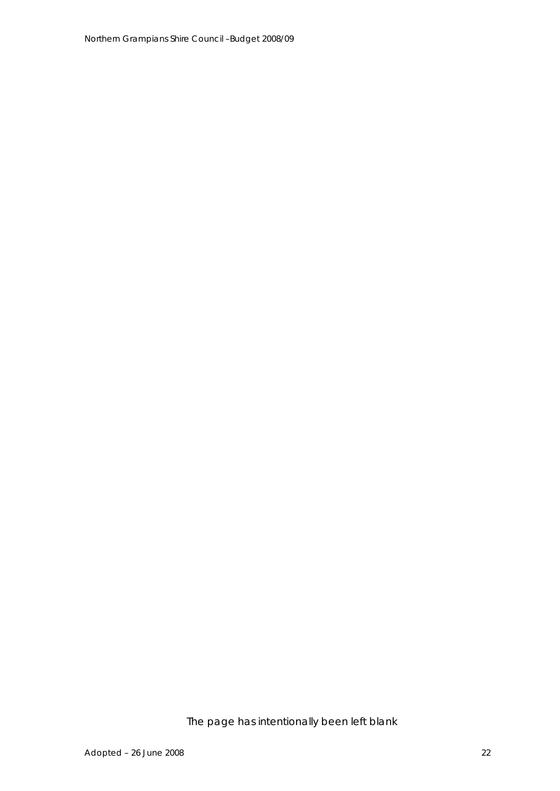The page has intentionally been left blank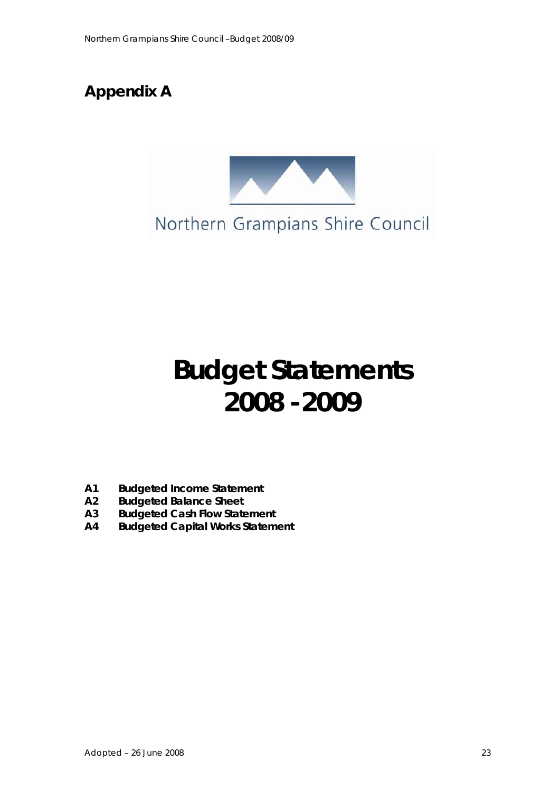

Northern Grampians Shire Council

# **Budget Statements 2008 -2009**

- **A1 Budgeted Income Statement**
- **A2 Budgeted Balance Sheet**
- **A3 Budgeted Cash Flow Statement**
- **A4 Budgeted Capital Works Statement**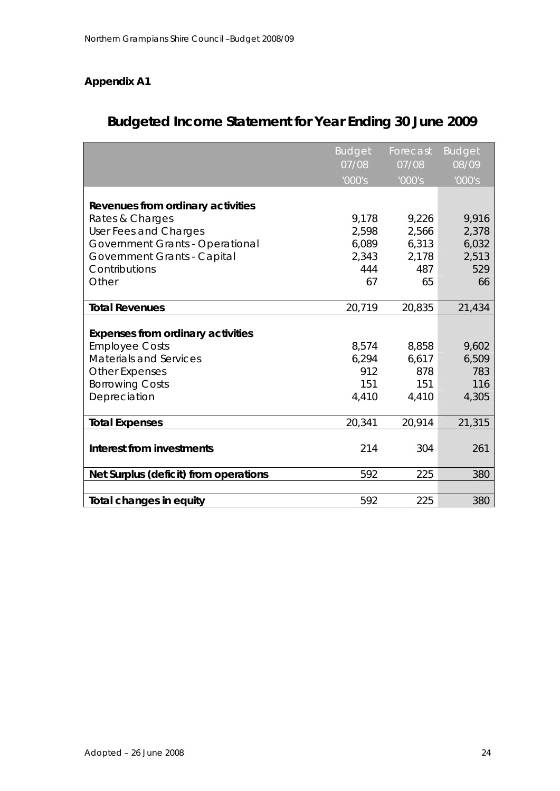# **Budgeted Income Statement for Year Ending 30 June 2009**

|                                                                                                                                                                       | <b>Budget</b><br>07/08                | Forecast<br>07/08                     | <b>Budget</b><br>08/09                |
|-----------------------------------------------------------------------------------------------------------------------------------------------------------------------|---------------------------------------|---------------------------------------|---------------------------------------|
|                                                                                                                                                                       | '000's                                | '000's                                | '000's                                |
| Revenues from ordinary activities<br>Rates & Charges<br>User Fees and Charges                                                                                         | 9,178<br>2,598                        | 9,226<br>2,566                        | 9,916<br>2,378                        |
| Government Grants - Operational<br>Government Grants - Capital<br>Contributions<br>Other                                                                              | 6,089<br>2,343<br>444<br>67           | 6,313<br>2,178<br>487<br>65           | 6,032<br>2,513<br>529<br>66           |
| <b>Total Revenues</b>                                                                                                                                                 | 20,719                                | 20,835                                | 21,434                                |
| <b>Expenses from ordinary activities</b><br><b>Employee Costs</b><br><b>Materials and Services</b><br><b>Other Expenses</b><br><b>Borrowing Costs</b><br>Depreciation | 8,574<br>6,294<br>912<br>151<br>4,410 | 8,858<br>6,617<br>878<br>151<br>4,410 | 9,602<br>6,509<br>783<br>116<br>4,305 |
| <b>Total Expenses</b>                                                                                                                                                 | 20,341                                | 20,914                                | 21,315                                |
| Interest from investments                                                                                                                                             | 214                                   | 304                                   | 261                                   |
| Net Surplus (deficit) from operations                                                                                                                                 | 592                                   | 225                                   | 380                                   |
| Total changes in equity                                                                                                                                               | 592                                   | 225                                   | 380                                   |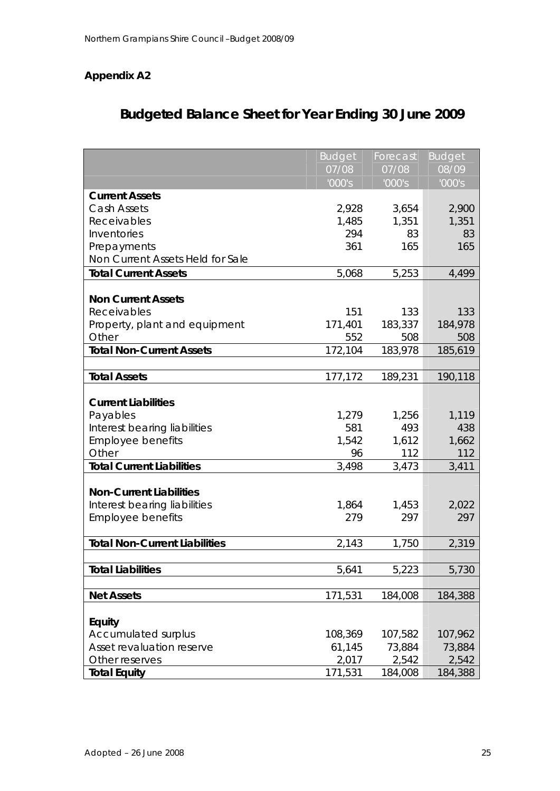# **Budgeted Balance Sheet for Year Ending 30 June 2009**

|                                                          | <b>Budget</b> | Forecast     | <b>Budget</b> |
|----------------------------------------------------------|---------------|--------------|---------------|
|                                                          | 07/08         | 07/08        | 08/09         |
|                                                          | '000's        | '000's       | '000's        |
| <b>Current Assets</b>                                    |               |              |               |
| Cash Assets                                              | 2,928         | 3,654        | 2,900         |
| Receivables                                              | 1,485         | 1,351        | 1,351         |
| Inventories                                              | 294           | 83           | 83            |
| Prepayments                                              | 361           | 165          | 165           |
| Non Current Assets Held for Sale                         |               |              |               |
| <b>Total Current Assets</b>                              | 5,068         | 5,253        | 4,499         |
|                                                          |               |              |               |
| <b>Non Current Assets</b>                                |               |              |               |
| Receivables                                              | 151           | 133          | 133           |
| Property, plant and equipment                            | 171,401       | 183,337      | 184,978       |
| Other                                                    | 552           | 508          | 508           |
| <b>Total Non-Current Assets</b>                          | 172,104       | 183,978      | 185,619       |
|                                                          |               |              |               |
| <b>Total Assets</b>                                      | 177,172       | 189,231      | 190,118       |
|                                                          |               |              |               |
| <b>Current Liabilities</b>                               |               |              |               |
| Payables                                                 | 1,279<br>581  | 1,256<br>493 | 1,119<br>438  |
| Interest bearing liabilities                             | 1,542         |              |               |
| <b>Employee benefits</b>                                 |               | 1,612        | 1,662         |
| Other                                                    | 96            | 112          | 112           |
| <b>Total Current Liabilities</b>                         | 3,498         | 3,473        | 3,411         |
| <b>Non-Current Liabilities</b>                           |               |              |               |
|                                                          | 1,864         |              |               |
| Interest bearing liabilities<br><b>Employee benefits</b> | 279           | 1,453<br>297 | 2,022<br>297  |
|                                                          |               |              |               |
| <b>Total Non-Current Liabilities</b>                     | 2,143         | 1,750        | 2,319         |
|                                                          |               |              |               |
| <b>Total Liabilities</b>                                 | 5,641         | 5,223        | 5,730         |
|                                                          |               |              |               |
| <b>Net Assets</b>                                        | 171,531       | 184,008      | 184,388       |
|                                                          |               |              |               |
| Equity                                                   |               |              |               |
| <b>Accumulated surplus</b>                               | 108,369       | 107,582      | 107,962       |
| Asset revaluation reserve                                | 61,145        | 73,884       | 73,884        |
| Other reserves                                           | 2,017         | 2,542        | 2,542         |
| <b>Total Equity</b>                                      | 171,531       | 184,008      | 184,388       |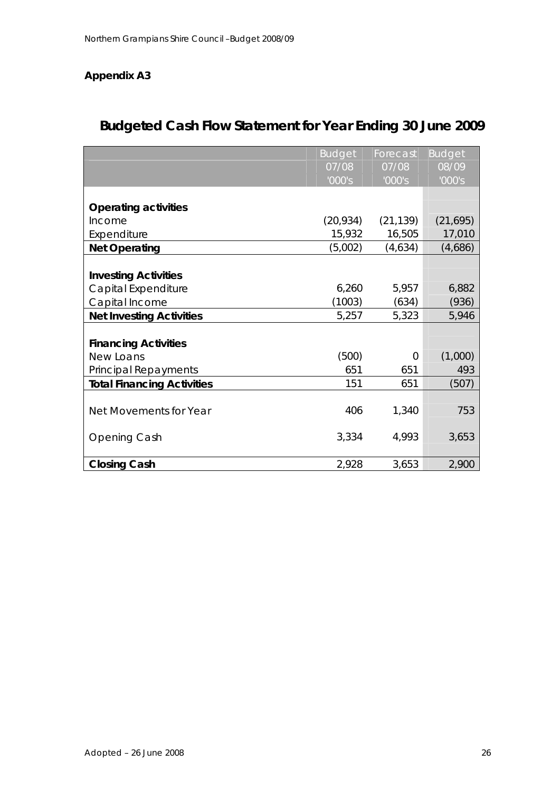# **Budgeted Cash Flow Statement for Year Ending 30 June 2009**

|                                   | <b>Budget</b><br>07/08 | Forecast<br>07/08 | <b>Budget</b><br>08/09 |
|-----------------------------------|------------------------|-------------------|------------------------|
|                                   | '000's                 | '000's            | '000's                 |
|                                   |                        |                   |                        |
| <b>Operating activities</b>       |                        |                   |                        |
| Income                            | (20, 934)              | (21, 139)         | (21, 695)              |
| Expenditure                       | 15,932                 | 16,505            | 17,010                 |
| <b>Net Operating</b>              | (5,002)                | (4,634)           | (4,686)                |
|                                   |                        |                   |                        |
| <b>Investing Activities</b>       |                        |                   |                        |
| Capital Expenditure               | 6,260                  | 5,957             | 6,882                  |
| Capital Income                    | (1003)                 | (634)             | (936)                  |
| <b>Net Investing Activities</b>   | 5,257                  | 5,323             | 5,946                  |
|                                   |                        |                   |                        |
| <b>Financing Activities</b>       |                        |                   |                        |
| New Loans                         | (500)                  | $\Omega$          | (1,000)                |
| <b>Principal Repayments</b>       | 651                    | 651               | 493                    |
| <b>Total Financing Activities</b> | 151                    | 651               | (507)                  |
|                                   |                        |                   |                        |
| Net Movements for Year            | 406                    | 1,340             | 753                    |
|                                   |                        |                   |                        |
| <b>Opening Cash</b>               | 3,334                  | 4,993             | 3,653                  |
|                                   |                        |                   |                        |
| <b>Closing Cash</b>               | 2,928                  | 3,653             | 2,900                  |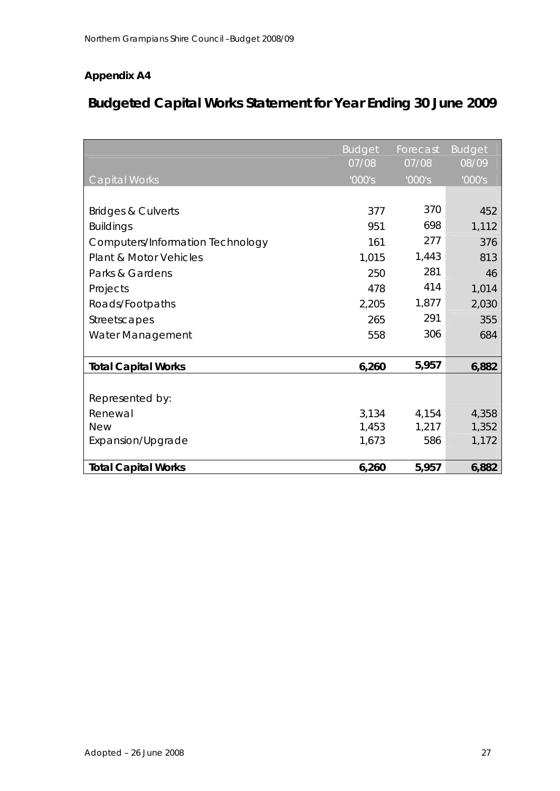# **Budgeted Capital Works Statement for Year Ending 30 June 2009**

|                                         | <b>Budget</b> | Forecast | <b>Budget</b> |
|-----------------------------------------|---------------|----------|---------------|
|                                         | 07/08         | 07/08    | 08/09         |
| <b>Capital Works</b>                    | '000's        | '000's   | '000's        |
|                                         |               |          |               |
| <b>Bridges &amp; Culverts</b>           | 377           | 370      | 452           |
| <b>Buildings</b>                        | 951           | 698      | 1,112         |
| <b>Computers/Information Technology</b> | 161           | 277      | 376           |
| <b>Plant &amp; Motor Vehicles</b>       | 1,015         | 1,443    | 813           |
| Parks & Gardens                         | 250           | 281      | 46            |
| Projects                                | 478           | 414      | 1,014         |
| Roads/Footpaths                         | 2,205         | 1,877    | 2,030         |
| <b>Streetscapes</b>                     | 265           | 291      | 355           |
| Water Management                        | 558           | 306      | 684           |
|                                         |               |          |               |
| <b>Total Capital Works</b>              | 6,260         | 5,957    | 6,882         |
|                                         |               |          |               |
| Represented by:                         |               |          |               |
| Renewal                                 | 3,134         | 4,154    | 4,358         |
| <b>New</b>                              | 1,453         | 1,217    | 1,352         |
| Expansion/Upgrade                       | 1,673         | 586      | 1,172         |
|                                         |               |          |               |
| <b>Total Capital Works</b>              | 6,260         | 5,957    | 6,882         |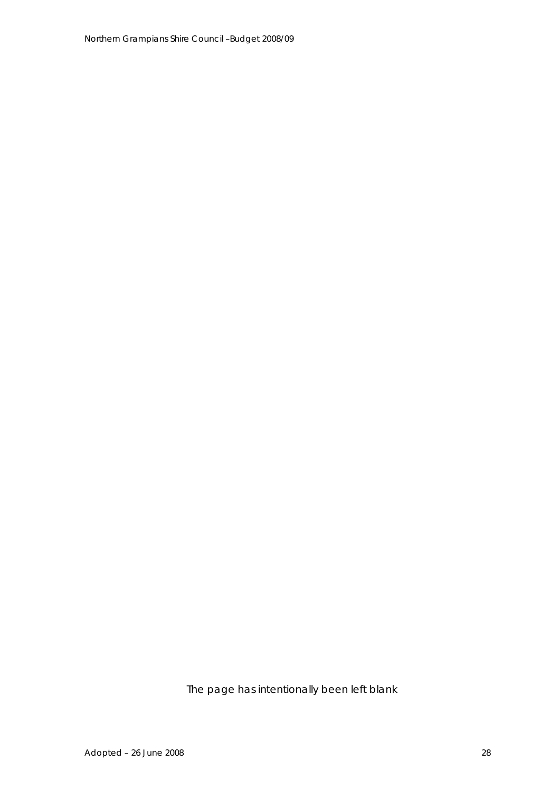The page has intentionally been left blank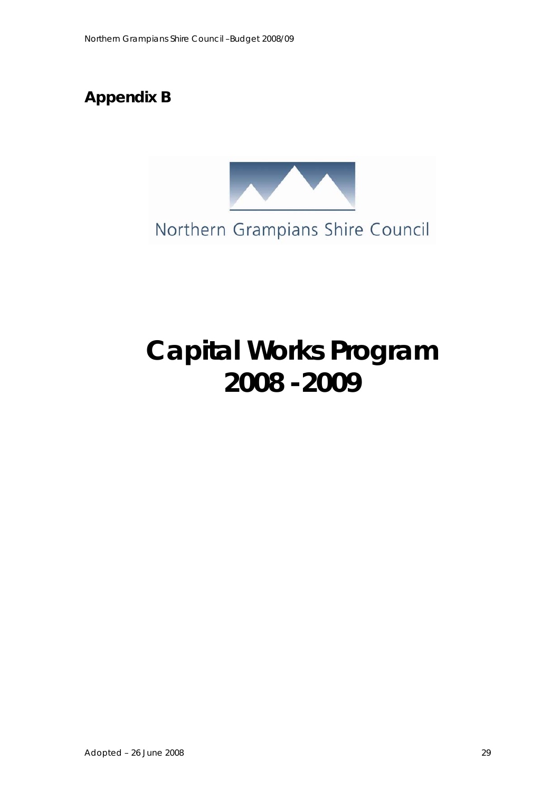# **Appendix B**



Northern Grampians Shire Council

# **Capital Works Program 2008 -2009**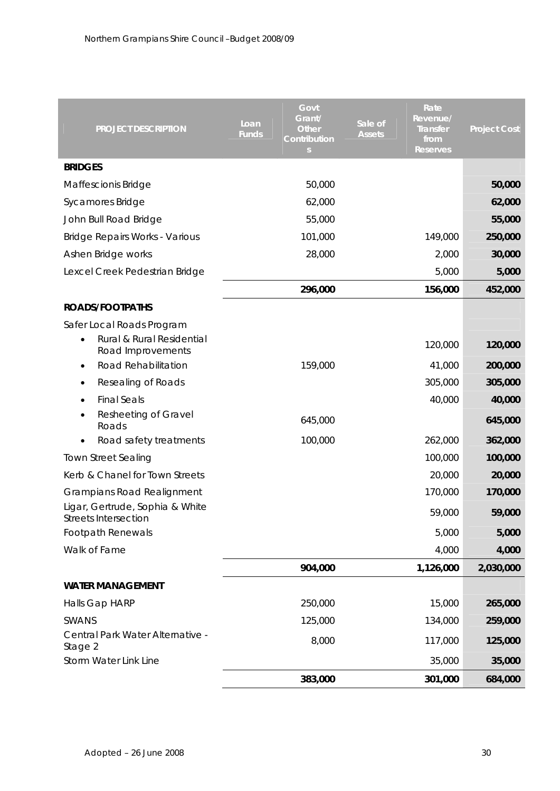| <b>PROJECT DESCRIPTION</b>                                                  | Govt<br>Grant/<br>Loan<br>Other<br><b>Funds</b><br>Contribution<br>S | Rate<br>Revenue/<br>Sale of<br><b>Transfer</b><br><b>Assets</b><br>from<br><b>Reserves</b> | <b>Project Cost</b> |
|-----------------------------------------------------------------------------|----------------------------------------------------------------------|--------------------------------------------------------------------------------------------|---------------------|
| <b>BRIDGES</b>                                                              |                                                                      |                                                                                            |                     |
| Maffescionis Bridge                                                         | 50,000                                                               |                                                                                            | 50,000              |
| Sycamores Bridge                                                            | 62,000                                                               |                                                                                            | 62,000              |
| John Bull Road Bridge                                                       | 55,000                                                               |                                                                                            | 55,000              |
| <b>Bridge Repairs Works - Various</b>                                       | 101,000                                                              | 149,000                                                                                    | 250,000             |
| Ashen Bridge works                                                          | 28,000                                                               | 2,000                                                                                      | 30,000              |
| Lexcel Creek Pedestrian Bridge                                              |                                                                      | 5,000                                                                                      | 5,000               |
|                                                                             | 296,000                                                              | 156,000                                                                                    | 452,000             |
| <b>ROADS/FOOTPATHS</b>                                                      |                                                                      |                                                                                            |                     |
| Safer Local Roads Program<br>Rural & Rural Residential<br>Road Improvements |                                                                      | 120,000                                                                                    | 120,000             |
| Road Rehabilitation<br>$\bullet$                                            | 159,000                                                              | 41,000                                                                                     | 200,000             |
| Resealing of Roads<br>٠                                                     |                                                                      | 305,000                                                                                    | 305,000             |
| <b>Final Seals</b>                                                          |                                                                      | 40,000                                                                                     | 40,000              |
| Resheeting of Gravel<br>Roads                                               | 645,000                                                              |                                                                                            | 645,000             |
| Road safety treatments                                                      | 100,000                                                              | 262,000                                                                                    | 362,000             |
| Town Street Sealing                                                         |                                                                      | 100,000                                                                                    | 100,000             |
| Kerb & Chanel for Town Streets                                              |                                                                      | 20,000                                                                                     | 20,000              |
| Grampians Road Realignment                                                  |                                                                      | 170,000                                                                                    | 170,000             |
| Ligar, Gertrude, Sophia & White<br><b>Streets Intersection</b>              |                                                                      | 59,000                                                                                     | 59,000              |
| Footpath Renewals                                                           |                                                                      | 5,000                                                                                      | 5,000               |
| Walk of Fame                                                                |                                                                      | 4,000                                                                                      | 4,000               |
|                                                                             | 904,000                                                              | 1,126,000                                                                                  | 2,030,000           |
| <b>WATER MANAGEMENT</b>                                                     |                                                                      |                                                                                            |                     |
| Halls Gap HARP                                                              | 250,000                                                              | 15,000                                                                                     | 265,000             |
| SWANS                                                                       | 125,000                                                              | 134,000                                                                                    | 259,000             |
| Central Park Water Alternative -<br>Stage 2                                 | 8,000                                                                | 117,000                                                                                    | 125,000             |
| Storm Water Link Line                                                       |                                                                      | 35,000                                                                                     | 35,000              |
|                                                                             | 383,000                                                              | 301,000                                                                                    | 684,000             |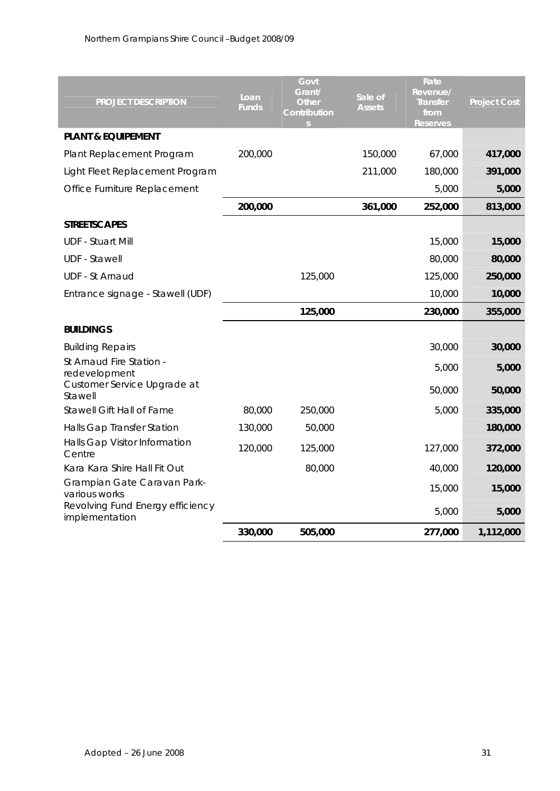| <b>PROJECT DESCRIPTION</b>                                               | Loan<br><b>Funds</b> | Govt<br>Grant/<br>Other<br>Contribution<br>$\overline{\mathbf{S}}$ | Sale of<br><b>Assets</b> | Rate<br>Revenue/<br><b>Transfer</b><br>from<br><b>Reserves</b> | <b>Project Cost</b> |
|--------------------------------------------------------------------------|----------------------|--------------------------------------------------------------------|--------------------------|----------------------------------------------------------------|---------------------|
| <b>PLANT &amp; EQUIPEMENT</b>                                            |                      |                                                                    |                          |                                                                |                     |
| Plant Replacement Program                                                | 200,000              |                                                                    | 150,000                  | 67,000                                                         | 417,000             |
| Light Fleet Replacement Program                                          |                      |                                                                    | 211,000                  | 180,000                                                        | 391,000             |
| Office Furniture Replacement                                             |                      |                                                                    |                          | 5,000                                                          | 5,000               |
|                                                                          | 200,000              |                                                                    | 361,000                  | 252,000                                                        | 813,000             |
| <b>STREETSCAPES</b>                                                      |                      |                                                                    |                          |                                                                |                     |
| <b>UDF - Stuart Mill</b>                                                 |                      |                                                                    |                          | 15,000                                                         | 15,000              |
| UDF - Stawell                                                            |                      |                                                                    |                          | 80,000                                                         | 80,000              |
| <b>UDF - St Arnaud</b>                                                   |                      | 125,000                                                            |                          | 125,000                                                        | 250,000             |
| Entrance signage - Stawell (UDF)                                         |                      |                                                                    |                          | 10,000                                                         | 10,000              |
|                                                                          |                      | 125,000                                                            |                          | 230,000                                                        | 355,000             |
| <b>BUILDINGS</b>                                                         |                      |                                                                    |                          |                                                                |                     |
| <b>Building Repairs</b>                                                  |                      |                                                                    |                          | 30,000                                                         | 30,000              |
| St Arnaud Fire Station -<br>redevelopment<br>Customer Service Upgrade at |                      |                                                                    |                          | 5,000                                                          | 5,000               |
| Stawell                                                                  |                      |                                                                    |                          | 50,000                                                         | 50,000              |
| Stawell Gift Hall of Fame                                                | 80,000               | 250,000                                                            |                          | 5,000                                                          | 335,000             |
| Halls Gap Transfer Station                                               | 130,000              | 50,000                                                             |                          |                                                                | 180,000             |
| Halls Gap Visitor Information<br>Centre                                  | 120,000              | 125,000                                                            |                          | 127,000                                                        | 372,000             |
| Kara Kara Shire Hall Fit Out                                             |                      | 80,000                                                             |                          | 40,000                                                         | 120,000             |
| Grampian Gate Caravan Park-<br>various works                             |                      |                                                                    |                          | 15,000                                                         | 15,000              |
| Revolving Fund Energy efficiency<br>implementation                       |                      |                                                                    |                          | 5,000                                                          | 5,000               |
|                                                                          | 330,000              | 505,000                                                            |                          | 277,000                                                        | 1,112,000           |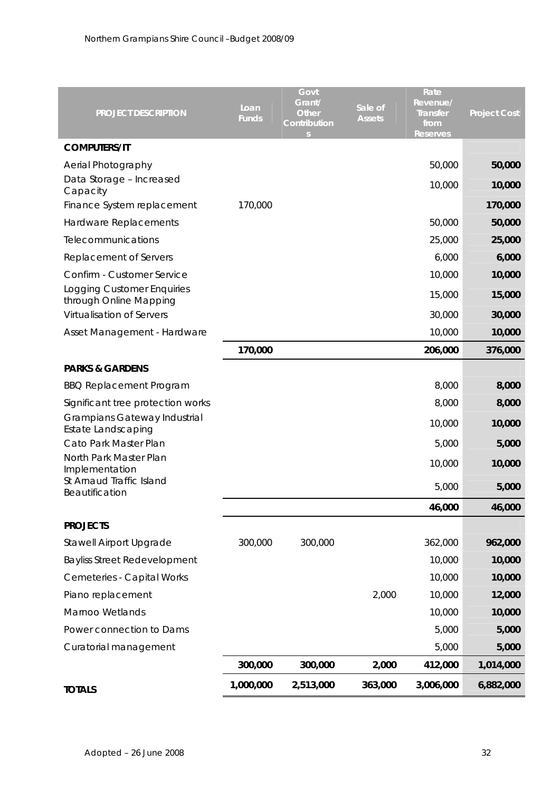| <b>PROJECT DESCRIPTION</b>                                  | Loan<br><b>Funds</b> | Govt<br>Grant/<br><b>Other</b><br>Contribution<br>$\overline{\mathbf{S}}$ | Sale of<br><b>Assets</b> | Rate<br>Revenue/<br><b>Transfer</b><br>from<br><b>Reserves</b> | <b>Project Cost</b> |
|-------------------------------------------------------------|----------------------|---------------------------------------------------------------------------|--------------------------|----------------------------------------------------------------|---------------------|
| <b>COMPUTERS/IT</b>                                         |                      |                                                                           |                          |                                                                |                     |
| Aerial Photography                                          |                      |                                                                           |                          | 50,000                                                         | 50,000              |
| Data Storage - Increased<br>Capacity                        |                      |                                                                           |                          | 10,000                                                         | 10,000              |
| Finance System replacement                                  | 170,000              |                                                                           |                          |                                                                | 170,000             |
| Hardware Replacements                                       |                      |                                                                           |                          | 50,000                                                         | 50,000              |
| Telecommunications                                          |                      |                                                                           |                          | 25,000                                                         | 25,000              |
| Replacement of Servers                                      |                      |                                                                           |                          | 6,000                                                          | 6,000               |
| Confirm - Customer Service                                  |                      |                                                                           |                          | 10,000                                                         | 10,000              |
| <b>Logging Customer Enquiries</b><br>through Online Mapping |                      |                                                                           |                          | 15,000                                                         | 15,000              |
| Virtualisation of Servers                                   |                      |                                                                           |                          | 30,000                                                         | 30,000              |
| Asset Management - Hardware                                 |                      |                                                                           |                          | 10,000                                                         | 10,000              |
|                                                             | 170,000              |                                                                           |                          | 206,000                                                        | 376,000             |
| <b>PARKS &amp; GARDENS</b>                                  |                      |                                                                           |                          |                                                                |                     |
| <b>BBQ Replacement Program</b>                              |                      |                                                                           |                          | 8,000                                                          | 8,000               |
| Significant tree protection works                           |                      |                                                                           |                          | 8,000                                                          | 8,000               |
| Grampians Gateway Industrial<br><b>Estate Landscaping</b>   |                      |                                                                           |                          | 10,000                                                         | 10,000              |
| Cato Park Master Plan                                       |                      |                                                                           |                          | 5,000                                                          | 5,000               |
| North Park Master Plan<br>Implementation                    |                      |                                                                           |                          | 10,000                                                         | 10,000              |
| St Arnaud Traffic Island<br>Beautification                  |                      |                                                                           |                          | 5,000                                                          | 5,000               |
|                                                             |                      |                                                                           |                          | 46,000                                                         | 46,000              |
| <b>PROJECTS</b>                                             |                      |                                                                           |                          |                                                                |                     |
| Stawell Airport Upgrade                                     | 300,000              | 300,000                                                                   |                          | 362,000                                                        | 962,000             |
| <b>Bayliss Street Redevelopment</b>                         |                      |                                                                           |                          | 10,000                                                         | 10,000              |
| <b>Cemeteries - Capital Works</b>                           |                      |                                                                           |                          | 10,000                                                         | 10,000              |
| Piano replacement                                           |                      |                                                                           | 2,000                    | 10,000                                                         | 12,000              |
| Marnoo Wetlands                                             |                      |                                                                           |                          | 10,000                                                         | 10,000              |
| Power connection to Dams                                    |                      |                                                                           |                          | 5,000                                                          | 5,000               |
| Curatorial management                                       |                      |                                                                           |                          | 5,000                                                          | 5,000               |
|                                                             | 300,000              | 300,000                                                                   | 2,000                    | 412,000                                                        | 1,014,000           |
| <b>TOTALS</b>                                               | 1,000,000            | 2,513,000                                                                 | 363,000                  | 3,006,000                                                      | 6,882,000           |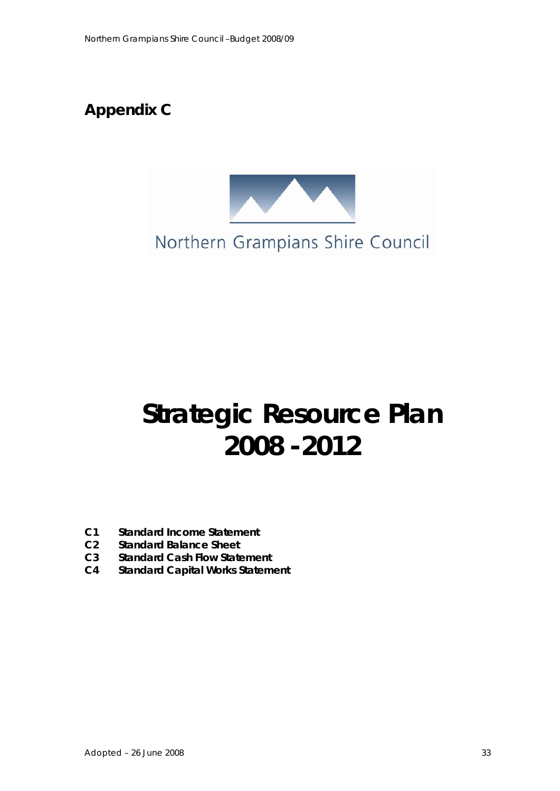

# Northern Grampians Shire Council

# **Strategic Resource Plan 2008 -2012**

- **C1 Standard Income Statement**
- **C2 Standard Balance Sheet**
- **C3 Standard Cash Flow Statement**
- **C4 Standard Capital Works Statement**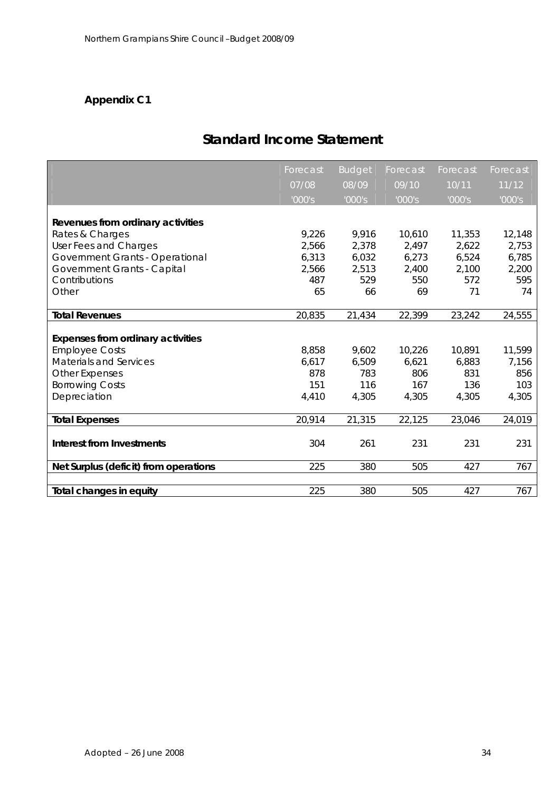## **Standard Income Statement**

|                                          | Forecast | <b>Budget</b> | Forecast | Forecast | Forecast |
|------------------------------------------|----------|---------------|----------|----------|----------|
|                                          | 07/08    | 08/09         | 09/10    | 10/11    | 11/12    |
|                                          | '000's   | '000's        | '000's   | '000's   | '000's   |
|                                          |          |               |          |          |          |
| Revenues from ordinary activities        |          |               |          |          |          |
| Rates & Charges                          | 9,226    | 9,916         | 10,610   | 11,353   | 12,148   |
| User Fees and Charges                    | 2,566    | 2,378         | 2,497    | 2,622    | 2,753    |
| Government Grants - Operational          | 6,313    | 6,032         | 6,273    | 6,524    | 6,785    |
| Government Grants - Capital              | 2,566    | 2,513         | 2,400    | 2,100    | 2,200    |
| Contributions                            | 487      | 529           | 550      | 572      | 595      |
| Other                                    | 65       | 66            | 69       | 71       | 74       |
|                                          |          |               |          |          |          |
| <b>Total Revenues</b>                    | 20,835   | 21,434        | 22,399   | 23,242   | 24,555   |
|                                          |          |               |          |          |          |
| <b>Expenses from ordinary activities</b> |          |               |          |          |          |
| <b>Employee Costs</b>                    | 8,858    | 9,602         | 10,226   | 10,891   | 11,599   |
| <b>Materials and Services</b>            | 6,617    | 6,509         | 6,621    | 6,883    | 7,156    |
| Other Expenses                           | 878      | 783           | 806      | 831      | 856      |
| <b>Borrowing Costs</b>                   | 151      | 116           | 167      | 136      | 103      |
| Depreciation                             | 4,410    | 4,305         | 4,305    | 4,305    | 4,305    |
|                                          |          |               |          |          |          |
| <b>Total Expenses</b>                    | 20,914   | 21,315        | 22,125   | 23,046   | 24,019   |
|                                          |          |               |          |          |          |
| Interest from Investments                | 304      | 261           | 231      | 231      | 231      |
|                                          | 225      | 380           | 505      | 427      | 767      |
| Net Surplus (deficit) from operations    |          |               |          |          |          |
|                                          |          |               |          |          |          |
| Total changes in equity                  | 225      | 380           | 505      | 427      | 767      |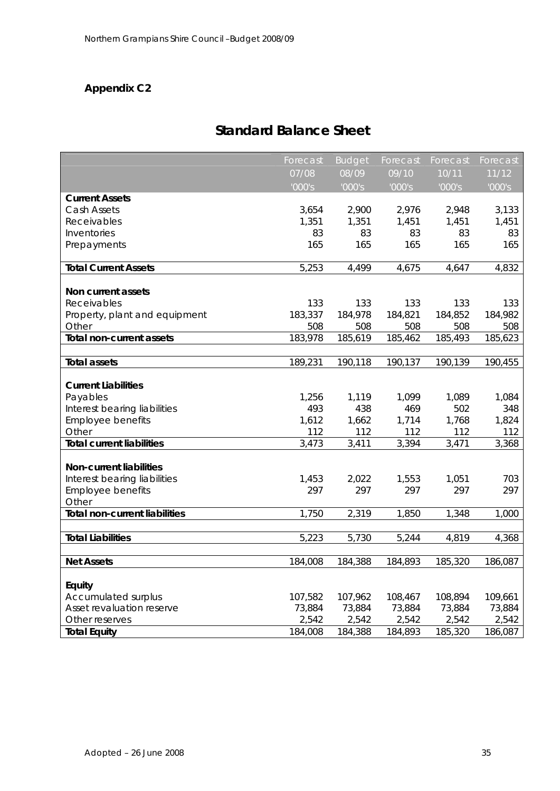## **Standard Balance Sheet**

|                                           | Forecast     | <b>Budget</b> | Forecast     | Forecast | Forecast     |
|-------------------------------------------|--------------|---------------|--------------|----------|--------------|
|                                           | 07/08        | 08/09         | 09/10        | 10/11    | 11/12        |
|                                           | '000's       | '000's        | '000's       | '000's   | '000's       |
| <b>Current Assets</b>                     |              |               |              |          |              |
| Cash Assets                               | 3,654        | 2,900         | 2,976        | 2,948    | 3,133        |
| Receivables                               | 1,351        | 1,351         | 1,451        | 1,451    | 1,451        |
| Inventories                               | 83           | 83            | 83           | 83       | 83           |
| Prepayments                               | 165          | 165           | 165          | 165      | 165          |
| <b>Total Current Assets</b>               | 5,253        | 4,499         | 4,675        | 4,647    | 4,832        |
| Non current assets                        |              |               |              |          |              |
| Receivables                               | 133          | 133           | 133          | 133      | 133          |
| Property, plant and equipment             | 183,337      | 184,978       | 184,821      | 184,852  | 184,982      |
| Other                                     | 508          | 508           | 508          | 508      | 508          |
| <b>Total non-current assets</b>           | 183,978      | 185,619       | 185,462      | 185,493  | 185,623      |
|                                           |              |               |              |          |              |
| <b>Total assets</b>                       | 189,231      | 190,118       | 190,137      | 190,139  | 190,455      |
|                                           |              |               |              |          |              |
| <b>Current Liabilities</b>                |              |               |              |          |              |
| Payables                                  | 1,256        | 1,119         | 1,099        | 1,089    | 1,084        |
| Interest bearing liabilities              | 493          | 438           | 469          | 502      | 348          |
| Employee benefits                         | 1,612        | 1,662         | 1,714        | 1,768    | 1,824        |
| Other<br><b>Total current liabilities</b> | 112<br>3,473 | 112<br>3,411  | 112<br>3,394 | 112      | 112<br>3,368 |
|                                           |              |               |              | 3,471    |              |
| <b>Non-current liabilities</b>            |              |               |              |          |              |
| Interest bearing liabilities              | 1,453        | 2,022         | 1,553        | 1,051    | 703          |
| <b>Employee benefits</b>                  | 297          | 297           | 297          | 297      | 297          |
| Other                                     |              |               |              |          |              |
| <b>Total non-current liabilities</b>      | 1,750        | 2,319         | 1,850        | 1,348    | 1,000        |
|                                           |              |               |              |          |              |
| <b>Total Liabilities</b>                  | 5,223        | 5,730         | 5,244        | 4,819    | 4,368        |
|                                           |              |               |              |          |              |
| <b>Net Assets</b>                         | 184,008      | 184,388       | 184,893      | 185,320  | 186,087      |
|                                           |              |               |              |          |              |
| Equity                                    |              |               |              |          |              |
| <b>Accumulated surplus</b>                | 107,582      | 107,962       | 108,467      | 108,894  | 109,661      |
| Asset revaluation reserve                 | 73,884       | 73,884        | 73,884       | 73,884   | 73,884       |
| Other reserves                            | 2,542        | 2,542         | 2,542        | 2,542    | 2,542        |
| <b>Total Equity</b>                       | 184,008      | 184,388       | 184,893      | 185,320  | 186,087      |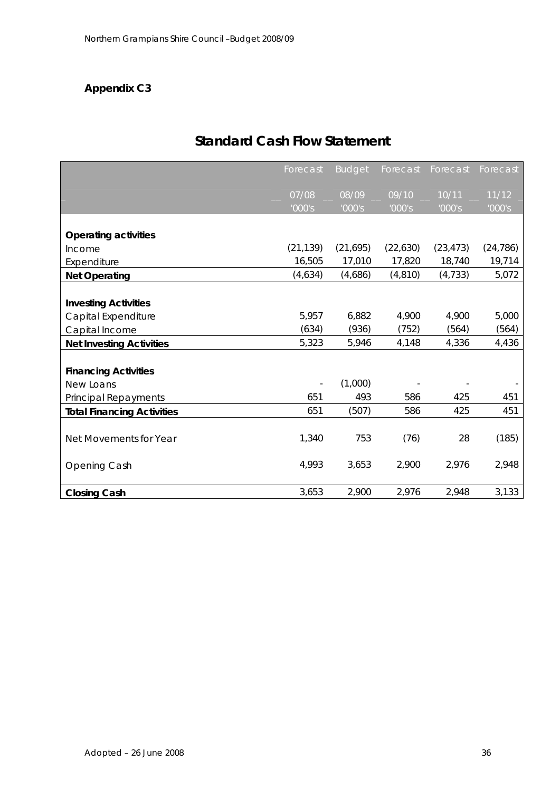## **Standard Cash Flow Statement**

|                                   | Forecast                 | <b>Budget</b>   | Forecast        | Forecast        | Forecast        |
|-----------------------------------|--------------------------|-----------------|-----------------|-----------------|-----------------|
|                                   | 07/08<br>'000's          | 08/09<br>'000's | 09/10<br>'000's | 10/11<br>'000's | 11/12<br>'000's |
|                                   |                          |                 |                 |                 |                 |
| <b>Operating activities</b>       |                          |                 |                 |                 |                 |
| Income                            | (21, 139)                | (21, 695)       | (22, 630)       | (23, 473)       | (24, 786)       |
| Expenditure                       | 16,505                   | 17,010          | 17,820          | 18,740          | 19,714          |
| <b>Net Operating</b>              | (4,634)                  | (4,686)         | (4, 810)        | (4, 733)        | 5,072           |
|                                   |                          |                 |                 |                 |                 |
| <b>Investing Activities</b>       |                          |                 |                 |                 |                 |
| Capital Expenditure               | 5,957                    | 6,882           | 4,900           | 4,900           | 5,000           |
| Capital Income                    | (634)                    | (936)           | (752)           | (564)           | (564)           |
| <b>Net Investing Activities</b>   | 5,323                    | 5,946           | 4,148           | 4,336           | 4,436           |
|                                   |                          |                 |                 |                 |                 |
| <b>Financing Activities</b>       |                          |                 |                 |                 |                 |
| New Loans                         | $\overline{\phantom{a}}$ | (1,000)         |                 |                 |                 |
| Principal Repayments              | 651                      | 493             | 586             | 425             | 451             |
| <b>Total Financing Activities</b> | 651                      | (507)           | 586             | 425             | 451             |
|                                   |                          |                 |                 |                 |                 |
| Net Movements for Year            | 1,340                    | 753             | (76)            | 28              | (185)           |
|                                   |                          |                 |                 |                 |                 |
| Opening Cash                      | 4,993                    | 3,653           | 2,900           | 2,976           | 2,948           |
|                                   |                          |                 |                 |                 |                 |
| <b>Closing Cash</b>               | 3,653                    | 2,900           | 2,976           | 2,948           | 3,133           |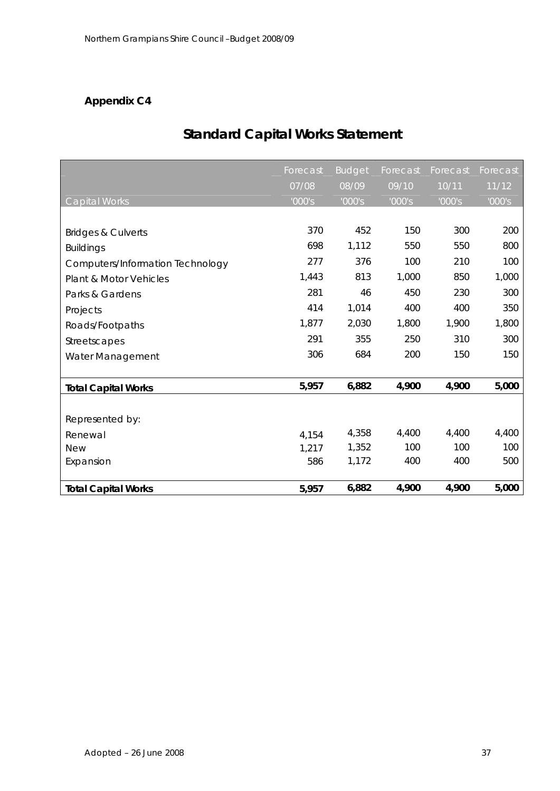### **Appendix C4**

## **Standard Capital Works Statement**

|                                  | Forecast | <b>Budget</b> | Forecast | Forecast | Forecast |
|----------------------------------|----------|---------------|----------|----------|----------|
|                                  | 07/08    | 08/09         | 09/10    | 10/11    | 11/12    |
| <b>Capital Works</b>             | '000's   | '000's        | '000's   | 000s     | '000's   |
|                                  |          |               |          |          |          |
| <b>Bridges &amp; Culverts</b>    | 370      | 452           | 150      | 300      | 200      |
| <b>Buildings</b>                 | 698      | 1,112         | 550      | 550      | 800      |
| Computers/Information Technology | 277      | 376           | 100      | 210      | 100      |
| Plant & Motor Vehicles           | 1,443    | 813           | 1,000    | 850      | 1,000    |
| Parks & Gardens                  | 281      | 46            | 450      | 230      | 300      |
| Projects                         | 414      | 1,014         | 400      | 400      | 350      |
| Roads/Footpaths                  | 1,877    | 2,030         | 1,800    | 1,900    | 1,800    |
| Streetscapes                     | 291      | 355           | 250      | 310      | 300      |
| Water Management                 | 306      | 684           | 200      | 150      | 150      |
|                                  |          |               |          |          |          |
| <b>Total Capital Works</b>       | 5,957    | 6,882         | 4,900    | 4,900    | 5,000    |
|                                  |          |               |          |          |          |
| Represented by:                  |          |               |          |          |          |
| Renewal                          | 4,154    | 4,358         | 4,400    | 4,400    | 4,400    |
| <b>New</b>                       | 1,217    | 1,352         | 100      | 100      | 100      |
| Expansion                        | 586      | 1,172         | 400      | 400      | 500      |
|                                  |          |               |          |          |          |
| <b>Total Capital Works</b>       | 5,957    | 6,882         | 4,900    | 4,900    | 5,000    |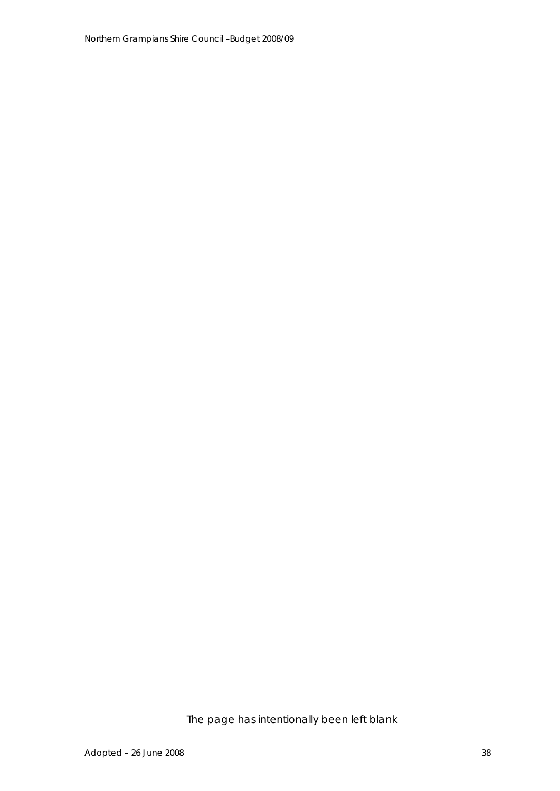The page has intentionally been left blank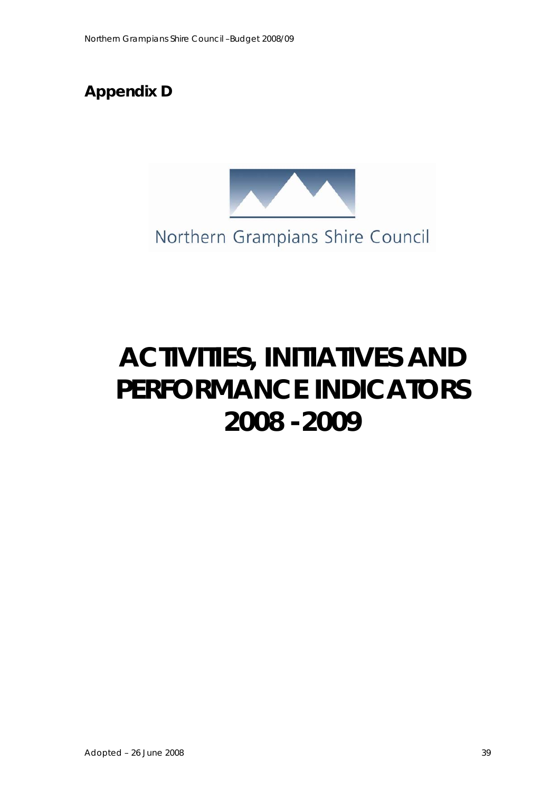## **Appendix D**



# **ACTIVITIES, INITIATIVES AND PERFORMANCE INDICATORS 2008 -2009**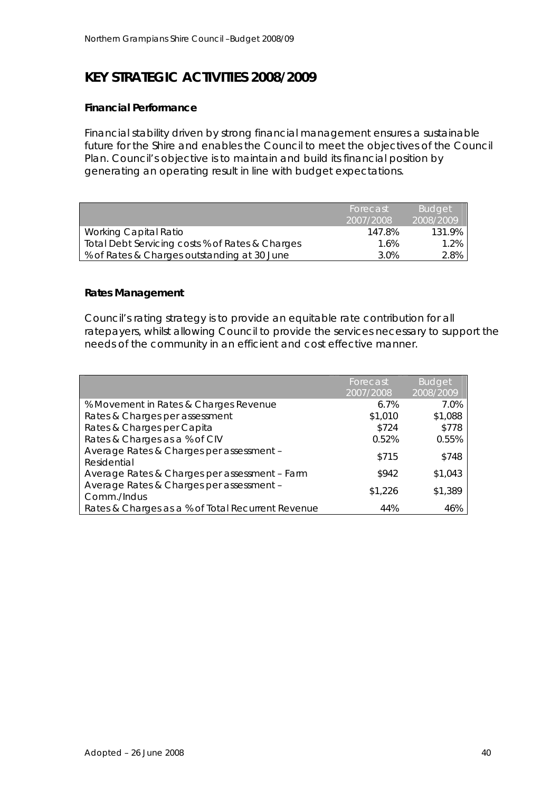### **KEY STRATEGIC ACTIVITIES 2008/2009**

#### **Financial Performance**

Financial stability driven by strong financial management ensures a sustainable future for the Shire and enables the Council to meet the objectives of the Council Plan. Council's objective is to maintain and build its financial position by generating an operating result in line with budget expectations.

|                                                 | Forecast<br>2007/2008 | <b>Budget</b><br>2008/2009 |
|-------------------------------------------------|-----------------------|----------------------------|
| <b>Working Capital Ratio</b>                    | 147.8%                | 131.9%                     |
| Total Debt Servicing costs % of Rates & Charges | 1.6%                  | 1.2%                       |
| % of Rates & Charges outstanding at 30 June     | 3.0%                  | 2.8%                       |

#### **Rates Management**

Council's rating strategy is to provide an equitable rate contribution for all ratepayers, whilst allowing Council to provide the services necessary to support the needs of the community in an efficient and cost effective manner.

|                                                         | Forecast  | <b>Budget</b> |
|---------------------------------------------------------|-----------|---------------|
|                                                         | 2007/2008 | 2008/2009     |
| % Movement in Rates & Charges Revenue                   | 6.7%      | 7.0%          |
| Rates & Charges per assessment                          | \$1,010   | \$1,088       |
| Rates & Charges per Capita                              | \$724     | \$778         |
| Rates & Charges as a % of CIV                           | 0.52%     | 0.55%         |
| Average Rates & Charges per assessment -<br>Residential | \$715     | \$748         |
|                                                         |           |               |
| Average Rates & Charges per assessment - Farm           | \$942     | \$1,043       |
| Average Rates & Charges per assessment -                | \$1,226   | \$1,389       |
| Comm./Indus                                             |           |               |
| Rates & Charges as a % of Total Recurrent Revenue       | 44%       | 46%           |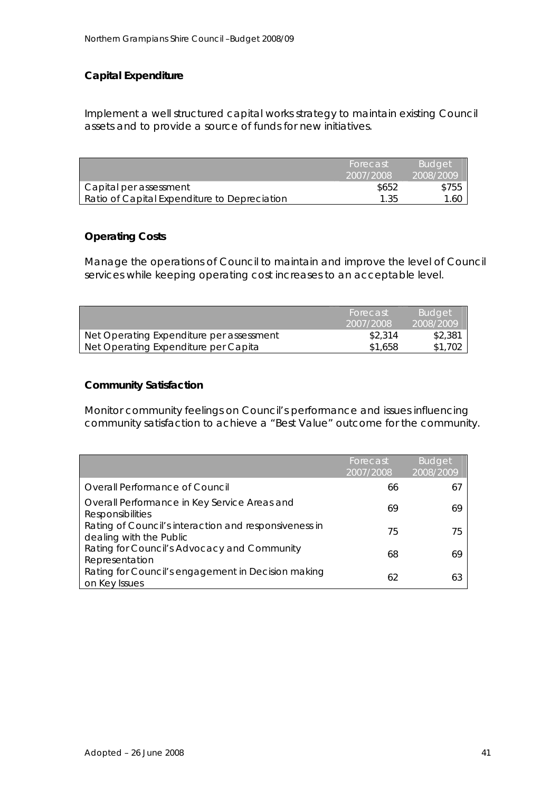#### **Capital Expenditure**

Implement a well structured capital works strategy to maintain existing Council assets and to provide a source of funds for new initiatives.

|                                              | Forecast<br>2007/2008 | <b>Budaet</b><br>2008/2009 |
|----------------------------------------------|-----------------------|----------------------------|
| Capital per assessment                       | \$652                 | \$755                      |
| Ratio of Capital Expenditure to Depreciation | 1.35                  | 1.60                       |

#### **Operating Costs**

Manage the operations of Council to maintain and improve the level of Council services while keeping operating cost increases to an acceptable level.

|                                          | Forecast  | <b>Budaet</b> |
|------------------------------------------|-----------|---------------|
|                                          | 2007/2008 | 2008/2009     |
| Net Operating Expenditure per assessment | \$2.314   | \$2,381       |
| Net Operating Expenditure per Capita     | \$1,658   | \$1,702       |

#### **Community Satisfaction**

Monitor community feelings on Council's performance and issues influencing community satisfaction to achieve a "Best Value" outcome for the community.

|                                                                                  | Forecast<br>2007/2008 | <b>Budget</b><br>2008/2009 |
|----------------------------------------------------------------------------------|-----------------------|----------------------------|
| Overall Performance of Council                                                   | 66                    | 67                         |
| Overall Performance in Key Service Areas and<br><b>Responsibilities</b>          | 69                    | 69                         |
| Rating of Council's interaction and responsiveness in<br>dealing with the Public | 75                    | 75                         |
| Rating for Council's Advocacy and Community<br>Representation                    | 68                    | 69                         |
| Rating for Council's engagement in Decision making<br>on Key Issues              | 62                    | 63                         |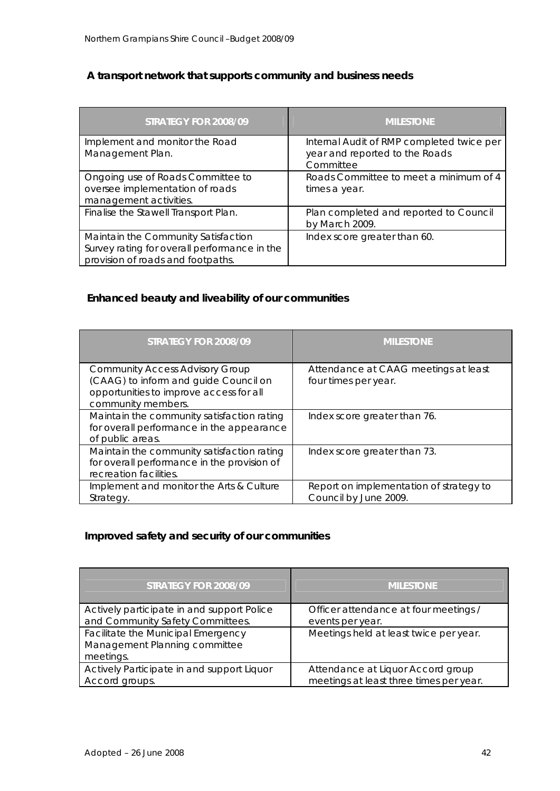#### **A transport network that supports community and business needs**

| STRATEGY FOR 2008/09                                                                                                     | <b>MILESTONE</b>                                                                         |
|--------------------------------------------------------------------------------------------------------------------------|------------------------------------------------------------------------------------------|
| Implement and monitor the Road<br>Management Plan.                                                                       | Internal Audit of RMP completed twice per<br>year and reported to the Roads<br>Committee |
| Ongoing use of Roads Committee to<br>oversee implementation of roads<br>management activities.                           | Roads Committee to meet a minimum of 4<br>times a year.                                  |
| Finalise the Stawell Transport Plan.                                                                                     | Plan completed and reported to Council<br>by March 2009.                                 |
| Maintain the Community Satisfaction<br>Survey rating for overall performance in the<br>provision of roads and footpaths. | Index score greater than 60.                                                             |

#### **Enhanced beauty and liveability of our communities**

| STRATEGY FOR 2008/09                                                                                                                             | <b>MILESTONE</b>                                                 |
|--------------------------------------------------------------------------------------------------------------------------------------------------|------------------------------------------------------------------|
| <b>Community Access Advisory Group</b><br>(CAAG) to inform and guide Council on<br>opportunities to improve access for all<br>community members. | Attendance at CAAG meetings at least<br>four times per year.     |
| Maintain the community satisfaction rating<br>for overall performance in the appearance<br>of public areas.                                      | Index score greater than 76.                                     |
| Maintain the community satisfaction rating<br>for overall performance in the provision of<br>recreation facilities.                              | Index score greater than 73.                                     |
| Implement and monitor the Arts & Culture<br>Strategy.                                                                                            | Report on implementation of strategy to<br>Council by June 2009. |

#### **Improved safety and security of our communities**

| STRATEGY FOR 2008/09                                                             | <b>MILESTONE</b>                        |
|----------------------------------------------------------------------------------|-----------------------------------------|
| Actively participate in and support Police                                       | Officer attendance at four meetings /   |
| and Community Safety Committees.                                                 | events per year.                        |
| Facilitate the Municipal Emergency<br>Management Planning committee<br>meetings. | Meetings held at least twice per year.  |
| Actively Participate in and support Liquor                                       | Attendance at Liquor Accord group       |
| Accord groups.                                                                   | meetings at least three times per year. |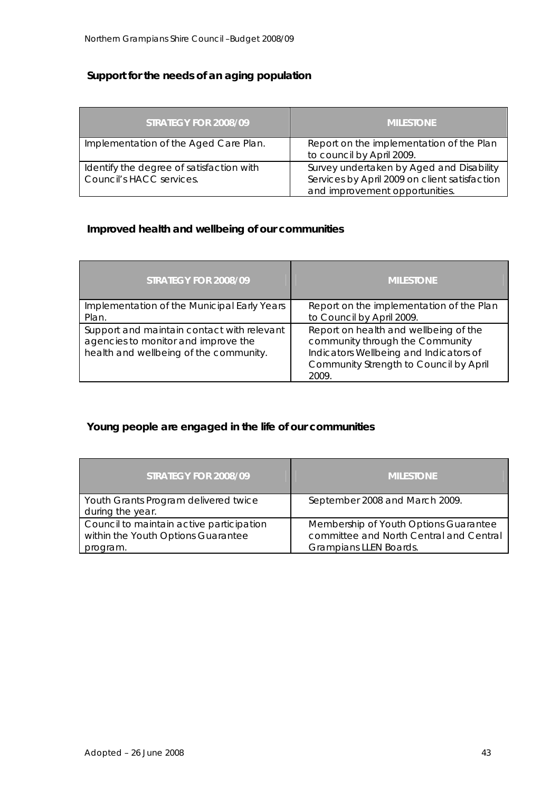#### **Support for the needs of an aging population**

| STRATEGY FOR 2008/09                                                 | <b>MILESTONE</b>                                                                                                            |
|----------------------------------------------------------------------|-----------------------------------------------------------------------------------------------------------------------------|
| Implementation of the Aged Care Plan.                                | Report on the implementation of the Plan<br>to council by April 2009.                                                       |
| Identify the degree of satisfaction with<br>Council's HACC services. | Survey undertaken by Aged and Disability<br>Services by April 2009 on client satisfaction<br>and improvement opportunities. |

#### **Improved health and wellbeing of our communities**

| <b>STRATEGY FOR 2008/09</b>                                                                                                 | <b>MILESTONE</b>                                                                                                                                                      |
|-----------------------------------------------------------------------------------------------------------------------------|-----------------------------------------------------------------------------------------------------------------------------------------------------------------------|
| Implementation of the Municipal Early Years<br>Plan.                                                                        | Report on the implementation of the Plan<br>to Council by April 2009.                                                                                                 |
| Support and maintain contact with relevant<br>agencies to monitor and improve the<br>health and wellbeing of the community. | Report on health and wellbeing of the<br>community through the Community<br>Indicators Wellbeing and Indicators of<br>Community Strength to Council by April<br>2009. |

#### **Young people are engaged in the life of our communities**

| STRATEGY FOR 2008/09                                                                       | <b>MILESTONE</b>                                                                                           |
|--------------------------------------------------------------------------------------------|------------------------------------------------------------------------------------------------------------|
| Youth Grants Program delivered twice<br>during the year.                                   | September 2008 and March 2009.                                                                             |
| Council to maintain active participation<br>within the Youth Options Guarantee<br>program. | Membership of Youth Options Guarantee<br>committee and North Central and Central<br>Grampians LLEN Boards. |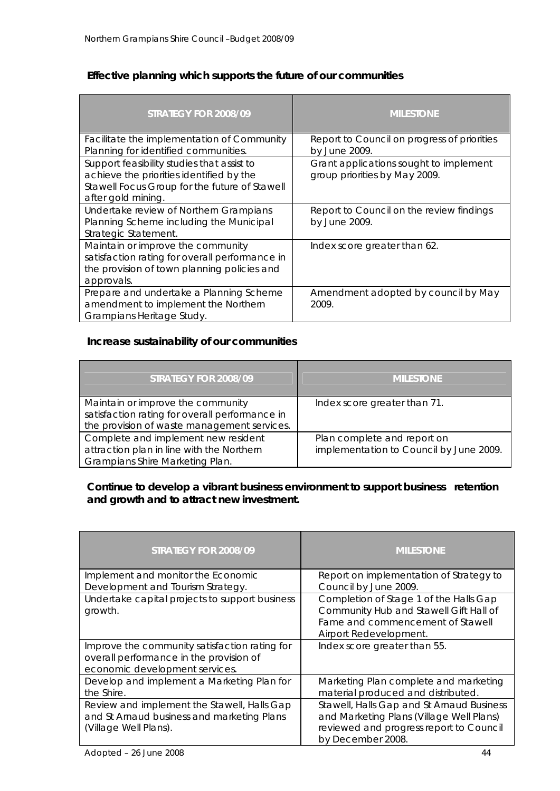#### **Effective planning which supports the future of our communities**

| STRATEGY FOR 2008/09                                                                                                                                          | <b>MILESTONE</b>                                                        |
|---------------------------------------------------------------------------------------------------------------------------------------------------------------|-------------------------------------------------------------------------|
| Facilitate the implementation of Community<br>Planning for identified communities.                                                                            | Report to Council on progress of priorities<br>by June 2009.            |
| Support feasibility studies that assist to<br>achieve the priorities identified by the<br>Stawell Focus Group for the future of Stawell<br>after gold mining. | Grant applications sought to implement<br>group priorities by May 2009. |
| Undertake review of Northern Grampians<br>Planning Scheme including the Municipal<br>Strategic Statement.                                                     | Report to Council on the review findings<br>by June 2009.               |
| Maintain or improve the community<br>satisfaction rating for overall performance in<br>the provision of town planning policies and<br>approvals.              | Index score greater than 62.                                            |
| Prepare and undertake a Planning Scheme<br>amendment to implement the Northern<br>Grampians Heritage Study.                                                   | Amendment adopted by council by May<br>2009.                            |

#### **Increase sustainability of our communities**

| STRATEGY FOR 2008/09                                                                                                               | <b>MILESTONE</b>                                                       |
|------------------------------------------------------------------------------------------------------------------------------------|------------------------------------------------------------------------|
| Maintain or improve the community<br>satisfaction rating for overall performance in<br>the provision of waste management services. | Index score greater than 71.                                           |
| Complete and implement new resident<br>attraction plan in line with the Northern<br>Grampians Shire Marketing Plan.                | Plan complete and report on<br>implementation to Council by June 2009. |

#### **Continue to develop a vibrant business environment to support business retention and growth and to attract new investment.**

| STRATEGY FOR 2008/09                                                                                               | <b>MILESTONE</b>                                                                                                                                                               |
|--------------------------------------------------------------------------------------------------------------------|--------------------------------------------------------------------------------------------------------------------------------------------------------------------------------|
| Implement and monitor the Economic<br>Development and Tourism Strategy.                                            | Report on implementation of Strategy to<br>Council by June 2009.                                                                                                               |
| Undertake capital projects to support business<br>growth.<br>Improve the community satisfaction rating for         | Completion of Stage 1 of the Halls Gap<br>Community Hub and Stawell Gift Hall of<br>Fame and commencement of Stawell<br>Airport Redevelopment.<br>Index score greater than 55. |
| overall performance in the provision of<br>economic development services.                                          |                                                                                                                                                                                |
| Develop and implement a Marketing Plan for<br>the Shire.                                                           | Marketing Plan complete and marketing<br>material produced and distributed.                                                                                                    |
| Review and implement the Stawell, Halls Gap<br>and St Arnaud business and marketing Plans<br>(Village Well Plans). | Stawell, Halls Gap and St Arnaud Business<br>and Marketing Plans (Village Well Plans)<br>reviewed and progress report to Council<br>by December 2008.                          |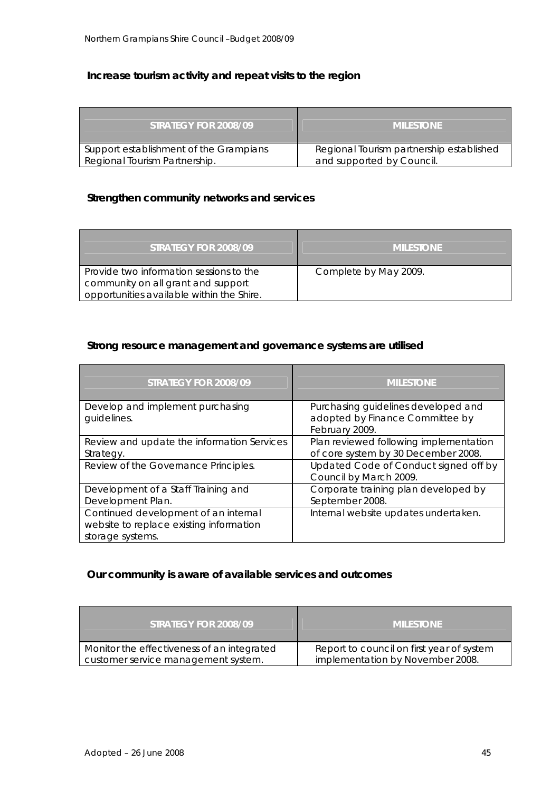#### **Increase tourism activity and repeat visits to the region**

| <b>STRATEGY FOR 2008/09</b>            | <b>MILESTONE</b>                         |
|----------------------------------------|------------------------------------------|
| Support establishment of the Grampians | Regional Tourism partnership established |
| Regional Tourism Partnership.          | and supported by Council.                |

#### **Strengthen community networks and services**

| STRATEGY FOR 2008/09                                                                                                       | I MILESTONE '         |
|----------------------------------------------------------------------------------------------------------------------------|-----------------------|
| Provide two information sessions to the<br>community on all grant and support<br>opportunities available within the Shire. | Complete by May 2009. |

#### **Strong resource management and governance systems are utilised**

| STRATEGY FOR 2008/09                                                                                | <b>MILESTONE</b>                                                                         |
|-----------------------------------------------------------------------------------------------------|------------------------------------------------------------------------------------------|
| Develop and implement purchasing<br>guidelines.                                                     | Purchasing guidelines developed and<br>adopted by Finance Committee by<br>February 2009. |
| Review and update the information Services<br>Strategy.                                             | Plan reviewed following implementation<br>of core system by 30 December 2008.            |
| Review of the Governance Principles.                                                                | Updated Code of Conduct signed off by<br>Council by March 2009.                          |
| Development of a Staff Training and<br>Development Plan.                                            | Corporate training plan developed by<br>September 2008.                                  |
| Continued development of an internal<br>website to replace existing information<br>storage systems. | Internal website updates undertaken.                                                     |

#### **Our community is aware of available services and outcomes**

| STRATEGY FOR 2008/09                       | <b>MILESTONE</b>                          |
|--------------------------------------------|-------------------------------------------|
| Monitor the effectiveness of an integrated | Report to council on first year of system |
| customer service management system.        | implementation by November 2008.          |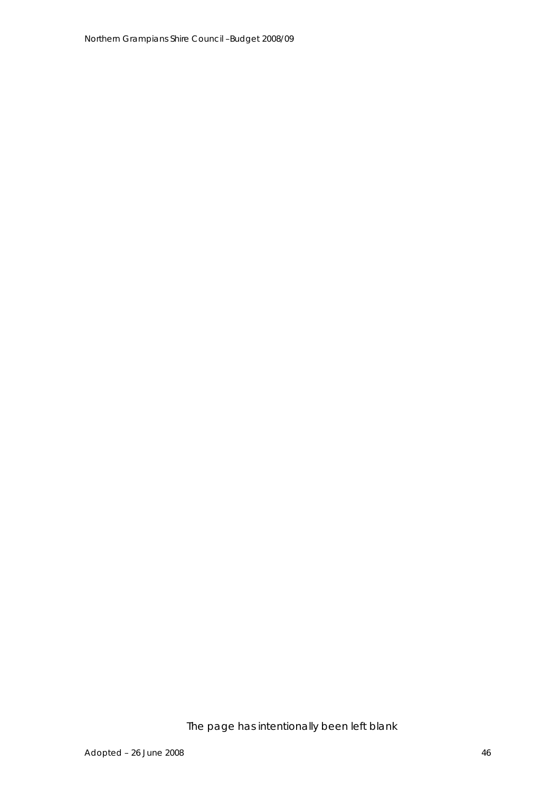The page has intentionally been left blank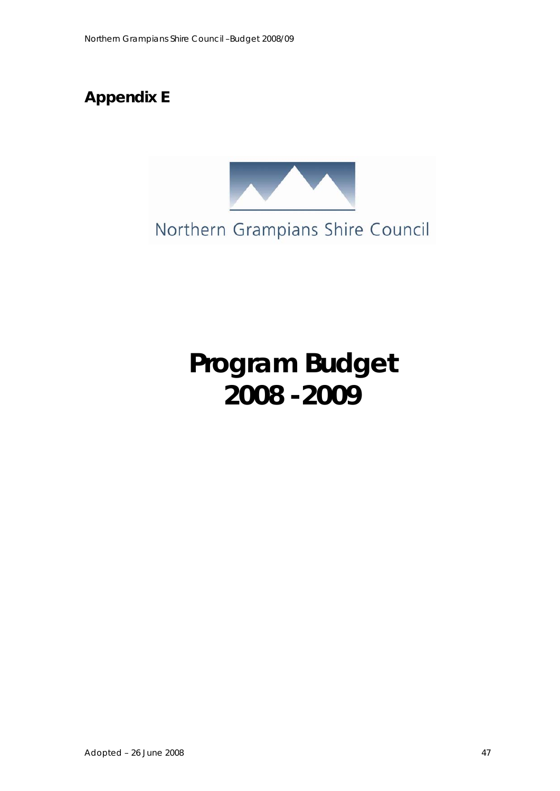## **Appendix E**



Northern Grampians Shire Council

# **Program Budget 2008 -2009**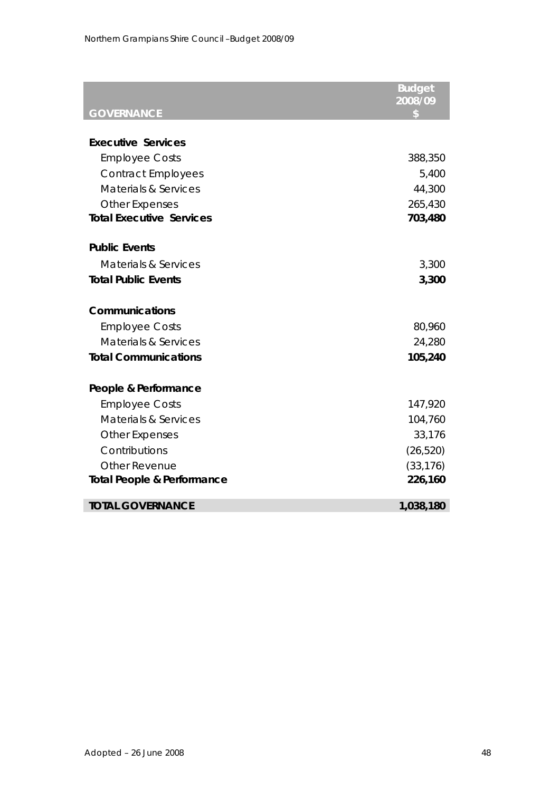|                                       | <b>Budget</b><br>2008/09 |
|---------------------------------------|--------------------------|
| <b>GOVERNANCE</b>                     | $\mathbf{\hat{S}}$       |
|                                       |                          |
| <b>Executive Services</b>             |                          |
| <b>Employee Costs</b>                 | 388,350                  |
| <b>Contract Employees</b>             | 5,400                    |
| <b>Materials &amp; Services</b>       | 44,300                   |
| <b>Other Expenses</b>                 | 265,430                  |
| <b>Total Executive Services</b>       | 703,480                  |
| <b>Public Events</b>                  |                          |
| <b>Materials &amp; Services</b>       | 3,300                    |
| <b>Total Public Events</b>            | 3,300                    |
| Communications                        |                          |
| <b>Employee Costs</b>                 | 80,960                   |
| <b>Materials &amp; Services</b>       | 24,280                   |
| <b>Total Communications</b>           | 105,240                  |
| People & Performance                  |                          |
| <b>Employee Costs</b>                 | 147,920                  |
| <b>Materials &amp; Services</b>       | 104,760                  |
| <b>Other Expenses</b>                 | 33,176                   |
| Contributions                         | (26, 520)                |
| <b>Other Revenue</b>                  | (33, 176)                |
| <b>Total People &amp; Performance</b> | 226,160                  |
| <b>TOTAL GOVERNANCE</b>               | 1,038,180                |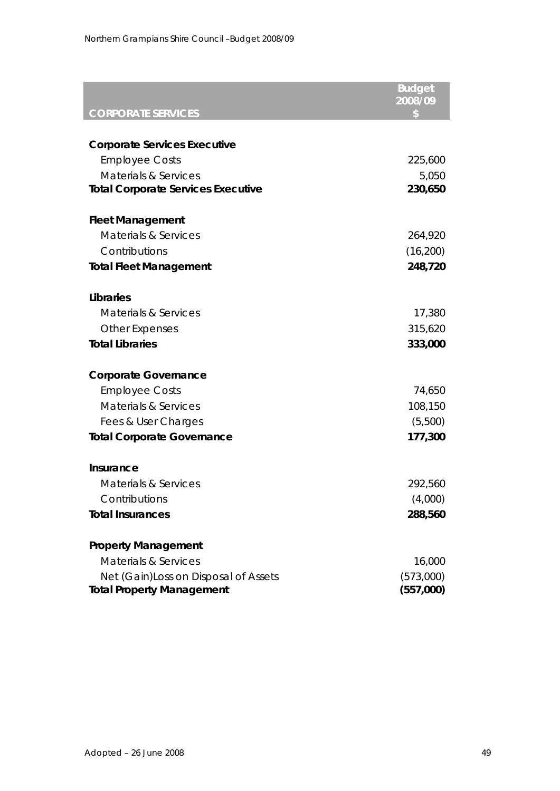| <b>CORPORATE SERVICES</b>                 | <b>Budget</b><br>2008/09<br>\$ |
|-------------------------------------------|--------------------------------|
|                                           |                                |
| <b>Corporate Services Executive</b>       |                                |
| <b>Employee Costs</b>                     | 225,600                        |
| <b>Materials &amp; Services</b>           | 5,050                          |
| <b>Total Corporate Services Executive</b> | 230,650                        |
|                                           |                                |
| <b>Fleet Management</b>                   |                                |
| <b>Materials &amp; Services</b>           | 264,920                        |
| Contributions                             | (16, 200)                      |
| <b>Total Fleet Management</b>             | 248,720                        |
|                                           |                                |
| Libraries                                 |                                |
| <b>Materials &amp; Services</b>           | 17,380                         |
| <b>Other Expenses</b>                     | 315,620                        |
| <b>Total Libraries</b>                    | 333,000                        |
| <b>Corporate Governance</b>               |                                |
| <b>Employee Costs</b>                     | 74,650                         |
| Materials & Services                      | 108,150                        |
| Fees & User Charges                       | (5,500)                        |
| <b>Total Corporate Governance</b>         | 177,300                        |
|                                           |                                |
| Insurance                                 |                                |
| <b>Materials &amp; Services</b>           | 292,560                        |
| Contributions                             | (4,000)                        |
| <b>Total Insurances</b>                   | 288,560                        |
|                                           |                                |
| <b>Property Management</b>                |                                |
| <b>Materials &amp; Services</b>           | 16,000                         |
| Net (Gain) Loss on Disposal of Assets     | (573,000)                      |
| <b>Total Property Management</b>          | (557,000)                      |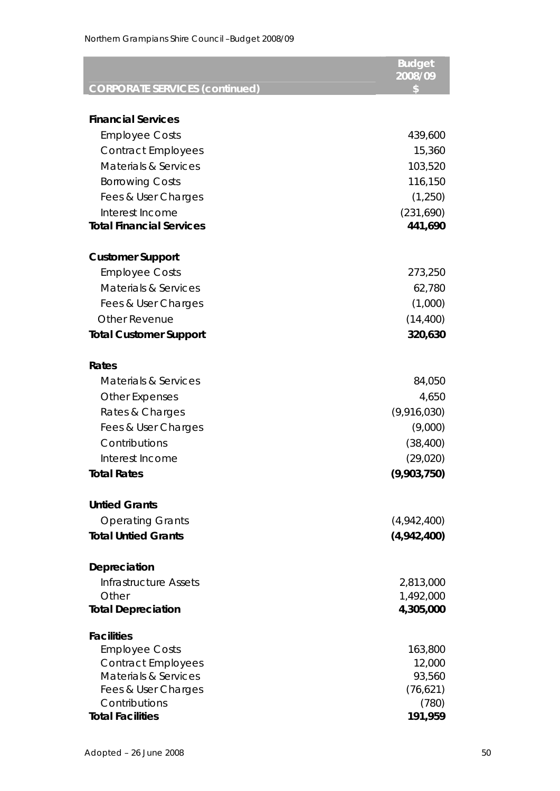|                                                              | <b>Budget</b>            |
|--------------------------------------------------------------|--------------------------|
| <b>CORPORATE SERVICES (continued)</b>                        | 2008/09<br>$\mathsf{\$}$ |
|                                                              |                          |
| <b>Financial Services</b>                                    |                          |
| <b>Employee Costs</b>                                        | 439,600                  |
| <b>Contract Employees</b>                                    | 15,360                   |
| <b>Materials &amp; Services</b>                              | 103,520                  |
| <b>Borrowing Costs</b>                                       | 116,150                  |
| Fees & User Charges                                          | (1,250)                  |
| Interest Income                                              | (231, 690)               |
| <b>Total Financial Services</b>                              | 441,690                  |
| <b>Customer Support</b>                                      |                          |
| <b>Employee Costs</b>                                        | 273,250                  |
| <b>Materials &amp; Services</b>                              | 62,780                   |
| Fees & User Charges                                          | (1,000)                  |
| <b>Other Revenue</b>                                         | (14, 400)                |
| <b>Total Customer Support</b>                                | 320,630                  |
| Rates                                                        |                          |
| <b>Materials &amp; Services</b>                              | 84,050                   |
| <b>Other Expenses</b>                                        | 4,650                    |
| Rates & Charges                                              | (9,916,030)              |
| Fees & User Charges                                          | (9,000)                  |
| Contributions                                                | (38, 400)                |
| Interest Income                                              | (29, 020)                |
| <b>Total Rates</b>                                           | (9,903,750)              |
|                                                              |                          |
| <b>Untied Grants</b>                                         |                          |
| <b>Operating Grants</b>                                      | (4,942,400)              |
| <b>Total Untied Grants</b>                                   | (4,942,400)              |
| Depreciation                                                 |                          |
| <b>Infrastructure Assets</b>                                 | 2,813,000                |
| Other                                                        | 1,492,000                |
| <b>Total Depreciation</b>                                    | 4,305,000                |
| <b>Facilities</b>                                            |                          |
| <b>Employee Costs</b>                                        | 163,800                  |
| <b>Contract Employees</b><br><b>Materials &amp; Services</b> | 12,000<br>93,560         |
| Fees & User Charges                                          | (76, 621)                |
| Contributions                                                | (780)                    |
| <b>Total Facilities</b>                                      | 191,959                  |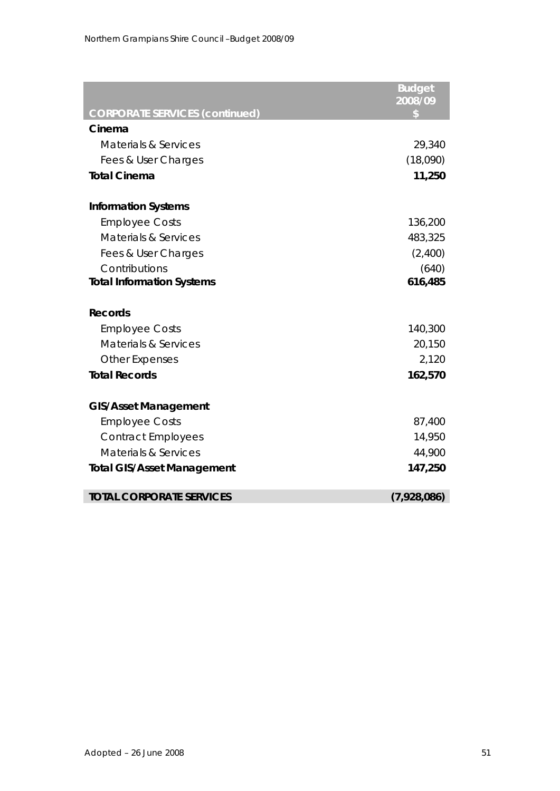|                                       | <b>Budget</b><br>2008/09 |
|---------------------------------------|--------------------------|
| <b>CORPORATE SERVICES (continued)</b> | \$.                      |
| Cinema                                |                          |
| <b>Materials &amp; Services</b>       | 29,340                   |
| Fees & User Charges                   | (18,090)                 |
| <b>Total Cinema</b>                   | 11,250                   |
| <b>Information Systems</b>            |                          |
| <b>Employee Costs</b>                 | 136,200                  |
| <b>Materials &amp; Services</b>       | 483,325                  |
| Fees & User Charges                   | (2,400)                  |
| Contributions                         | (640)                    |
| <b>Total Information Systems</b>      | 616,485                  |
| <b>Records</b>                        |                          |
| <b>Employee Costs</b>                 | 140,300                  |
| <b>Materials &amp; Services</b>       | 20,150                   |
| <b>Other Expenses</b>                 | 2,120                    |
| <b>Total Records</b>                  | 162,570                  |
| <b>GIS/Asset Management</b>           |                          |
| <b>Employee Costs</b>                 | 87,400                   |
| <b>Contract Employees</b>             | 14,950                   |
| <b>Materials &amp; Services</b>       | 44,900                   |
| <b>Total GIS/Asset Management</b>     | 147,250                  |
| <b>TOTAL CORPORATE SERVICES</b>       | (7,928,086)              |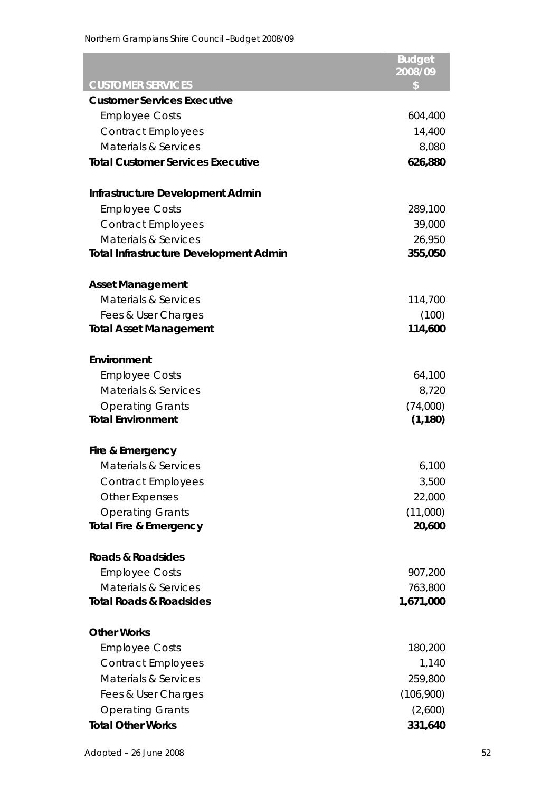|                                               | <b>Budget</b> |
|-----------------------------------------------|---------------|
| <b>CUSTOMER SERVICES</b>                      | 2008/09<br>\$ |
| <b>Customer Services Executive</b>            |               |
| <b>Employee Costs</b>                         | 604,400       |
| <b>Contract Employees</b>                     | 14,400        |
| <b>Materials &amp; Services</b>               | 8,080         |
| <b>Total Customer Services Executive</b>      | 626,880       |
| Infrastructure Development Admin              |               |
| <b>Employee Costs</b>                         | 289,100       |
| <b>Contract Employees</b>                     | 39,000        |
| <b>Materials &amp; Services</b>               | 26,950        |
| <b>Total Infrastructure Development Admin</b> | 355,050       |
| <b>Asset Management</b>                       |               |
| <b>Materials &amp; Services</b>               | 114,700       |
| Fees & User Charges                           | (100)         |
| <b>Total Asset Management</b>                 | 114,600       |
| Environment                                   |               |
| <b>Employee Costs</b>                         | 64,100        |
| <b>Materials &amp; Services</b>               | 8,720         |
| <b>Operating Grants</b>                       | (74,000)      |
| <b>Total Environment</b>                      | (1, 180)      |
| Fire & Emergency                              |               |
| Materials & Services                          | 6,100         |
| <b>Contract Employees</b>                     | 3,500         |
| <b>Other Expenses</b>                         | 22,000        |
| <b>Operating Grants</b>                       | (11,000)      |
| <b>Total Fire &amp; Emergency</b>             | 20,600        |
| Roads & Roadsides                             |               |
| <b>Employee Costs</b>                         | 907,200       |
| <b>Materials &amp; Services</b>               | 763,800       |
| <b>Total Roads &amp; Roadsides</b>            | 1,671,000     |
| <b>Other Works</b>                            |               |
| <b>Employee Costs</b>                         | 180,200       |
| <b>Contract Employees</b>                     | 1,140         |
| Materials & Services                          | 259,800       |
| Fees & User Charges                           | (106,900)     |
| <b>Operating Grants</b>                       | (2,600)       |
| <b>Total Other Works</b>                      | 331,640       |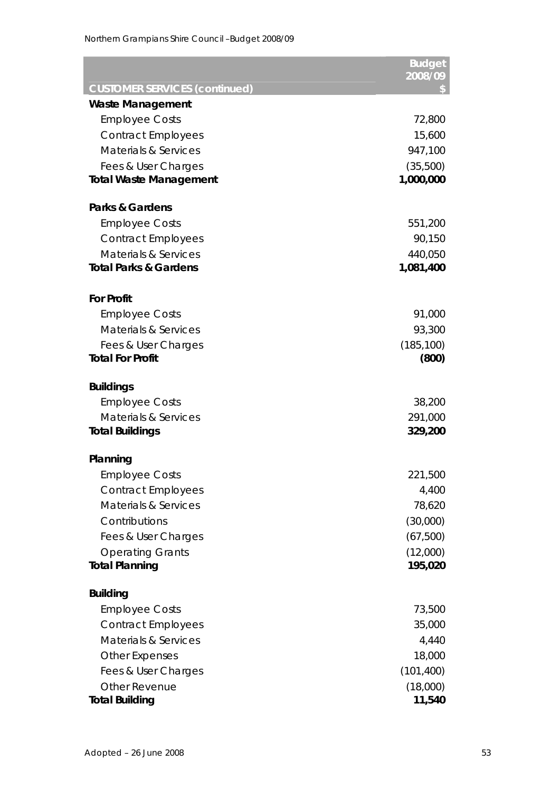|                                      | <b>Budget</b> |
|--------------------------------------|---------------|
| <b>CUSTOMER SERVICES (continued)</b> | 2008/09       |
| <b>Waste Management</b>              |               |
| <b>Employee Costs</b>                | 72,800        |
| <b>Contract Employees</b>            | 15,600        |
| <b>Materials &amp; Services</b>      | 947,100       |
| Fees & User Charges                  | (35,500)      |
| <b>Total Waste Management</b>        | 1,000,000     |
| <b>Parks &amp; Gardens</b>           |               |
| <b>Employee Costs</b>                | 551,200       |
| <b>Contract Employees</b>            | 90,150        |
| <b>Materials &amp; Services</b>      | 440,050       |
| <b>Total Parks &amp; Gardens</b>     | 1,081,400     |
| <b>For Profit</b>                    |               |
| <b>Employee Costs</b>                | 91,000        |
| <b>Materials &amp; Services</b>      | 93,300        |
| Fees & User Charges                  | (185, 100)    |
| <b>Total For Profit</b>              | (800)         |
| <b>Buildings</b>                     |               |
| <b>Employee Costs</b>                | 38,200        |
| <b>Materials &amp; Services</b>      | 291,000       |
| <b>Total Buildings</b>               | 329,200       |
| Planning                             |               |
| <b>Employee Costs</b>                | 221,500       |
| <b>Contract Employees</b>            | 4,400         |
| <b>Materials &amp; Services</b>      | 78,620        |
| Contributions                        | (30,000)      |
| Fees & User Charges                  | (67, 500)     |
| <b>Operating Grants</b>              | (12,000)      |
| <b>Total Planning</b>                | 195,020       |
| <b>Building</b>                      |               |
| <b>Employee Costs</b>                | 73,500        |
| <b>Contract Employees</b>            | 35,000        |
| Materials & Services                 | 4,440         |
| <b>Other Expenses</b>                | 18,000        |
| Fees & User Charges                  | (101, 400)    |
| <b>Other Revenue</b>                 | (18,000)      |
| <b>Total Building</b>                | 11,540        |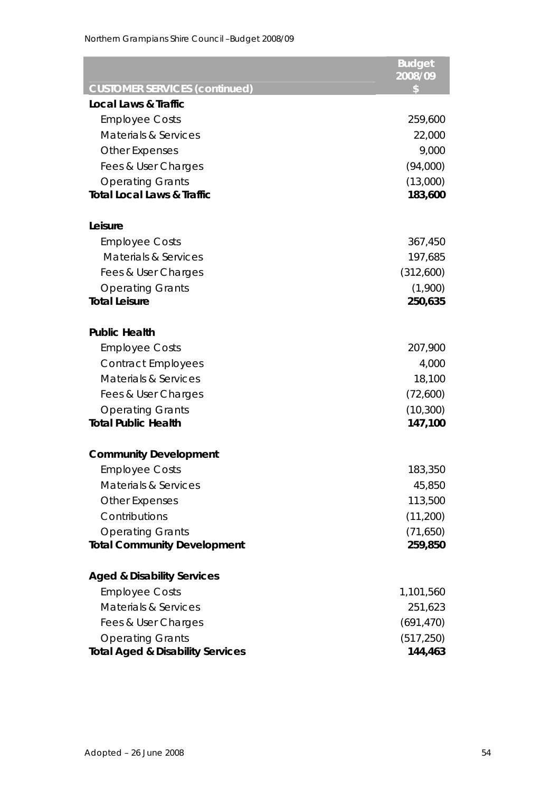|                                                                         | <b>Budget</b>        |
|-------------------------------------------------------------------------|----------------------|
|                                                                         | 2008/09<br>$\hat{S}$ |
| <b>CUSTOMER SERVICES (continued)</b><br><b>Local Laws &amp; Traffic</b> |                      |
|                                                                         |                      |
| <b>Employee Costs</b><br><b>Materials &amp; Services</b>                | 259,600              |
|                                                                         | 22,000               |
| <b>Other Expenses</b>                                                   | 9,000                |
| Fees & User Charges                                                     | (94,000)             |
| <b>Operating Grants</b><br><b>Total Local Laws &amp; Traffic</b>        | (13,000)<br>183,600  |
|                                                                         |                      |
| Leisure                                                                 |                      |
| <b>Employee Costs</b>                                                   | 367,450              |
| <b>Materials &amp; Services</b>                                         | 197,685              |
| Fees & User Charges                                                     | (312,600)            |
| <b>Operating Grants</b>                                                 | (1,900)              |
| <b>Total Leisure</b>                                                    | 250,635              |
|                                                                         |                      |
| <b>Public Health</b>                                                    |                      |
| <b>Employee Costs</b>                                                   | 207,900              |
| <b>Contract Employees</b>                                               | 4,000                |
| <b>Materials &amp; Services</b>                                         | 18,100               |
| Fees & User Charges                                                     | (72,600)             |
| <b>Operating Grants</b>                                                 | (10, 300)            |
| <b>Total Public Health</b>                                              | 147,100              |
|                                                                         |                      |
| <b>Community Development</b>                                            |                      |
| <b>Employee Costs</b>                                                   | 183,350              |
| Materials & Services                                                    | 45,850               |
| <b>Other Expenses</b>                                                   | 113,500              |
| Contributions                                                           | (11,200)             |
| <b>Operating Grants</b><br><b>Total Community Development</b>           | (71, 650)<br>259,850 |
|                                                                         |                      |
| <b>Aged &amp; Disability Services</b>                                   |                      |
| <b>Employee Costs</b>                                                   | 1,101,560            |
| <b>Materials &amp; Services</b>                                         | 251,623              |
| Fees & User Charges                                                     | (691, 470)           |
| <b>Operating Grants</b>                                                 | (517, 250)           |
| <b>Total Aged &amp; Disability Services</b>                             | 144,463              |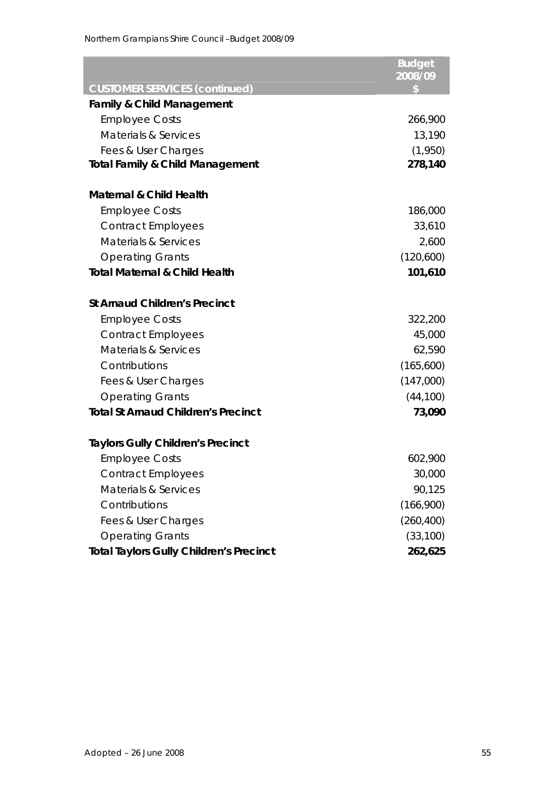|                                                | <b>Budget</b><br>2008/09 |
|------------------------------------------------|--------------------------|
| <b>CUSTOMER SERVICES (continued)</b>           | $\boldsymbol{\hat{S}}$   |
| <b>Family &amp; Child Management</b>           |                          |
| <b>Employee Costs</b>                          | 266,900                  |
| <b>Materials &amp; Services</b>                | 13,190                   |
| Fees & User Charges                            | (1,950)                  |
| <b>Total Family &amp; Child Management</b>     | 278,140                  |
|                                                |                          |
| <b>Maternal &amp; Child Health</b>             |                          |
| <b>Employee Costs</b>                          | 186,000                  |
| <b>Contract Employees</b>                      | 33,610                   |
| <b>Materials &amp; Services</b>                | 2,600                    |
| <b>Operating Grants</b>                        | (120,600)                |
| <b>Total Maternal &amp; Child Health</b>       | 101,610                  |
|                                                |                          |
| <b>St Arnaud Children's Precinct</b>           |                          |
| <b>Employee Costs</b>                          | 322,200                  |
| <b>Contract Employees</b>                      | 45,000                   |
| <b>Materials &amp; Services</b>                | 62,590                   |
| Contributions                                  | (165,600)                |
| Fees & User Charges                            | (147,000)                |
| <b>Operating Grants</b>                        | (44, 100)                |
| <b>Total St Arnaud Children's Precinct</b>     | 73,090                   |
|                                                |                          |
| <b>Taylors Gully Children's Precinct</b>       |                          |
| <b>Employee Costs</b>                          | 602,900                  |
| <b>Contract Employees</b>                      | 30,000                   |
| Materials & Services                           | 90,125                   |
| Contributions                                  | (166,900)                |
| Fees & User Charges                            | (260, 400)               |
| <b>Operating Grants</b>                        | (33, 100)                |
| <b>Total Taylors Gully Children's Precinct</b> | 262,625                  |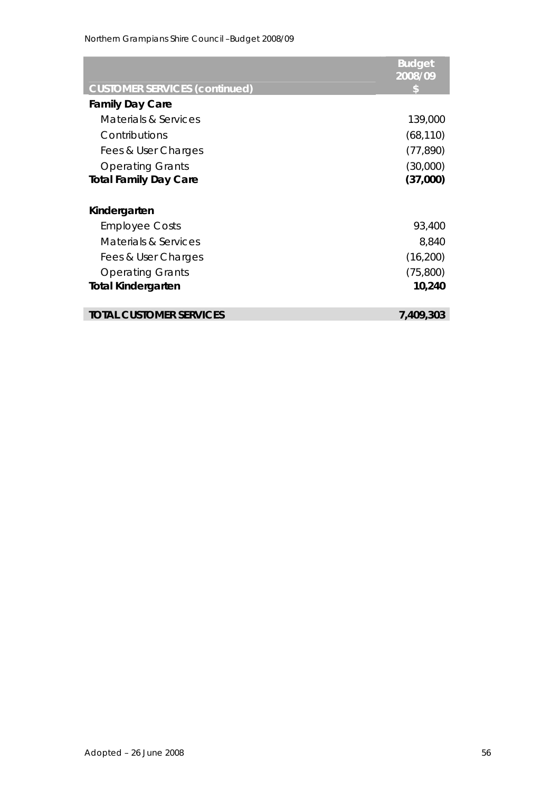|  | Northern Grampians Shire Council - Budget 2008/09 |
|--|---------------------------------------------------|
|  |                                                   |

|                                      | <b>Budget</b><br>2008/09 |
|--------------------------------------|--------------------------|
| <b>CUSTOMER SERVICES (continued)</b> | S                        |
| <b>Family Day Care</b>               |                          |
| Materials & Services                 | 139,000                  |
| Contributions                        | (68, 110)                |
| Fees & User Charges                  | (77, 890)                |
| <b>Operating Grants</b>              | (30,000)                 |
| <b>Total Family Day Care</b>         | (37,000)                 |
|                                      |                          |
| Kindergarten                         |                          |
| <b>Employee Costs</b>                | 93,400                   |
| Materials & Services                 | 8,840                    |
| Fees & User Charges                  | (16,200)                 |
| <b>Operating Grants</b>              | (75,800)                 |
| <b>Total Kindergarten</b>            | 10,240                   |
|                                      |                          |
| <b>TOTAL CUSTOMER SERVICES</b>       | 7,409,303                |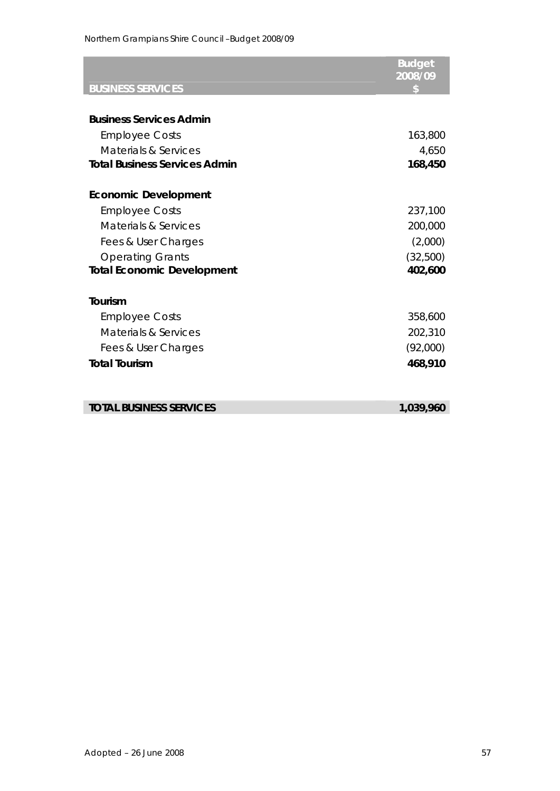|                                      | <b>Budget</b> |
|--------------------------------------|---------------|
| <b>BUSINESS SERVICES</b>             | 2008/09<br>\$ |
|                                      |               |
| <b>Business Services Admin</b>       |               |
| <b>Employee Costs</b>                | 163,800       |
| <b>Materials &amp; Services</b>      | 4,650         |
| <b>Total Business Services Admin</b> | 168,450       |
| <b>Economic Development</b>          |               |
| <b>Employee Costs</b>                | 237,100       |
| <b>Materials &amp; Services</b>      | 200,000       |
| Fees & User Charges                  | (2,000)       |
| <b>Operating Grants</b>              | (32,500)      |
| <b>Total Economic Development</b>    | 402,600       |
| Tourism                              |               |
| <b>Employee Costs</b>                | 358,600       |
| <b>Materials &amp; Services</b>      | 202,310       |
| Fees & User Charges                  | (92,000)      |
| <b>Total Tourism</b>                 | 468,910       |
| <b>TOTAL BUSINESS SERVICES</b>       | 1,039,960     |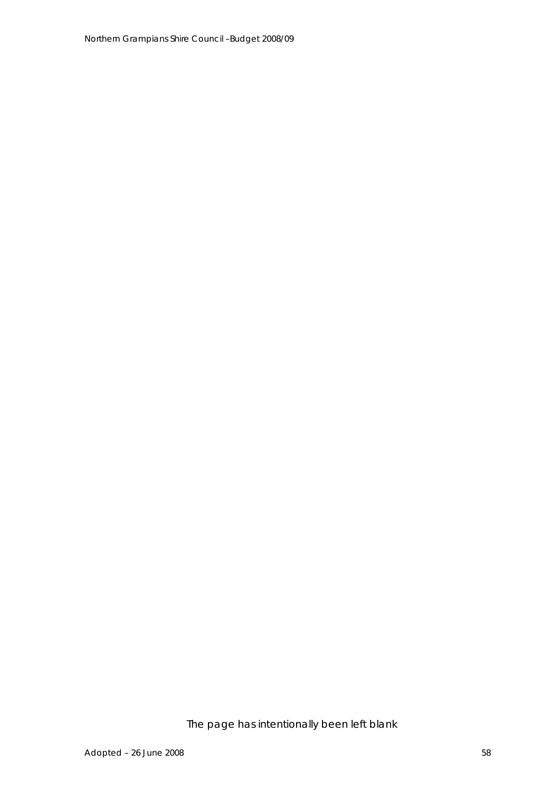The page has intentionally been left blank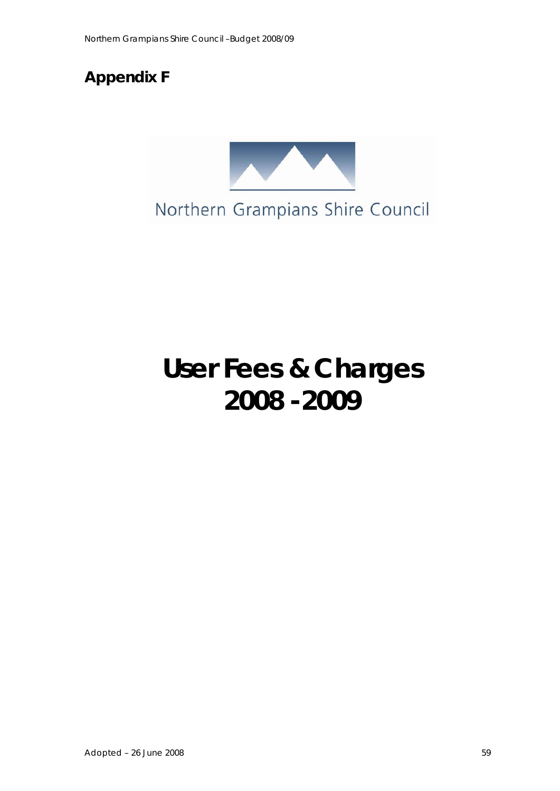## **Appendix F**



# **User Fees & Charges 2008 -2009**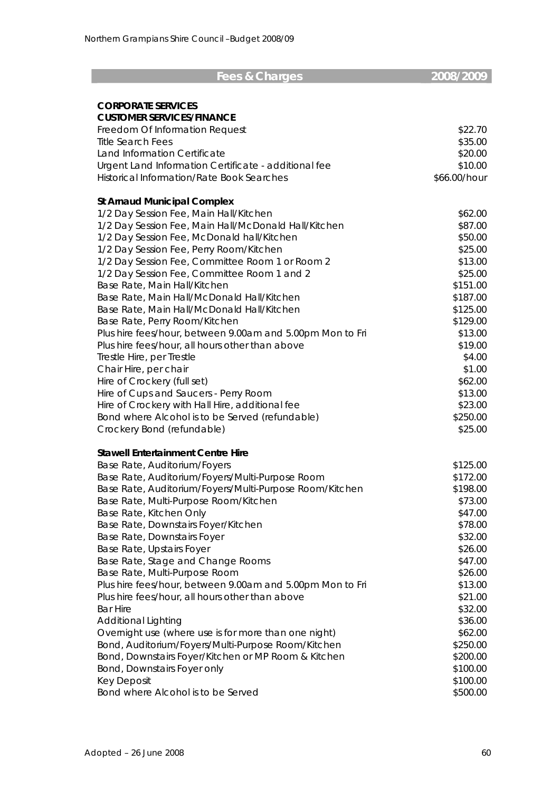|                                                                                                                                                                                                                                                                                                                                                                                                                                                                                                                                                                                                                                                                                                        | <b>Fees &amp; Charges</b>                                                                                                                                                                                                                                                                 | 2008/2009                                                                                                                                                                                                        |
|--------------------------------------------------------------------------------------------------------------------------------------------------------------------------------------------------------------------------------------------------------------------------------------------------------------------------------------------------------------------------------------------------------------------------------------------------------------------------------------------------------------------------------------------------------------------------------------------------------------------------------------------------------------------------------------------------------|-------------------------------------------------------------------------------------------------------------------------------------------------------------------------------------------------------------------------------------------------------------------------------------------|------------------------------------------------------------------------------------------------------------------------------------------------------------------------------------------------------------------|
| <b>CORPORATE SERVICES</b><br><b>CUSTOMER SERVICES/FINANCE</b><br>Freedom Of Information Request<br><b>Title Search Fees</b><br>Land Information Certificate<br>Historical Information/Rate Book Searches                                                                                                                                                                                                                                                                                                                                                                                                                                                                                               | Urgent Land Information Certificate - additional fee                                                                                                                                                                                                                                      | \$22.70<br>\$35.00<br>\$20.00<br>\$10.00<br>\$66.00/hour                                                                                                                                                         |
| <b>St Arnaud Municipal Complex</b><br>1/2 Day Session Fee, Main Hall/Kitchen<br>1/2 Day Session Fee, McDonald hall/Kitchen<br>1/2 Day Session Fee, Perry Room/Kitchen<br>1/2 Day Session Fee, Committee Room 1 and 2<br>Base Rate, Main Hall/Kitchen<br>Base Rate, Main Hall/McDonald Hall/Kitchen<br>Base Rate, Main Hall/McDonald Hall/Kitchen<br>Base Rate, Perry Room/Kitchen<br>Plus hire fees/hour, all hours other than above<br>Trestle Hire, per Trestle<br>Chair Hire, per chair<br>Hire of Crockery (full set)<br>Hire of Cups and Saucers - Perry Room<br>Hire of Crockery with Hall Hire, additional fee<br>Bond where Alcohol is to be Served (refundable)<br>Crockery Bond (refundable) | 1/2 Day Session Fee, Main Hall/McDonald Hall/Kitchen<br>1/2 Day Session Fee, Committee Room 1 or Room 2<br>Plus hire fees/hour, between 9.00am and 5.00pm Mon to Fri                                                                                                                      | \$62.00<br>\$87.00<br>\$50.00<br>\$25.00<br>\$13.00<br>\$25.00<br>\$151.00<br>\$187.00<br>\$125.00<br>\$129.00<br>\$13.00<br>\$19.00<br>\$4.00<br>\$1.00<br>\$62.00<br>\$13.00<br>\$23.00<br>\$250.00<br>\$25.00 |
| <b>Stawell Entertainment Centre Hire</b><br>Base Rate, Auditorium/Foyers<br>Base Rate, Auditorium/Foyers/Multi-Purpose Room<br>Base Rate, Multi-Purpose Room/Kitchen<br>Base Rate, Kitchen Only<br>Base Rate, Downstairs Foyer/Kitchen<br>Base Rate, Downstairs Foyer<br>Base Rate, Upstairs Foyer<br>Base Rate, Stage and Change Rooms<br>Base Rate, Multi-Purpose Room<br>Plus hire fees/hour, all hours other than above<br><b>Bar Hire</b><br>Additional Lighting<br>Bond, Downstairs Foyer only                                                                                                                                                                                                   | Base Rate, Auditorium/Foyers/Multi-Purpose Room/Kitchen<br>Plus hire fees/hour, between 9.00am and 5.00pm Mon to Fri<br>Overnight use (where use is for more than one night)<br>Bond, Auditorium/Foyers/Multi-Purpose Room/Kitchen<br>Bond, Downstairs Foyer/Kitchen or MP Room & Kitchen | \$125.00<br>\$172.00<br>\$198.00<br>\$73.00<br>\$47.00<br>\$78.00<br>\$32.00<br>\$26.00<br>\$47.00<br>\$26.00<br>\$13.00<br>\$21.00<br>\$32.00<br>\$36.00<br>\$62.00<br>\$250.00<br>\$200.00<br>\$100.00         |
| <b>Key Deposit</b><br>Bond where Alcohol is to be Served                                                                                                                                                                                                                                                                                                                                                                                                                                                                                                                                                                                                                                               |                                                                                                                                                                                                                                                                                           | \$100.00<br>\$500.00                                                                                                                                                                                             |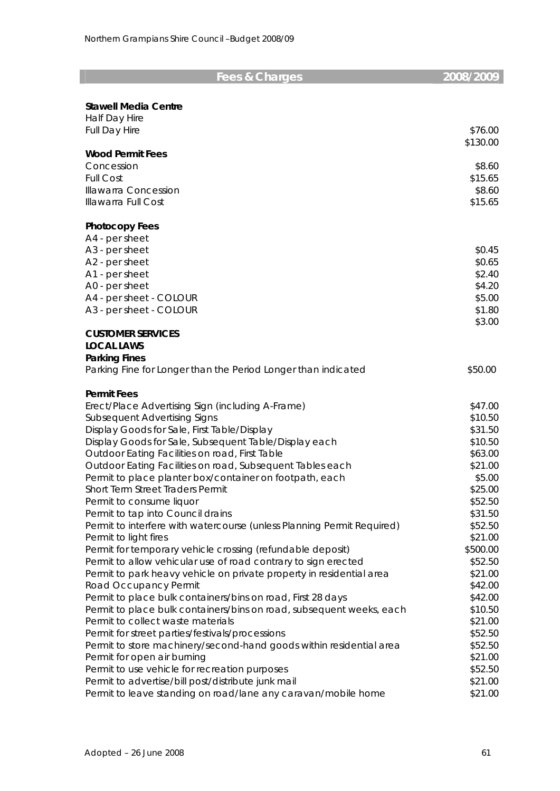| <b>Fees &amp; Charges</b>                                                                                              | 2008/2009           |
|------------------------------------------------------------------------------------------------------------------------|---------------------|
| <b>Stawell Media Centre</b><br>Half Day Hire                                                                           |                     |
| Full Day Hire                                                                                                          | \$76.00<br>\$130.00 |
| <b>Wood Permit Fees</b><br>Concession                                                                                  | \$8.60              |
| <b>Full Cost</b>                                                                                                       | \$15.65             |
| Illawarra Concession                                                                                                   | \$8.60              |
| Illawarra Full Cost                                                                                                    | \$15.65             |
| <b>Photocopy Fees</b>                                                                                                  |                     |
| A4 - per sheet                                                                                                         |                     |
| A3 - per sheet                                                                                                         | \$0.45              |
| A2 - per sheet                                                                                                         | \$0.65              |
| A1 - per sheet<br>A0 - per sheet                                                                                       | \$2.40<br>\$4.20    |
| A4 - per sheet - COLOUR                                                                                                | \$5.00              |
| A3 - per sheet - COLOUR                                                                                                | \$1.80              |
|                                                                                                                        | \$3.00              |
| <b>CUSTOMER SERVICES</b>                                                                                               |                     |
| <b>LOCAL LAWS</b>                                                                                                      |                     |
| <b>Parking Fines</b>                                                                                                   |                     |
| Parking Fine for Longer than the Period Longer than indicated                                                          | \$50.00             |
| <b>Permit Fees</b>                                                                                                     |                     |
| Erect/Place Advertising Sign (including A-Frame)                                                                       | \$47.00             |
| Subsequent Advertising Signs                                                                                           | \$10.50             |
| Display Goods for Sale, First Table/Display                                                                            | \$31.50             |
| Display Goods for Sale, Subsequent Table/Display each                                                                  | \$10.50             |
| Outdoor Eating Facilities on road, First Table                                                                         | \$63.00             |
| Outdoor Eating Facilities on road, Subsequent Tables each                                                              | \$21.00             |
| Permit to place planter box/container on footpath, each<br>Short Term Street Traders Permit                            | \$5.00<br>\$25.00   |
| Permit to consume liquor                                                                                               | \$52.50             |
| Permit to tap into Council drains                                                                                      | \$31.50             |
| Permit to interfere with watercourse (unless Planning Permit Required)                                                 | \$52.50             |
| Permit to light fires                                                                                                  | \$21.00             |
| Permit for temporary vehicle crossing (refundable deposit)                                                             | \$500.00            |
| Permit to allow vehicular use of road contrary to sign erected                                                         | \$52.50             |
| Permit to park heavy vehicle on private property in residential area                                                   | \$21.00             |
| Road Occupancy Permit                                                                                                  | \$42.00             |
| Permit to place bulk containers/bins on road, First 28 days                                                            | \$42.00             |
| Permit to place bulk containers/bins on road, subsequent weeks, each                                                   | \$10.50             |
| Permit to collect waste materials                                                                                      | \$21.00<br>\$52.50  |
| Permit for street parties/festivals/processions<br>Permit to store machinery/second-hand goods within residential area | \$52.50             |
| Permit for open air burning                                                                                            | \$21.00             |
| Permit to use vehicle for recreation purposes                                                                          | \$52.50             |
| Permit to advertise/bill post/distribute junk mail                                                                     | \$21.00             |
| Permit to leave standing on road/lane any caravan/mobile home                                                          | \$21.00             |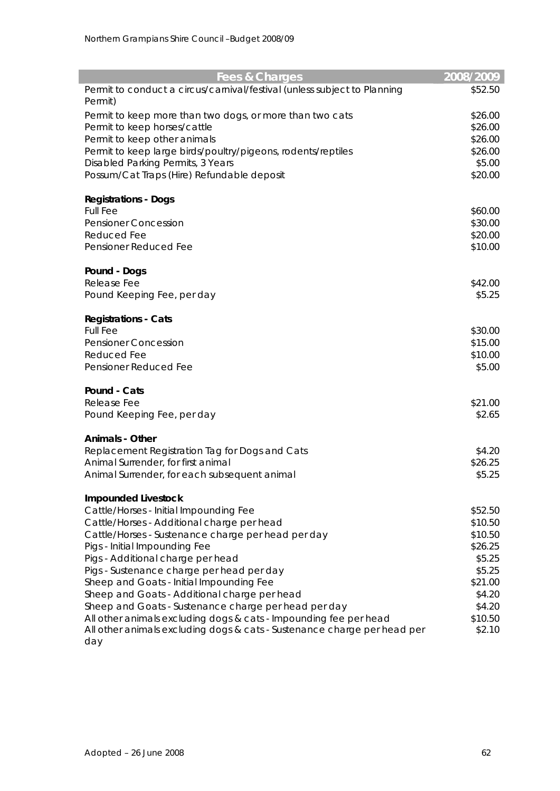I

| <b>Fees &amp; Charges</b>                                                           | 2008/2009 |
|-------------------------------------------------------------------------------------|-----------|
| Permit to conduct a circus/carnival/festival (unless subject to Planning<br>Permit) | \$52.50   |
| Permit to keep more than two dogs, or more than two cats                            | \$26.00   |
| Permit to keep horses/cattle                                                        | \$26.00   |
| Permit to keep other animals                                                        | \$26.00   |
| Permit to keep large birds/poultry/pigeons, rodents/reptiles                        | \$26.00   |
| Disabled Parking Permits, 3 Years                                                   | \$5.00    |
| Possum/Cat Traps (Hire) Refundable deposit                                          | \$20.00   |
|                                                                                     |           |
| <b>Registrations - Dogs</b>                                                         |           |
| <b>Full Fee</b>                                                                     | \$60.00   |
| <b>Pensioner Concession</b>                                                         | \$30.00   |
| Reduced Fee                                                                         | \$20.00   |
| Pensioner Reduced Fee                                                               | \$10.00   |
| Pound - Dogs                                                                        |           |
| <b>Release Fee</b>                                                                  | \$42.00   |
| Pound Keeping Fee, per day                                                          | \$5.25    |
|                                                                                     |           |
| <b>Registrations - Cats</b>                                                         |           |
| <b>Full Fee</b>                                                                     | \$30.00   |
| <b>Pensioner Concession</b>                                                         | \$15.00   |
| <b>Reduced Fee</b>                                                                  | \$10.00   |
| Pensioner Reduced Fee                                                               | \$5.00    |
| Pound - Cats                                                                        |           |
| Release Fee                                                                         | \$21.00   |
| Pound Keeping Fee, per day                                                          | \$2.65    |
| <b>Animals - Other</b>                                                              |           |
| Replacement Registration Tag for Dogs and Cats                                      | \$4.20    |
| Animal Surrender, for first animal                                                  | \$26.25   |
| Animal Surrender, for each subsequent animal                                        | \$5.25    |
|                                                                                     |           |
| <b>Impounded Livestock</b>                                                          |           |
| Cattle/Horses - Initial Impounding Fee                                              | \$52.50   |
| Cattle/Horses - Additional charge per head                                          | \$10.50   |
| Cattle/Horses - Sustenance charge per head per day                                  | \$10.50   |
| Pigs - Initial Impounding Fee                                                       | \$26.25   |
| Pigs - Additional charge per head                                                   | \$5.25    |
| Pigs - Sustenance charge per head per day                                           | \$5.25    |
| Sheep and Goats - Initial Impounding Fee                                            | \$21.00   |
| Sheep and Goats - Additional charge per head                                        | \$4.20    |
| Sheep and Goats - Sustenance charge per head per day                                | \$4.20    |
| All other animals excluding dogs & cats - Impounding fee per head                   | \$10.50   |
| All other animals excluding dogs & cats - Sustenance charge per head per<br>day     | \$2.10    |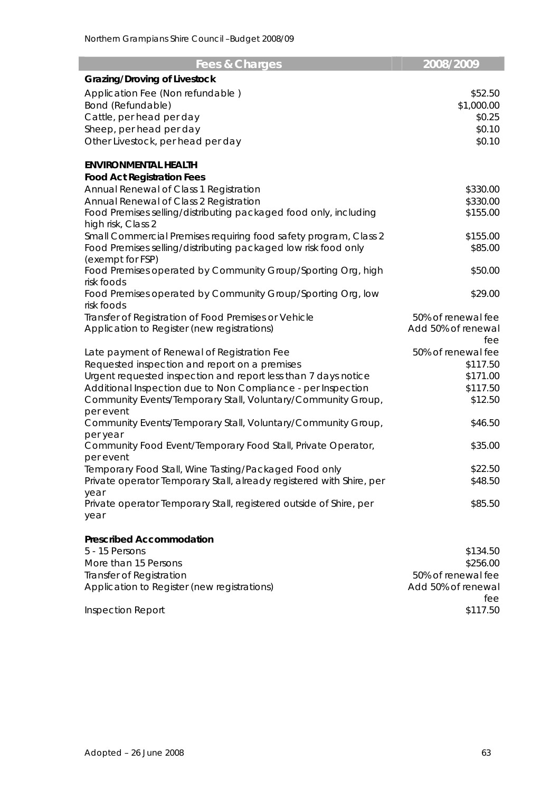| <b>Fees &amp; Charges</b>                                                              | 2008/2009          |
|----------------------------------------------------------------------------------------|--------------------|
| <b>Grazing/Droving of Livestock</b>                                                    |                    |
| Application Fee (Non refundable)                                                       | \$52.50            |
| Bond (Refundable)                                                                      | \$1,000.00         |
| Cattle, per head per day                                                               | \$0.25             |
| Sheep, per head per day                                                                | \$0.10             |
| Other Livestock, per head per day                                                      | \$0.10             |
| <b>ENVIRONMENTAL HEALTH</b>                                                            |                    |
| <b>Food Act Registration Fees</b>                                                      |                    |
| Annual Renewal of Class 1 Registration                                                 | \$330.00           |
| Annual Renewal of Class 2 Registration                                                 | \$330.00           |
| Food Premises selling/distributing packaged food only, including<br>high risk, Class 2 | \$155.00           |
| Small Commercial Premises requiring food safety program, Class 2                       | \$155.00           |
| Food Premises selling/distributing packaged low risk food only<br>(exempt for FSP)     | \$85.00            |
| Food Premises operated by Community Group/Sporting Org, high<br>risk foods             | \$50.00            |
| Food Premises operated by Community Group/Sporting Org, low<br>risk foods              | \$29.00            |
| Transfer of Registration of Food Premises or Vehicle                                   | 50% of renewal fee |
| Application to Register (new registrations)                                            | Add 50% of renewal |
|                                                                                        | fee                |
| Late payment of Renewal of Registration Fee                                            | 50% of renewal fee |
| Requested inspection and report on a premises                                          | \$117.50           |
| Urgent requested inspection and report less than 7 days notice                         | \$171.00           |
| Additional Inspection due to Non Compliance - per Inspection                           | \$117.50           |
| Community Events/Temporary Stall, Voluntary/Community Group,<br>per event              | \$12.50            |
| Community Events/Temporary Stall, Voluntary/Community Group,<br>per year               | \$46.50            |
| Community Food Event/Temporary Food Stall, Private Operator,<br>per event              | \$35.00            |
| Temporary Food Stall, Wine Tasting/Packaged Food only                                  | \$22.50            |
| Private operator Temporary Stall, already registered with Shire, per<br>year           | \$48.50            |
| Private operator Temporary Stall, registered outside of Shire, per<br>year             | \$85.50            |
| <b>Prescribed Accommodation</b>                                                        |                    |
| 5 - 15 Persons                                                                         | \$134.50           |
| More than 15 Persons                                                                   | \$256.00           |
| Transfer of Registration                                                               | 50% of renewal fee |

Inspection Report \$117.50

Application to Register (new registrations) And 50% of renewal fee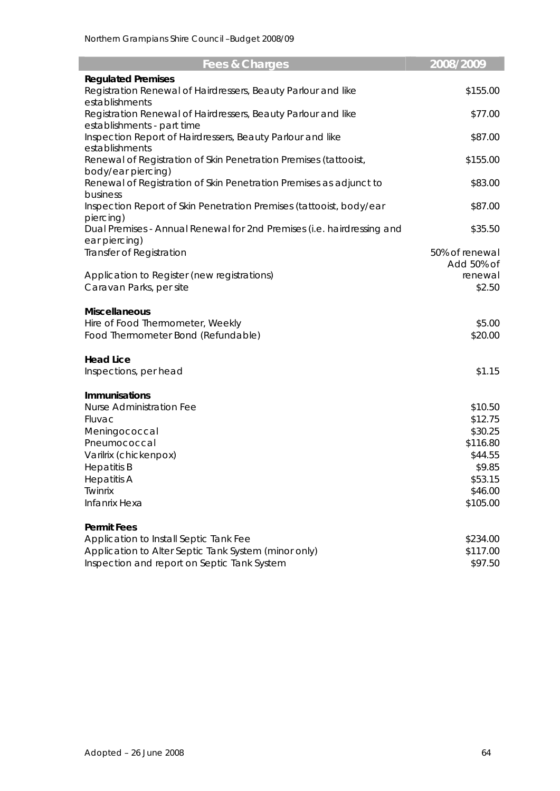| <b>Fees &amp; Charges</b>                                                               | 2008/2009             |
|-----------------------------------------------------------------------------------------|-----------------------|
| <b>Regulated Premises</b>                                                               |                       |
| Registration Renewal of Hairdressers, Beauty Parlour and like                           | \$155.00              |
| establishments<br>Registration Renewal of Hairdressers, Beauty Parlour and like         | \$77.00               |
| establishments - part time                                                              |                       |
| Inspection Report of Hairdressers, Beauty Parlour and like<br>establishments            | \$87.00               |
| Renewal of Registration of Skin Penetration Premises (tattooist,<br>body/ear piercing)  | \$155.00              |
| Renewal of Registration of Skin Penetration Premises as adjunct to<br>business          | \$83.00               |
| Inspection Report of Skin Penetration Premises (tattooist, body/ear<br>piercing)        | \$87.00               |
| Dual Premises - Annual Renewal for 2nd Premises (i.e. hairdressing and<br>ear piercing) | \$35.50               |
| Transfer of Registration                                                                | 50% of renewal        |
| Application to Register (new registrations)                                             | Add 50% of<br>renewal |
| Caravan Parks, per site                                                                 | \$2.50                |
| <b>Miscellaneous</b>                                                                    |                       |
| Hire of Food Thermometer, Weekly                                                        | \$5.00                |
| Food Thermometer Bond (Refundable)                                                      | \$20.00               |
| <b>Head Lice</b>                                                                        |                       |
| Inspections, per head                                                                   | \$1.15                |
| <b>Immunisations</b>                                                                    |                       |
| <b>Nurse Administration Fee</b>                                                         | \$10.50               |
| Fluvac                                                                                  | \$12.75               |
| Meningococcal<br>Pneumococcal                                                           | \$30.25<br>\$116.80   |
| Varilrix (chickenpox)                                                                   | \$44.55               |
| <b>Hepatitis B</b>                                                                      | \$9.85                |
| <b>Hepatitis A</b>                                                                      | \$53.15               |
| Twinrix                                                                                 | \$46.00               |
| Infanrix Hexa                                                                           | \$105.00              |
| <b>Permit Fees</b>                                                                      |                       |
| Application to Install Septic Tank Fee                                                  | \$234.00              |
| Application to Alter Septic Tank System (minor only)                                    | \$117.00              |
| Inspection and report on Septic Tank System                                             | \$97.50               |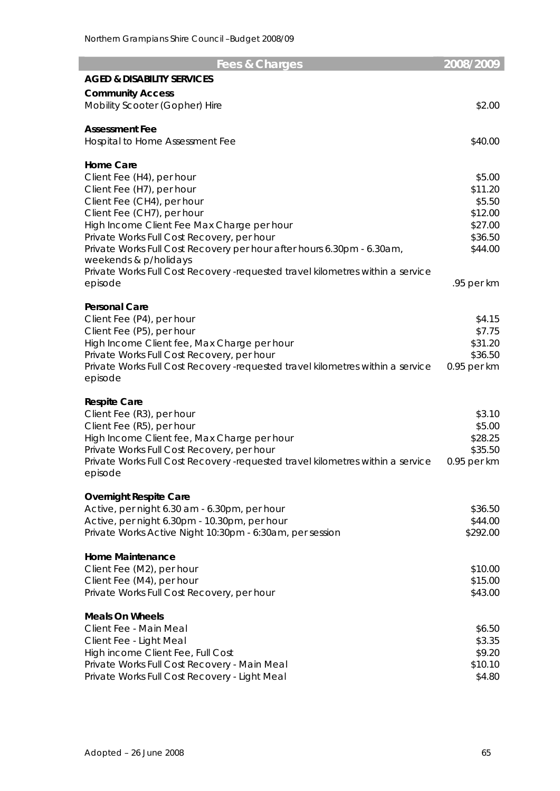| <b>AGED &amp; DISABILITY SERVICES</b><br><b>Community Access</b><br>Mobility Scooter (Gopher) Hire<br>\$2.00<br><b>Assessment Fee</b><br>Hospital to Home Assessment Fee<br>\$40.00<br>Home Care<br>Client Fee (H4), per hour<br>\$5.00<br>Client Fee (H7), per hour<br>\$11.20<br>Client Fee (CH4), per hour<br>\$5.50<br>Client Fee (CH7), per hour<br>\$12.00<br>High Income Client Fee Max Charge per hour<br>\$27.00<br>\$36.50<br>Private Works Full Cost Recovery, per hour<br>Private Works Full Cost Recovery per hour after hours 6.30pm - 6.30am,<br>\$44.00<br>weekends & p/holidays<br>Private Works Full Cost Recovery -requested travel kilometres within a service<br>episode<br>.95 per km<br><b>Personal Care</b><br>Client Fee (P4), per hour<br>\$4.15<br>\$7.75<br>Client Fee (P5), per hour<br>High Income Client fee, Max Charge per hour<br>\$31.20<br>Private Works Full Cost Recovery, per hour<br>\$36.50<br>Private Works Full Cost Recovery -requested travel kilometres within a service<br>0.95 per km<br>episode<br><b>Respite Care</b><br>\$3.10<br>Client Fee (R3), per hour<br>\$5.00<br>Client Fee (R5), per hour<br>High Income Client fee, Max Charge per hour<br>\$28.25<br>\$35.50<br>Private Works Full Cost Recovery, per hour<br>Private Works Full Cost Recovery -requested travel kilometres within a service<br>0.95 per km<br>episode<br><b>Overnight Respite Care</b><br>Active, per night 6.30 am - 6.30pm, per hour<br>\$36.50<br>Active, per night 6.30pm - 10.30pm, per hour<br>\$44.00<br>Private Works Active Night 10:30pm - 6:30am, per session<br>\$292.00<br><b>Home Maintenance</b><br>Client Fee (M2), per hour<br>\$10.00<br>Client Fee (M4), per hour<br>\$15.00<br>Private Works Full Cost Recovery, per hour<br>\$43.00<br><b>Meals On Wheels</b><br>Client Fee - Main Meal<br>\$6.50<br>\$3.35<br>Client Fee - Light Meal<br>High income Client Fee, Full Cost<br>\$9.20<br>Private Works Full Cost Recovery - Main Meal<br>\$10.10 | <b>Fees &amp; Charges</b>                     | 2008/2009 |
|------------------------------------------------------------------------------------------------------------------------------------------------------------------------------------------------------------------------------------------------------------------------------------------------------------------------------------------------------------------------------------------------------------------------------------------------------------------------------------------------------------------------------------------------------------------------------------------------------------------------------------------------------------------------------------------------------------------------------------------------------------------------------------------------------------------------------------------------------------------------------------------------------------------------------------------------------------------------------------------------------------------------------------------------------------------------------------------------------------------------------------------------------------------------------------------------------------------------------------------------------------------------------------------------------------------------------------------------------------------------------------------------------------------------------------------------------------------------------------------------------------------------------------------------------------------------------------------------------------------------------------------------------------------------------------------------------------------------------------------------------------------------------------------------------------------------------------------------------------------------------------------------------------------------------------------------------------------------------------------------------|-----------------------------------------------|-----------|
|                                                                                                                                                                                                                                                                                                                                                                                                                                                                                                                                                                                                                                                                                                                                                                                                                                                                                                                                                                                                                                                                                                                                                                                                                                                                                                                                                                                                                                                                                                                                                                                                                                                                                                                                                                                                                                                                                                                                                                                                      |                                               |           |
|                                                                                                                                                                                                                                                                                                                                                                                                                                                                                                                                                                                                                                                                                                                                                                                                                                                                                                                                                                                                                                                                                                                                                                                                                                                                                                                                                                                                                                                                                                                                                                                                                                                                                                                                                                                                                                                                                                                                                                                                      |                                               |           |
|                                                                                                                                                                                                                                                                                                                                                                                                                                                                                                                                                                                                                                                                                                                                                                                                                                                                                                                                                                                                                                                                                                                                                                                                                                                                                                                                                                                                                                                                                                                                                                                                                                                                                                                                                                                                                                                                                                                                                                                                      |                                               |           |
|                                                                                                                                                                                                                                                                                                                                                                                                                                                                                                                                                                                                                                                                                                                                                                                                                                                                                                                                                                                                                                                                                                                                                                                                                                                                                                                                                                                                                                                                                                                                                                                                                                                                                                                                                                                                                                                                                                                                                                                                      |                                               |           |
|                                                                                                                                                                                                                                                                                                                                                                                                                                                                                                                                                                                                                                                                                                                                                                                                                                                                                                                                                                                                                                                                                                                                                                                                                                                                                                                                                                                                                                                                                                                                                                                                                                                                                                                                                                                                                                                                                                                                                                                                      |                                               |           |
|                                                                                                                                                                                                                                                                                                                                                                                                                                                                                                                                                                                                                                                                                                                                                                                                                                                                                                                                                                                                                                                                                                                                                                                                                                                                                                                                                                                                                                                                                                                                                                                                                                                                                                                                                                                                                                                                                                                                                                                                      |                                               |           |
|                                                                                                                                                                                                                                                                                                                                                                                                                                                                                                                                                                                                                                                                                                                                                                                                                                                                                                                                                                                                                                                                                                                                                                                                                                                                                                                                                                                                                                                                                                                                                                                                                                                                                                                                                                                                                                                                                                                                                                                                      |                                               |           |
|                                                                                                                                                                                                                                                                                                                                                                                                                                                                                                                                                                                                                                                                                                                                                                                                                                                                                                                                                                                                                                                                                                                                                                                                                                                                                                                                                                                                                                                                                                                                                                                                                                                                                                                                                                                                                                                                                                                                                                                                      |                                               |           |
|                                                                                                                                                                                                                                                                                                                                                                                                                                                                                                                                                                                                                                                                                                                                                                                                                                                                                                                                                                                                                                                                                                                                                                                                                                                                                                                                                                                                                                                                                                                                                                                                                                                                                                                                                                                                                                                                                                                                                                                                      |                                               |           |
|                                                                                                                                                                                                                                                                                                                                                                                                                                                                                                                                                                                                                                                                                                                                                                                                                                                                                                                                                                                                                                                                                                                                                                                                                                                                                                                                                                                                                                                                                                                                                                                                                                                                                                                                                                                                                                                                                                                                                                                                      |                                               |           |
|                                                                                                                                                                                                                                                                                                                                                                                                                                                                                                                                                                                                                                                                                                                                                                                                                                                                                                                                                                                                                                                                                                                                                                                                                                                                                                                                                                                                                                                                                                                                                                                                                                                                                                                                                                                                                                                                                                                                                                                                      |                                               |           |
|                                                                                                                                                                                                                                                                                                                                                                                                                                                                                                                                                                                                                                                                                                                                                                                                                                                                                                                                                                                                                                                                                                                                                                                                                                                                                                                                                                                                                                                                                                                                                                                                                                                                                                                                                                                                                                                                                                                                                                                                      |                                               |           |
|                                                                                                                                                                                                                                                                                                                                                                                                                                                                                                                                                                                                                                                                                                                                                                                                                                                                                                                                                                                                                                                                                                                                                                                                                                                                                                                                                                                                                                                                                                                                                                                                                                                                                                                                                                                                                                                                                                                                                                                                      |                                               |           |
|                                                                                                                                                                                                                                                                                                                                                                                                                                                                                                                                                                                                                                                                                                                                                                                                                                                                                                                                                                                                                                                                                                                                                                                                                                                                                                                                                                                                                                                                                                                                                                                                                                                                                                                                                                                                                                                                                                                                                                                                      |                                               |           |
|                                                                                                                                                                                                                                                                                                                                                                                                                                                                                                                                                                                                                                                                                                                                                                                                                                                                                                                                                                                                                                                                                                                                                                                                                                                                                                                                                                                                                                                                                                                                                                                                                                                                                                                                                                                                                                                                                                                                                                                                      |                                               |           |
|                                                                                                                                                                                                                                                                                                                                                                                                                                                                                                                                                                                                                                                                                                                                                                                                                                                                                                                                                                                                                                                                                                                                                                                                                                                                                                                                                                                                                                                                                                                                                                                                                                                                                                                                                                                                                                                                                                                                                                                                      |                                               |           |
|                                                                                                                                                                                                                                                                                                                                                                                                                                                                                                                                                                                                                                                                                                                                                                                                                                                                                                                                                                                                                                                                                                                                                                                                                                                                                                                                                                                                                                                                                                                                                                                                                                                                                                                                                                                                                                                                                                                                                                                                      |                                               |           |
|                                                                                                                                                                                                                                                                                                                                                                                                                                                                                                                                                                                                                                                                                                                                                                                                                                                                                                                                                                                                                                                                                                                                                                                                                                                                                                                                                                                                                                                                                                                                                                                                                                                                                                                                                                                                                                                                                                                                                                                                      |                                               |           |
|                                                                                                                                                                                                                                                                                                                                                                                                                                                                                                                                                                                                                                                                                                                                                                                                                                                                                                                                                                                                                                                                                                                                                                                                                                                                                                                                                                                                                                                                                                                                                                                                                                                                                                                                                                                                                                                                                                                                                                                                      |                                               |           |
|                                                                                                                                                                                                                                                                                                                                                                                                                                                                                                                                                                                                                                                                                                                                                                                                                                                                                                                                                                                                                                                                                                                                                                                                                                                                                                                                                                                                                                                                                                                                                                                                                                                                                                                                                                                                                                                                                                                                                                                                      |                                               |           |
|                                                                                                                                                                                                                                                                                                                                                                                                                                                                                                                                                                                                                                                                                                                                                                                                                                                                                                                                                                                                                                                                                                                                                                                                                                                                                                                                                                                                                                                                                                                                                                                                                                                                                                                                                                                                                                                                                                                                                                                                      |                                               |           |
|                                                                                                                                                                                                                                                                                                                                                                                                                                                                                                                                                                                                                                                                                                                                                                                                                                                                                                                                                                                                                                                                                                                                                                                                                                                                                                                                                                                                                                                                                                                                                                                                                                                                                                                                                                                                                                                                                                                                                                                                      |                                               |           |
|                                                                                                                                                                                                                                                                                                                                                                                                                                                                                                                                                                                                                                                                                                                                                                                                                                                                                                                                                                                                                                                                                                                                                                                                                                                                                                                                                                                                                                                                                                                                                                                                                                                                                                                                                                                                                                                                                                                                                                                                      |                                               |           |
|                                                                                                                                                                                                                                                                                                                                                                                                                                                                                                                                                                                                                                                                                                                                                                                                                                                                                                                                                                                                                                                                                                                                                                                                                                                                                                                                                                                                                                                                                                                                                                                                                                                                                                                                                                                                                                                                                                                                                                                                      |                                               |           |
|                                                                                                                                                                                                                                                                                                                                                                                                                                                                                                                                                                                                                                                                                                                                                                                                                                                                                                                                                                                                                                                                                                                                                                                                                                                                                                                                                                                                                                                                                                                                                                                                                                                                                                                                                                                                                                                                                                                                                                                                      |                                               |           |
|                                                                                                                                                                                                                                                                                                                                                                                                                                                                                                                                                                                                                                                                                                                                                                                                                                                                                                                                                                                                                                                                                                                                                                                                                                                                                                                                                                                                                                                                                                                                                                                                                                                                                                                                                                                                                                                                                                                                                                                                      |                                               |           |
|                                                                                                                                                                                                                                                                                                                                                                                                                                                                                                                                                                                                                                                                                                                                                                                                                                                                                                                                                                                                                                                                                                                                                                                                                                                                                                                                                                                                                                                                                                                                                                                                                                                                                                                                                                                                                                                                                                                                                                                                      |                                               |           |
|                                                                                                                                                                                                                                                                                                                                                                                                                                                                                                                                                                                                                                                                                                                                                                                                                                                                                                                                                                                                                                                                                                                                                                                                                                                                                                                                                                                                                                                                                                                                                                                                                                                                                                                                                                                                                                                                                                                                                                                                      |                                               |           |
|                                                                                                                                                                                                                                                                                                                                                                                                                                                                                                                                                                                                                                                                                                                                                                                                                                                                                                                                                                                                                                                                                                                                                                                                                                                                                                                                                                                                                                                                                                                                                                                                                                                                                                                                                                                                                                                                                                                                                                                                      |                                               |           |
|                                                                                                                                                                                                                                                                                                                                                                                                                                                                                                                                                                                                                                                                                                                                                                                                                                                                                                                                                                                                                                                                                                                                                                                                                                                                                                                                                                                                                                                                                                                                                                                                                                                                                                                                                                                                                                                                                                                                                                                                      |                                               |           |
|                                                                                                                                                                                                                                                                                                                                                                                                                                                                                                                                                                                                                                                                                                                                                                                                                                                                                                                                                                                                                                                                                                                                                                                                                                                                                                                                                                                                                                                                                                                                                                                                                                                                                                                                                                                                                                                                                                                                                                                                      |                                               |           |
|                                                                                                                                                                                                                                                                                                                                                                                                                                                                                                                                                                                                                                                                                                                                                                                                                                                                                                                                                                                                                                                                                                                                                                                                                                                                                                                                                                                                                                                                                                                                                                                                                                                                                                                                                                                                                                                                                                                                                                                                      |                                               |           |
|                                                                                                                                                                                                                                                                                                                                                                                                                                                                                                                                                                                                                                                                                                                                                                                                                                                                                                                                                                                                                                                                                                                                                                                                                                                                                                                                                                                                                                                                                                                                                                                                                                                                                                                                                                                                                                                                                                                                                                                                      |                                               |           |
|                                                                                                                                                                                                                                                                                                                                                                                                                                                                                                                                                                                                                                                                                                                                                                                                                                                                                                                                                                                                                                                                                                                                                                                                                                                                                                                                                                                                                                                                                                                                                                                                                                                                                                                                                                                                                                                                                                                                                                                                      |                                               |           |
|                                                                                                                                                                                                                                                                                                                                                                                                                                                                                                                                                                                                                                                                                                                                                                                                                                                                                                                                                                                                                                                                                                                                                                                                                                                                                                                                                                                                                                                                                                                                                                                                                                                                                                                                                                                                                                                                                                                                                                                                      |                                               |           |
|                                                                                                                                                                                                                                                                                                                                                                                                                                                                                                                                                                                                                                                                                                                                                                                                                                                                                                                                                                                                                                                                                                                                                                                                                                                                                                                                                                                                                                                                                                                                                                                                                                                                                                                                                                                                                                                                                                                                                                                                      |                                               |           |
|                                                                                                                                                                                                                                                                                                                                                                                                                                                                                                                                                                                                                                                                                                                                                                                                                                                                                                                                                                                                                                                                                                                                                                                                                                                                                                                                                                                                                                                                                                                                                                                                                                                                                                                                                                                                                                                                                                                                                                                                      |                                               |           |
|                                                                                                                                                                                                                                                                                                                                                                                                                                                                                                                                                                                                                                                                                                                                                                                                                                                                                                                                                                                                                                                                                                                                                                                                                                                                                                                                                                                                                                                                                                                                                                                                                                                                                                                                                                                                                                                                                                                                                                                                      |                                               |           |
|                                                                                                                                                                                                                                                                                                                                                                                                                                                                                                                                                                                                                                                                                                                                                                                                                                                                                                                                                                                                                                                                                                                                                                                                                                                                                                                                                                                                                                                                                                                                                                                                                                                                                                                                                                                                                                                                                                                                                                                                      |                                               |           |
|                                                                                                                                                                                                                                                                                                                                                                                                                                                                                                                                                                                                                                                                                                                                                                                                                                                                                                                                                                                                                                                                                                                                                                                                                                                                                                                                                                                                                                                                                                                                                                                                                                                                                                                                                                                                                                                                                                                                                                                                      | Private Works Full Cost Recovery - Light Meal | \$4.80    |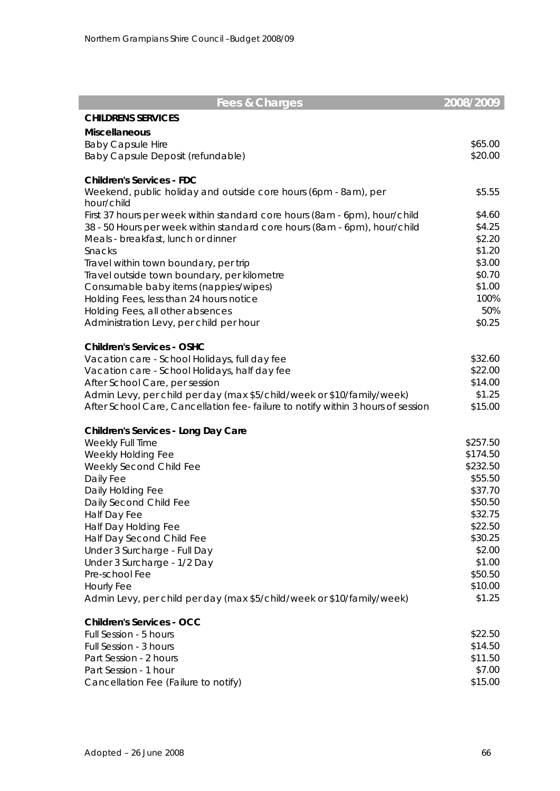| <b>Fees &amp; Charges</b>                                                                                                                                 | 2008/2009          |
|-----------------------------------------------------------------------------------------------------------------------------------------------------------|--------------------|
| <b>CHILDRENS SERVICES</b>                                                                                                                                 |                    |
| <b>Miscellaneous</b>                                                                                                                                      |                    |
| <b>Baby Capsule Hire</b>                                                                                                                                  | \$65.00            |
| Baby Capsule Deposit (refundable)                                                                                                                         | \$20.00            |
|                                                                                                                                                           |                    |
| <b>Children's Services - FDC</b>                                                                                                                          |                    |
| Weekend, public holiday and outside core hours (6pm - 8am), per<br>hour/child                                                                             | \$5.55             |
| First 37 hours per week within standard core hours (8am - 6pm), hour/child                                                                                | \$4.60             |
| 38 - 50 Hours per week within standard core hours (8am - 6pm), hour/child                                                                                 | \$4.25             |
| Meals - breakfast, lunch or dinner                                                                                                                        | \$2.20             |
| Snacks                                                                                                                                                    | \$1.20             |
| Travel within town boundary, per trip                                                                                                                     | \$3.00             |
| Travel outside town boundary, per kilometre                                                                                                               | \$0.70             |
| Consumable baby items (nappies/wipes)                                                                                                                     | \$1.00             |
| Holding Fees, less than 24 hours notice                                                                                                                   | 100%               |
| Holding Fees, all other absences                                                                                                                          | 50%                |
| Administration Levy, per child per hour                                                                                                                   | \$0.25             |
|                                                                                                                                                           |                    |
| <b>Children's Services - OSHC</b>                                                                                                                         |                    |
| Vacation care - School Holidays, full day fee                                                                                                             | \$32.60            |
| Vacation care - School Holidays, half day fee                                                                                                             | \$22.00<br>\$14.00 |
| After School Care, per session                                                                                                                            | \$1.25             |
| Admin Levy, per child per day (max \$5/child/week or \$10/family/week)<br>After School Care, Cancellation fee-failure to notify within 3 hours of session | \$15.00            |
|                                                                                                                                                           |                    |
| <b>Children's Services - Long Day Care</b>                                                                                                                |                    |
| Weekly Full Time                                                                                                                                          | \$257.50           |
| Weekly Holding Fee                                                                                                                                        | \$174.50           |
| Weekly Second Child Fee                                                                                                                                   | \$232.50           |
| Daily Fee                                                                                                                                                 | \$55.50            |
| Daily Holding Fee                                                                                                                                         | \$37.70            |
| Daily Second Child Fee                                                                                                                                    | \$50.50            |
| Half Day Fee                                                                                                                                              | \$32.75            |
| Half Day Holding Fee                                                                                                                                      | \$22.50            |
| Half Day Second Child Fee<br>Under 3 Surcharge - Full Day                                                                                                 | \$30.25<br>\$2.00  |
|                                                                                                                                                           | \$1.00             |
| Under 3 Surcharge - 1/2 Day<br>Pre-school Fee                                                                                                             | \$50.50            |
| Hourly Fee                                                                                                                                                | \$10.00            |
| Admin Levy, per child per day (max \$5/child/week or \$10/family/week)                                                                                    | \$1.25             |
|                                                                                                                                                           |                    |
| <b>Children's Services - OCC</b>                                                                                                                          |                    |
| Full Session - 5 hours                                                                                                                                    | \$22.50            |
| Full Session - 3 hours                                                                                                                                    | \$14.50            |
| Part Session - 2 hours                                                                                                                                    | \$11.50            |
| Part Session - 1 hour                                                                                                                                     | \$7.00             |
| Cancellation Fee (Failure to notify)                                                                                                                      | \$15.00            |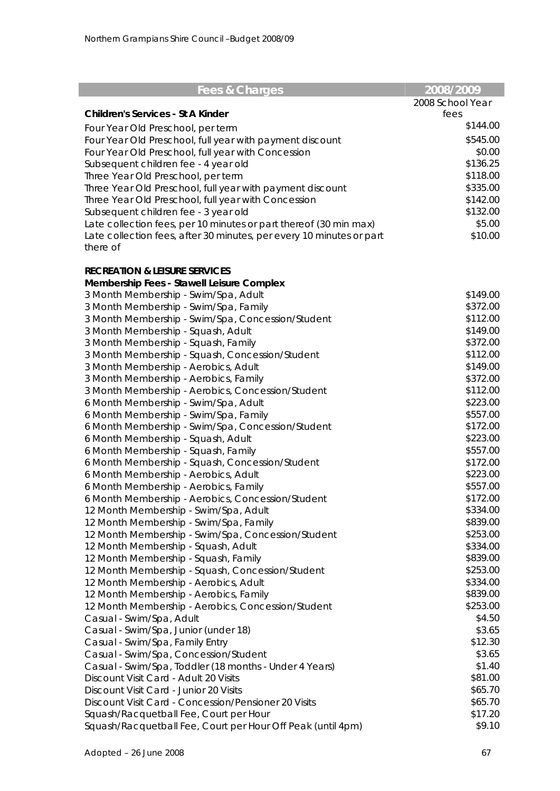| <b>Fees &amp; Charges</b>                                                               | 2008/2009            |
|-----------------------------------------------------------------------------------------|----------------------|
|                                                                                         | 2008 School Year     |
| <b>Children's Services - St A Kinder</b>                                                | fees                 |
| Four Year Old Preschool, per term                                                       | \$144.00             |
| Four Year Old Preschool, full year with payment discount                                | \$545.00             |
| Four Year Old Preschool, full year with Concession                                      | \$0.00               |
| Subsequent children fee - 4 year old                                                    | \$136.25             |
| Three Year Old Preschool, per term                                                      | \$118.00             |
| Three Year Old Preschool, full year with payment discount                               | \$335.00             |
| Three Year Old Preschool, full year with Concession                                     | \$142.00             |
| Subsequent children fee - 3 year old                                                    | \$132.00             |
| Late collection fees, per 10 minutes or part thereof (30 min max)                       | \$5.00               |
| Late collection fees, after 30 minutes, per every 10 minutes or part<br>there of        | \$10.00              |
|                                                                                         |                      |
| <b>RECREATION &amp; LEISURE SERVICES</b>                                                |                      |
| Membership Fees - Stawell Leisure Complex                                               |                      |
| 3 Month Membership - Swim/Spa, Adult                                                    | \$149.00             |
| 3 Month Membership - Swim/Spa, Family                                                   | \$372.00             |
| 3 Month Membership - Swim/Spa, Concession/Student                                       | \$112.00             |
| 3 Month Membership - Squash, Adult                                                      | \$149.00             |
| 3 Month Membership - Squash, Family                                                     | \$372.00             |
| 3 Month Membership - Squash, Concession/Student                                         | \$112.00             |
| 3 Month Membership - Aerobics, Adult                                                    | \$149.00             |
| 3 Month Membership - Aerobics, Family                                                   | \$372.00             |
| 3 Month Membership - Aerobics, Concession/Student                                       | \$112.00             |
| 6 Month Membership - Swim/Spa, Adult                                                    | \$223.00             |
| 6 Month Membership - Swim/Spa, Family                                                   | \$557.00             |
| 6 Month Membership - Swim/Spa, Concession/Student                                       | \$172.00             |
| 6 Month Membership - Squash, Adult                                                      | \$223.00<br>\$557.00 |
| 6 Month Membership - Squash, Family                                                     | \$172.00             |
| 6 Month Membership - Squash, Concession/Student<br>6 Month Membership - Aerobics, Adult | \$223.00             |
| 6 Month Membership - Aerobics, Family                                                   | \$557.00             |
| 6 Month Membership - Aerobics, Concession/Student                                       | \$172.00             |
| 12 Month Membership - Swim/Spa, Adult                                                   | \$334.00             |
| 12 Month Membership - Swim/Spa, Family                                                  | \$839.00             |
| 12 Month Membership - Swim/Spa, Concession/Student                                      | \$253.00             |
| 12 Month Membership - Squash, Adult                                                     | \$334.00             |
| 12 Month Membership - Squash, Family                                                    | \$839.00             |
| 12 Month Membership - Squash, Concession/Student                                        | \$253.00             |
| 12 Month Membership - Aerobics, Adult                                                   | \$334.00             |
| 12 Month Membership - Aerobics, Family                                                  | \$839.00             |
| 12 Month Membership - Aerobics, Concession/Student                                      | \$253.00             |
| Casual - Swim/Spa, Adult                                                                | \$4.50               |
| Casual - Swim/Spa, Junior (under 18)                                                    | \$3.65               |
| Casual - Swim/Spa, Family Entry                                                         | \$12.30              |
| Casual - Swim/Spa, Concession/Student                                                   | \$3.65               |
| Casual - Swim/Spa, Toddler (18 months - Under 4 Years)                                  | \$1.40               |
| Discount Visit Card - Adult 20 Visits                                                   | \$81.00              |
| Discount Visit Card - Junior 20 Visits                                                  | \$65.70              |
| Discount Visit Card - Concession/Pensioner 20 Visits                                    | \$65.70              |
| Squash/Racquetball Fee, Court per Hour                                                  | \$17.20              |
| Squash/Racquetball Fee, Court per Hour Off Peak (until 4pm)                             | \$9.10               |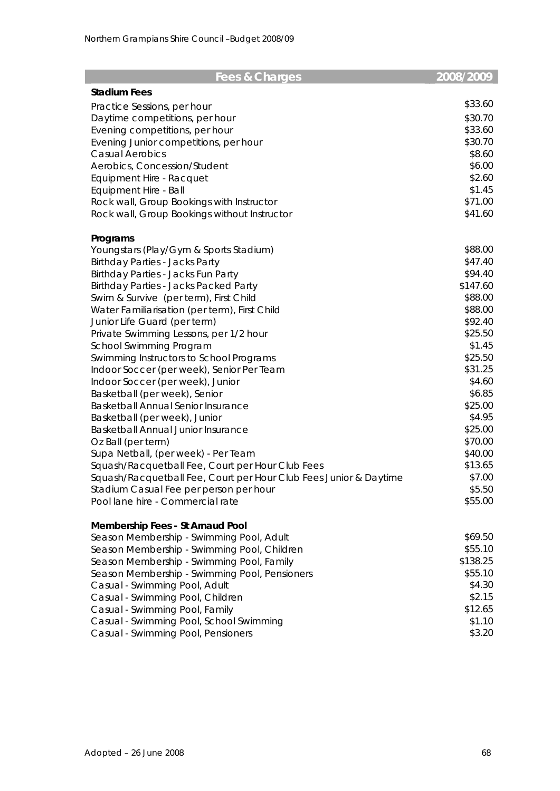| <b>Fees &amp; Charges</b>                                                            | 2008/2009         |
|--------------------------------------------------------------------------------------|-------------------|
| <b>Stadium Fees</b>                                                                  |                   |
| Practice Sessions, per hour                                                          | \$33.60           |
| Daytime competitions, per hour                                                       | \$30.70           |
| Evening competitions, per hour                                                       | \$33.60           |
| Evening Junior competitions, per hour                                                | \$30.70           |
| <b>Casual Aerobics</b>                                                               | \$8.60            |
| Aerobics, Concession/Student                                                         | \$6.00            |
| Equipment Hire - Racquet                                                             | \$2.60            |
| Equipment Hire - Ball                                                                | \$1.45            |
| Rock wall, Group Bookings with Instructor                                            | \$71.00           |
| Rock wall, Group Bookings without Instructor                                         | \$41.60           |
| Programs                                                                             |                   |
| Youngstars (Play/Gym & Sports Stadium)                                               | \$88.00           |
| <b>Birthday Parties - Jacks Party</b>                                                | \$47.40           |
| Birthday Parties - Jacks Fun Party                                                   | \$94.40           |
| <b>Birthday Parties - Jacks Packed Party</b>                                         | \$147.60          |
| Swim & Survive (per term), First Child                                               | \$88.00           |
| Water Familiarisation (per term), First Child                                        | \$88.00           |
| Junior Life Guard (per term)                                                         | \$92.40           |
| Private Swimming Lessons, per 1/2 hour                                               | \$25.50           |
| School Swimming Program                                                              | \$1.45<br>\$25.50 |
| Swimming Instructors to School Programs<br>Indoor Soccer (per week), Senior Per Team | \$31.25           |
| Indoor Soccer (per week), Junior                                                     | \$4.60            |
| Basketball (per week), Senior                                                        | \$6.85            |
| <b>Basketball Annual Senior Insurance</b>                                            | \$25.00           |
| Basketball (per week), Junior                                                        | \$4.95            |
| <b>Basketball Annual Junior Insurance</b>                                            | \$25.00           |
| Oz Ball (per term)                                                                   | \$70.00           |
| Supa Netball, (per week) - Per Team                                                  | \$40.00           |
| Squash/Racquetball Fee, Court per Hour Club Fees                                     | \$13.65           |
| Squash/Racquetball Fee, Court per Hour Club Fees Junior & Daytime                    | \$7.00            |
| Stadium Casual Fee per person per hour                                               | \$5.50            |
| Pool lane hire - Commercial rate                                                     | \$55.00           |
| Membership Fees - St Arnaud Pool                                                     |                   |
| Season Membership - Swimming Pool, Adult                                             | \$69.50           |
| Season Membership - Swimming Pool, Children                                          | \$55.10           |
| Season Membership - Swimming Pool, Family                                            | \$138.25          |
| Season Membership - Swimming Pool, Pensioners                                        | \$55.10           |
| Casual - Swimming Pool, Adult                                                        | \$4.30            |
| Casual - Swimming Pool, Children                                                     | \$2.15            |
| Casual - Swimming Pool, Family                                                       | \$12.65           |
| Casual - Swimming Pool, School Swimming                                              | \$1.10            |
| Casual - Swimming Pool, Pensioners                                                   | \$3.20            |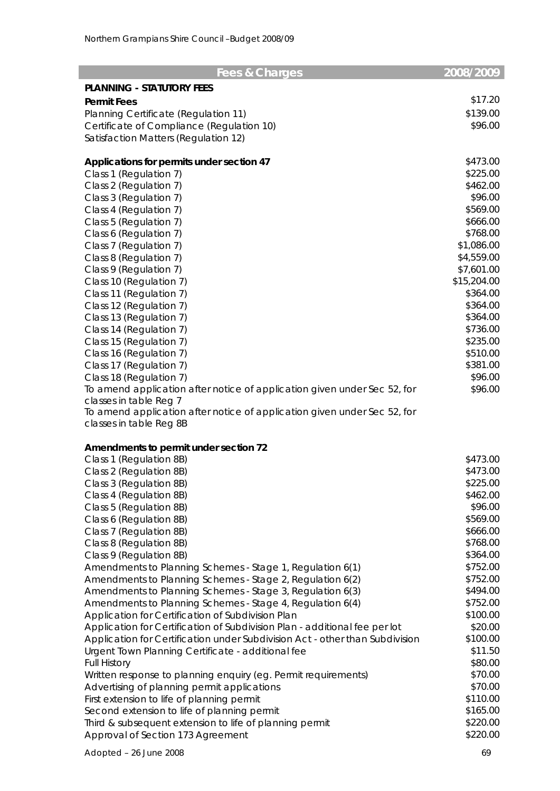| <b>Fees &amp; Charges</b>                                                | 2008/2009   |
|--------------------------------------------------------------------------|-------------|
| <b>PLANNING - STATUTORY FEES</b>                                         |             |
| <b>Permit Fees</b>                                                       | \$17.20     |
| Planning Certificate (Regulation 11)                                     | \$139.00    |
| Certificate of Compliance (Regulation 10)                                | \$96.00     |
| Satisfaction Matters (Regulation 12)                                     |             |
| Applications for permits under section 47                                | \$473.00    |
| Class 1 (Regulation 7)                                                   | \$225.00    |
| Class 2 (Regulation 7)                                                   | \$462.00    |
| Class 3 (Regulation 7)                                                   | \$96.00     |
| Class 4 (Regulation 7)                                                   | \$569.00    |
| Class 5 (Regulation 7)                                                   | \$666.00    |
| Class 6 (Regulation 7)                                                   | \$768.00    |
| Class 7 (Regulation 7)                                                   | \$1,086.00  |
| Class 8 (Regulation 7)                                                   | \$4,559.00  |
| Class 9 (Regulation 7)                                                   | \$7,601.00  |
| Class 10 (Regulation 7)                                                  | \$15,204.00 |
| Class 11 (Regulation 7)                                                  | \$364.00    |
| Class 12 (Regulation 7)                                                  | \$364.00    |
| Class 13 (Regulation 7)                                                  | \$364.00    |
| Class 14 (Regulation 7)                                                  | \$736.00    |
| Class 15 (Regulation 7)                                                  | \$235.00    |
| Class 16 (Regulation 7)                                                  | \$510.00    |
| Class 17 (Regulation 7)                                                  | \$381.00    |
| Class 18 (Regulation 7)                                                  | \$96.00     |
| To amend application after notice of application given under Sec 52, for | \$96.00     |
| classes in table Reg 7                                                   |             |
| To amend application after notice of application given under Sec 52, for |             |
| classes in table Reg 8B                                                  |             |

#### **Amendments to permit under section 72**

| Class 1 (Regulation 8B)                                                      | \$473.00 |
|------------------------------------------------------------------------------|----------|
| Class 2 (Regulation 8B)                                                      | \$473.00 |
| Class 3 (Regulation 8B)                                                      | \$225.00 |
| Class 4 (Regulation 8B)                                                      | \$462.00 |
| Class 5 (Regulation 8B)                                                      | \$96.00  |
| Class 6 (Regulation 8B)                                                      | \$569.00 |
| Class 7 (Regulation 8B)                                                      | \$666.00 |
| Class 8 (Regulation 8B)                                                      | \$768.00 |
| Class 9 (Regulation 8B)                                                      | \$364.00 |
| Amendments to Planning Schemes - Stage 1, Regulation 6(1)                    | \$752.00 |
| Amendments to Planning Schemes - Stage 2, Regulation 6(2)                    | \$752.00 |
| Amendments to Planning Schemes - Stage 3, Regulation 6(3)                    | \$494.00 |
| Amendments to Planning Schemes - Stage 4, Regulation 6(4)                    | \$752.00 |
| Application for Certification of Subdivision Plan                            | \$100.00 |
| Application for Certification of Subdivision Plan - additional fee per lot   | \$20.00  |
| Application for Certification under Subdivision Act - other than Subdivision | \$100.00 |
| Urgent Town Planning Certificate - additional fee                            | \$11.50  |
| <b>Full History</b>                                                          | \$80.00  |
| Written response to planning enquiry (eg. Permit requirements)               | \$70.00  |
| Advertising of planning permit applications                                  | \$70.00  |
| First extension to life of planning permit                                   | \$110.00 |
| Second extension to life of planning permit                                  | \$165.00 |
| Third & subsequent extension to life of planning permit                      | \$220.00 |
| Approval of Section 173 Agreement                                            | \$220.00 |
|                                                                              |          |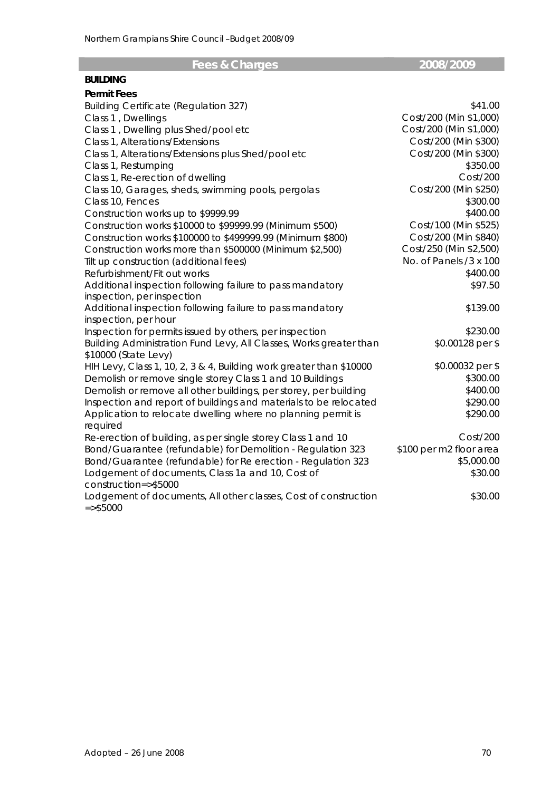**Fees & Charges 2008/2009** 

#### **BUILDING**

| <b>Permit Fees</b>                                                                         |                         |
|--------------------------------------------------------------------------------------------|-------------------------|
| <b>Building Certificate (Regulation 327)</b>                                               | \$41.00                 |
| Class 1, Dwellings                                                                         | Cost/200 (Min \$1,000)  |
| Class 1, Dwelling plus Shed/pool etc                                                       | Cost/200 (Min \$1,000)  |
| Class 1, Alterations/Extensions                                                            | Cost/200 (Min \$300)    |
| Class 1, Alterations/Extensions plus Shed/pool etc                                         | Cost/200 (Min \$300)    |
| Class 1, Restumping                                                                        | \$350.00                |
| Class 1, Re-erection of dwelling                                                           | Cost/200                |
| Class 10, Garages, sheds, swimming pools, pergolas                                         | Cost/200 (Min \$250)    |
| Class 10, Fences                                                                           | \$300.00                |
| Construction works up to \$9999.99                                                         | \$400.00                |
| Construction works \$10000 to \$99999.99 (Minimum \$500)                                   | Cost/100 (Min \$525)    |
| Construction works \$100000 to \$499999.99 (Minimum \$800)                                 | Cost/200 (Min \$840)    |
| Construction works more than \$500000 (Minimum \$2,500)                                    | Cost/250 (Min \$2,500)  |
| Tilt up construction (additional fees)                                                     | No. of Panels /3 x 100  |
| Refurbishment/Fit out works                                                                | \$400.00                |
| Additional inspection following failure to pass mandatory                                  | \$97.50                 |
| inspection, per inspection                                                                 |                         |
| Additional inspection following failure to pass mandatory                                  | \$139.00                |
| inspection, per hour                                                                       |                         |
| Inspection for permits issued by others, per inspection                                    | \$230.00                |
| Building Administration Fund Levy, All Classes, Works greater than<br>\$10000 (State Levy) | \$0.00128 per \$        |
| HIH Levy, Class 1, 10, 2, 3 & 4, Building work greater than \$10000                        | \$0.00032 per \$        |
| Demolish or remove single storey Class 1 and 10 Buildings                                  | \$300.00                |
| Demolish or remove all other buildings, per storey, per building                           | \$400.00                |
| Inspection and report of buildings and materials to be relocated                           | \$290.00                |
| Application to relocate dwelling where no planning permit is                               | \$290.00                |
| required                                                                                   |                         |
| Re-erection of building, as per single storey Class 1 and 10                               | Cost/200                |
| Bond/Guarantee (refundable) for Demolition - Regulation 323                                | \$100 per m2 floor area |
| Bond/Guarantee (refundable) for Re erection - Regulation 323                               | \$5,000.00              |
| Lodgement of documents, Class 1a and 10, Cost of                                           | \$30.00                 |
| construction=>\$5000                                                                       |                         |
| Lodgement of documents, All other classes, Cost of construction<br>$=$ > \$5000            | \$30.00                 |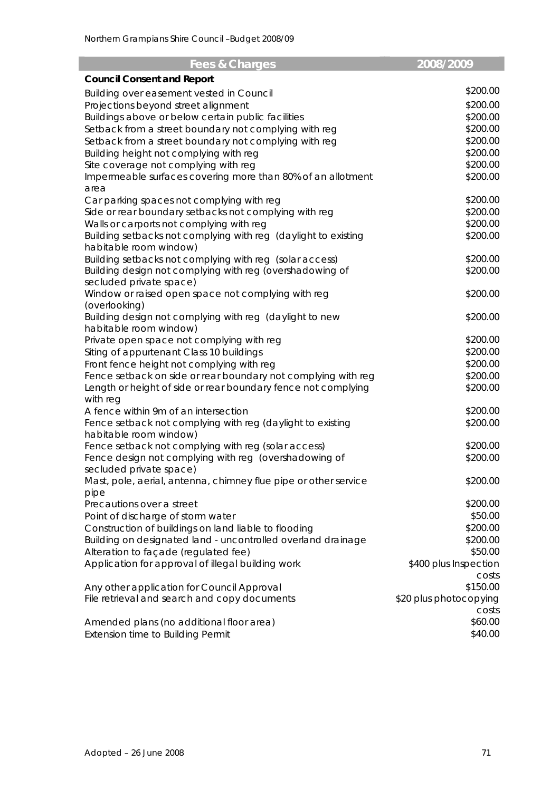| <b>Fees &amp; Charges</b>                                                                                            | 2008/2009              |
|----------------------------------------------------------------------------------------------------------------------|------------------------|
| <b>Council Consent and Report</b>                                                                                    |                        |
| Building over easement vested in Council                                                                             | \$200.00               |
| Projections beyond street alignment                                                                                  | \$200.00               |
| Buildings above or below certain public facilities                                                                   | \$200.00               |
| Setback from a street boundary not complying with reg                                                                | \$200.00               |
| Setback from a street boundary not complying with reg                                                                | \$200.00               |
| Building height not complying with reg                                                                               | \$200.00               |
| Site coverage not complying with reg                                                                                 | \$200.00               |
| Impermeable surfaces covering more than 80% of an allotment                                                          | \$200.00               |
| area                                                                                                                 |                        |
| Car parking spaces not complying with reg                                                                            | \$200.00               |
| Side or rear boundary setbacks not complying with reg                                                                | \$200.00               |
| Walls or carports not complying with reg                                                                             | \$200.00               |
| Building setbacks not complying with reg (daylight to existing                                                       | \$200.00               |
| habitable room window)                                                                                               |                        |
| Building setbacks not complying with reg (solar access)                                                              | \$200.00               |
| Building design not complying with reg (overshadowing of                                                             | \$200.00               |
| secluded private space)                                                                                              |                        |
| Window or raised open space not complying with reg                                                                   | \$200.00               |
| (overlooking)                                                                                                        |                        |
| Building design not complying with reg (daylight to new                                                              | \$200.00               |
| habitable room window)                                                                                               |                        |
| Private open space not complying with reg                                                                            | \$200.00               |
| Siting of appurtenant Class 10 buildings                                                                             | \$200.00               |
| Front fence height not complying with reg                                                                            | \$200.00               |
| Fence setback on side or rear boundary not complying with reg                                                        | \$200.00               |
| Length or height of side or rear boundary fence not complying                                                        | \$200.00               |
| with reg                                                                                                             |                        |
| A fence within 9m of an intersection                                                                                 | \$200.00               |
| Fence setback not complying with reg (daylight to existing                                                           | \$200.00               |
| habitable room window)                                                                                               |                        |
| Fence setback not complying with reg (solar access)                                                                  | \$200.00               |
| Fence design not complying with reg (overshadowing of                                                                | \$200.00               |
| secluded private space)                                                                                              |                        |
| Mast, pole, aerial, antenna, chimney flue pipe or other service                                                      | \$200.00               |
| pipe<br>Precautions over a street                                                                                    | \$200.00               |
|                                                                                                                      | \$50.00                |
| Point of discharge of storm water                                                                                    | \$200.00               |
| Construction of buildings on land liable to flooding<br>Building on designated land - uncontrolled overland drainage | \$200.00               |
| Alteration to façade (regulated fee)                                                                                 | \$50.00                |
| Application for approval of illegal building work                                                                    | \$400 plus Inspection  |
|                                                                                                                      | costs                  |
| Any other application for Council Approval                                                                           | \$150.00               |
| File retrieval and search and copy documents                                                                         | \$20 plus photocopying |
|                                                                                                                      | costs                  |
| Amended plans (no additional floor area)                                                                             | \$60.00                |
| <b>Extension time to Building Permit</b>                                                                             | \$40.00                |